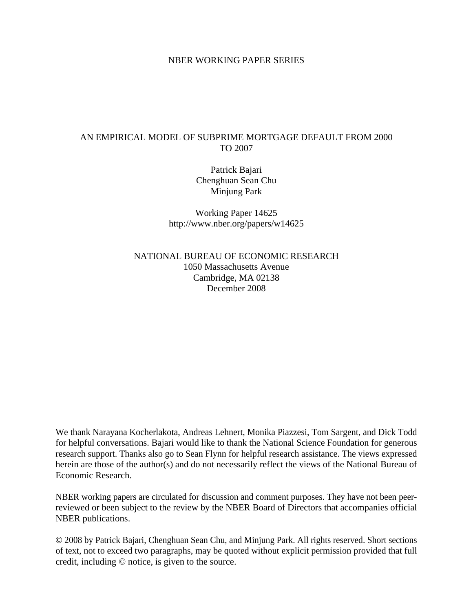## NBER WORKING PAPER SERIES

## AN EMPIRICAL MODEL OF SUBPRIME MORTGAGE DEFAULT FROM 2000 TO 2007

Patrick Bajari Chenghuan Sean Chu Minjung Park

Working Paper 14625 http://www.nber.org/papers/w14625

NATIONAL BUREAU OF ECONOMIC RESEARCH 1050 Massachusetts Avenue Cambridge, MA 02138 December 2008

We thank Narayana Kocherlakota, Andreas Lehnert, Monika Piazzesi, Tom Sargent, and Dick Todd for helpful conversations. Bajari would like to thank the National Science Foundation for generous research support. Thanks also go to Sean Flynn for helpful research assistance. The views expressed herein are those of the author(s) and do not necessarily reflect the views of the National Bureau of Economic Research.

NBER working papers are circulated for discussion and comment purposes. They have not been peerreviewed or been subject to the review by the NBER Board of Directors that accompanies official NBER publications.

© 2008 by Patrick Bajari, Chenghuan Sean Chu, and Minjung Park. All rights reserved. Short sections of text, not to exceed two paragraphs, may be quoted without explicit permission provided that full credit, including © notice, is given to the source.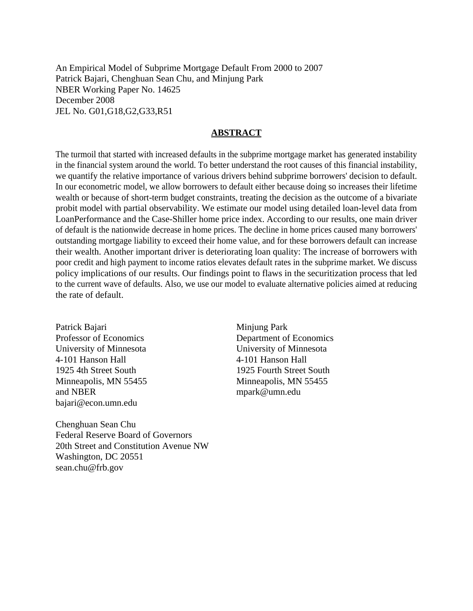An Empirical Model of Subprime Mortgage Default From 2000 to 2007 Patrick Bajari, Chenghuan Sean Chu, and Minjung Park NBER Working Paper No. 14625 December 2008 JEL No. G01,G18,G2,G33,R51

## **ABSTRACT**

The turmoil that started with increased defaults in the subprime mortgage market has generated instability in the financial system around the world. To better understand the root causes of this financial instability, we quantify the relative importance of various drivers behind subprime borrowers' decision to default. In our econometric model, we allow borrowers to default either because doing so increases their lifetime wealth or because of short-term budget constraints, treating the decision as the outcome of a bivariate probit model with partial observability. We estimate our model using detailed loan-level data from LoanPerformance and the Case-Shiller home price index. According to our results, one main driver of default is the nationwide decrease in home prices. The decline in home prices caused many borrowers' outstanding mortgage liability to exceed their home value, and for these borrowers default can increase their wealth. Another important driver is deteriorating loan quality: The increase of borrowers with poor credit and high payment to income ratios elevates default rates in the subprime market. We discuss policy implications of our results. Our findings point to flaws in the securitization process that led to the current wave of defaults. Also, we use our model to evaluate alternative policies aimed at reducing the rate of default.

Patrick Bajari Professor of Economics University of Minnesota 4-101 Hanson Hall 1925 4th Street South Minneapolis, MN 55455 and NBER bajari@econ.umn.edu

Minjung Park Department of Economics University of Minnesota 4-101 Hanson Hall 1925 Fourth Street South Minneapolis, MN 55455 mpark@umn.edu

Chenghuan Sean Chu Federal Reserve Board of Governors 20th Street and Constitution Avenue NW Washington, DC 20551 sean.chu@frb.gov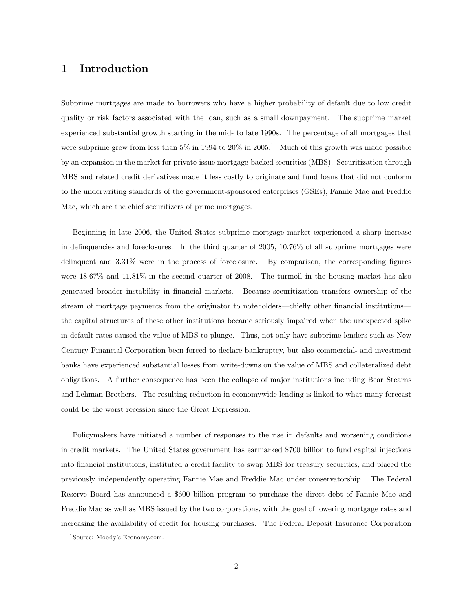# 1 Introduction

Subprime mortgages are made to borrowers who have a higher probability of default due to low credit quality or risk factors associated with the loan, such as a small downpayment. The subprime market experienced substantial growth starting in the mid- to late 1990s. The percentage of all mortgages that were subprime grew from less than  $5\%$  in 1994 to  $20\%$  in  $2005<sup>1</sup>$  Much of this growth was made possible by an expansion in the market for private-issue mortgage-backed securities (MBS). Securitization through MBS and related credit derivatives made it less costly to originate and fund loans that did not conform to the underwriting standards of the government-sponsored enterprises (GSEs), Fannie Mae and Freddie Mac, which are the chief securitizers of prime mortgages.

Beginning in late 2006, the United States subprime mortgage market experienced a sharp increase in delinquencies and foreclosures. In the third quarter of 2005, 10.76% of all subprime mortgages were delinquent and  $3.31\%$  were in the process of foreclosure. By comparison, the corresponding figures were 18.67% and 11.81% in the second quarter of 2008. The turmoil in the housing market has also generated broader instability in financial markets. Because securitization transfers ownership of the stream of mortgage payments from the originator to noteholders—chiefly other financial institutions the capital structures of these other institutions became seriously impaired when the unexpected spike in default rates caused the value of MBS to plunge. Thus, not only have subprime lenders such as New Century Financial Corporation been forced to declare bankruptcy, but also commercial- and investment banks have experienced substantial losses from write-downs on the value of MBS and collateralized debt obligations. A further consequence has been the collapse of major institutions including Bear Stearns and Lehman Brothers. The resulting reduction in economywide lending is linked to what many forecast could be the worst recession since the Great Depression.

Policymakers have initiated a number of responses to the rise in defaults and worsening conditions in credit markets. The United States government has earmarked \$700 billion to fund capital injections into Önancial institutions, instituted a credit facility to swap MBS for treasury securities, and placed the previously independently operating Fannie Mae and Freddie Mac under conservatorship. The Federal Reserve Board has announced a \$600 billion program to purchase the direct debt of Fannie Mae and Freddie Mac as well as MBS issued by the two corporations, with the goal of lowering mortgage rates and increasing the availability of credit for housing purchases. The Federal Deposit Insurance Corporation

<sup>&</sup>lt;sup>1</sup> Source: Moody's Economy.com.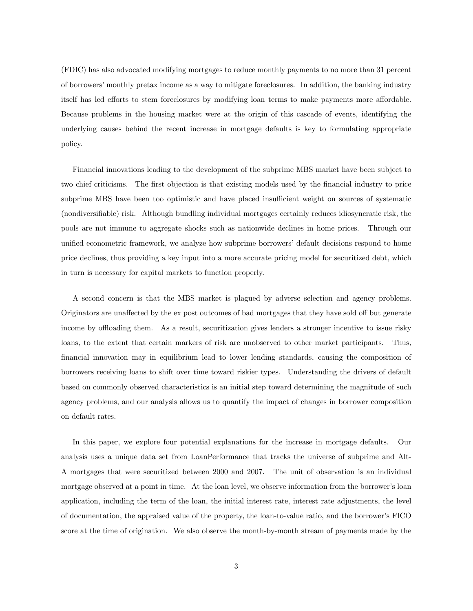(FDIC) has also advocated modifying mortgages to reduce monthly payments to no more than 31 percent of borrowersímonthly pretax income as a way to mitigate foreclosures. In addition, the banking industry itself has led efforts to stem foreclosures by modifying loan terms to make payments more affordable. Because problems in the housing market were at the origin of this cascade of events, identifying the underlying causes behind the recent increase in mortgage defaults is key to formulating appropriate policy.

Financial innovations leading to the development of the subprime MBS market have been subject to two chief criticisms. The first objection is that existing models used by the financial industry to price subprime MBS have been too optimistic and have placed insufficient weight on sources of systematic (nondiversifiable) risk. Although bundling individual mortgages certainly reduces idiosyncratic risk, the pools are not immune to aggregate shocks such as nationwide declines in home prices. Through our unified econometric framework, we analyze how subprime borrowers' default decisions respond to home price declines, thus providing a key input into a more accurate pricing model for securitized debt, which in turn is necessary for capital markets to function properly.

A second concern is that the MBS market is plagued by adverse selection and agency problems. Originators are unaffected by the ex post outcomes of bad mortgages that they have sold off but generate income by offloading them. As a result, securitization gives lenders a stronger incentive to issue risky loans, to the extent that certain markers of risk are unobserved to other market participants. Thus, Önancial innovation may in equilibrium lead to lower lending standards, causing the composition of borrowers receiving loans to shift over time toward riskier types. Understanding the drivers of default based on commonly observed characteristics is an initial step toward determining the magnitude of such agency problems, and our analysis allows us to quantify the impact of changes in borrower composition on default rates.

In this paper, we explore four potential explanations for the increase in mortgage defaults. Our analysis uses a unique data set from LoanPerformance that tracks the universe of subprime and Alt-A mortgages that were securitized between 2000 and 2007. The unit of observation is an individual mortgage observed at a point in time. At the loan level, we observe information from the borrower's loan application, including the term of the loan, the initial interest rate, interest rate adjustments, the level of documentation, the appraised value of the property, the loan-to-value ratio, and the borrowerís FICO score at the time of origination. We also observe the month-by-month stream of payments made by the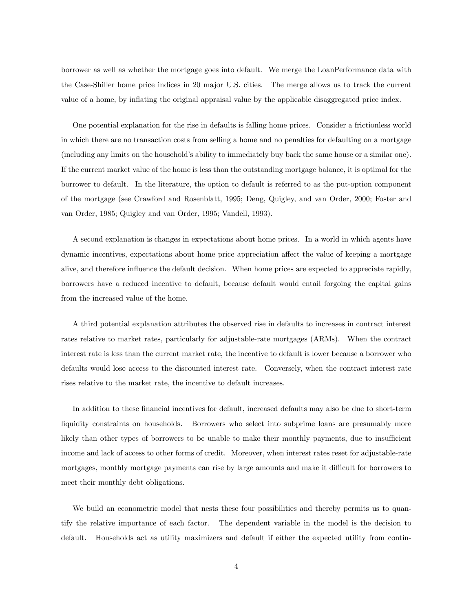borrower as well as whether the mortgage goes into default. We merge the LoanPerformance data with the Case-Shiller home price indices in 20 major U.S. cities. The merge allows us to track the current value of a home, by ináating the original appraisal value by the applicable disaggregated price index.

One potential explanation for the rise in defaults is falling home prices. Consider a frictionless world in which there are no transaction costs from selling a home and no penalties for defaulting on a mortgage (including any limits on the household's ability to immediately buy back the same house or a similar one). If the current market value of the home is less than the outstanding mortgage balance, it is optimal for the borrower to default. In the literature, the option to default is referred to as the put-option component of the mortgage (see Crawford and Rosenblatt, 1995; Deng, Quigley, and van Order, 2000; Foster and van Order, 1985; Quigley and van Order, 1995; Vandell, 1993).

A second explanation is changes in expectations about home prices. In a world in which agents have dynamic incentives, expectations about home price appreciation affect the value of keeping a mortgage alive, and therefore influence the default decision. When home prices are expected to appreciate rapidly, borrowers have a reduced incentive to default, because default would entail forgoing the capital gains from the increased value of the home.

A third potential explanation attributes the observed rise in defaults to increases in contract interest rates relative to market rates, particularly for adjustable-rate mortgages (ARMs). When the contract interest rate is less than the current market rate, the incentive to default is lower because a borrower who defaults would lose access to the discounted interest rate. Conversely, when the contract interest rate rises relative to the market rate, the incentive to default increases.

In addition to these financial incentives for default, increased defaults may also be due to short-term liquidity constraints on households. Borrowers who select into subprime loans are presumably more likely than other types of borrowers to be unable to make their monthly payments, due to insufficient income and lack of access to other forms of credit. Moreover, when interest rates reset for adjustable-rate mortgages, monthly mortgage payments can rise by large amounts and make it difficult for borrowers to meet their monthly debt obligations.

We build an econometric model that nests these four possibilities and thereby permits us to quantify the relative importance of each factor. The dependent variable in the model is the decision to default. Households act as utility maximizers and default if either the expected utility from contin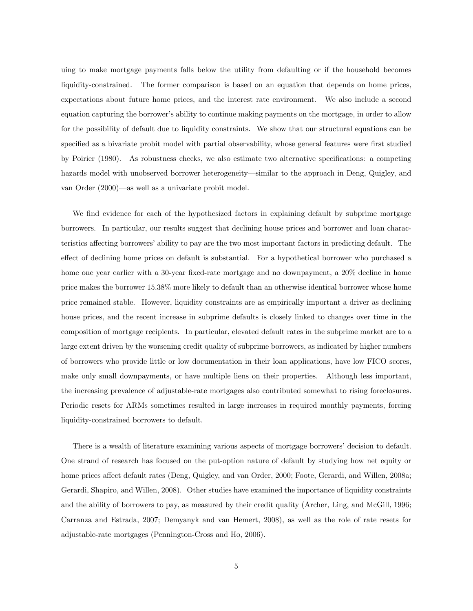uing to make mortgage payments falls below the utility from defaulting or if the household becomes liquidity-constrained. The former comparison is based on an equation that depends on home prices, expectations about future home prices, and the interest rate environment. We also include a second equation capturing the borrower's ability to continue making payments on the mortgage, in order to allow for the possibility of default due to liquidity constraints. We show that our structural equations can be specified as a bivariate probit model with partial observability, whose general features were first studied by Poirier (1980). As robustness checks, we also estimate two alternative specifications: a competing hazards model with unobserved borrower heterogeneity—similar to the approach in Deng, Quigley, and van Order  $(2000)$ —as well as a univariate probit model.

We find evidence for each of the hypothesized factors in explaining default by subprime mortgage borrowers. In particular, our results suggest that declining house prices and borrower and loan characteristics affecting borrowers' ability to pay are the two most important factors in predicting default. The effect of declining home prices on default is substantial. For a hypothetical borrower who purchased a home one year earlier with a 30-year fixed-rate mortgage and no downpayment, a 20% decline in home price makes the borrower 15.38% more likely to default than an otherwise identical borrower whose home price remained stable. However, liquidity constraints are as empirically important a driver as declining house prices, and the recent increase in subprime defaults is closely linked to changes over time in the composition of mortgage recipients. In particular, elevated default rates in the subprime market are to a large extent driven by the worsening credit quality of subprime borrowers, as indicated by higher numbers of borrowers who provide little or low documentation in their loan applications, have low FICO scores, make only small downpayments, or have multiple liens on their properties. Although less important, the increasing prevalence of adjustable-rate mortgages also contributed somewhat to rising foreclosures. Periodic resets for ARMs sometimes resulted in large increases in required monthly payments, forcing liquidity-constrained borrowers to default.

There is a wealth of literature examining various aspects of mortgage borrowers' decision to default. One strand of research has focused on the put-option nature of default by studying how net equity or home prices affect default rates (Deng, Quigley, and van Order, 2000; Foote, Gerardi, and Willen, 2008a; Gerardi, Shapiro, and Willen, 2008). Other studies have examined the importance of liquidity constraints and the ability of borrowers to pay, as measured by their credit quality (Archer, Ling, and McGill, 1996; Carranza and Estrada, 2007; Demyanyk and van Hemert, 2008), as well as the role of rate resets for adjustable-rate mortgages (Pennington-Cross and Ho, 2006).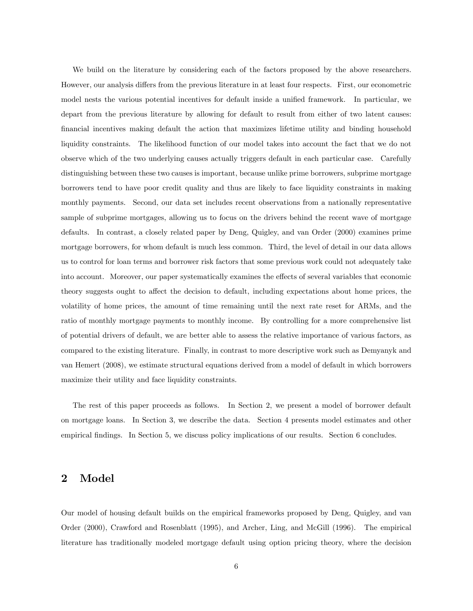We build on the literature by considering each of the factors proposed by the above researchers. However, our analysis differs from the previous literature in at least four respects. First, our econometric model nests the various potential incentives for default inside a unified framework. In particular, we depart from the previous literature by allowing for default to result from either of two latent causes: Önancial incentives making default the action that maximizes lifetime utility and binding household liquidity constraints. The likelihood function of our model takes into account the fact that we do not observe which of the two underlying causes actually triggers default in each particular case. Carefully distinguishing between these two causes is important, because unlike prime borrowers, subprime mortgage borrowers tend to have poor credit quality and thus are likely to face liquidity constraints in making monthly payments. Second, our data set includes recent observations from a nationally representative sample of subprime mortgages, allowing us to focus on the drivers behind the recent wave of mortgage defaults. In contrast, a closely related paper by Deng, Quigley, and van Order (2000) examines prime mortgage borrowers, for whom default is much less common. Third, the level of detail in our data allows us to control for loan terms and borrower risk factors that some previous work could not adequately take into account. Moreover, our paper systematically examines the effects of several variables that economic theory suggests ought to affect the decision to default, including expectations about home prices, the volatility of home prices, the amount of time remaining until the next rate reset for ARMs, and the ratio of monthly mortgage payments to monthly income. By controlling for a more comprehensive list of potential drivers of default, we are better able to assess the relative importance of various factors, as compared to the existing literature. Finally, in contrast to more descriptive work such as Demyanyk and van Hemert (2008), we estimate structural equations derived from a model of default in which borrowers maximize their utility and face liquidity constraints.

The rest of this paper proceeds as follows. In Section 2, we present a model of borrower default on mortgage loans. In Section 3, we describe the data. Section 4 presents model estimates and other empirical findings. In Section 5, we discuss policy implications of our results. Section 6 concludes.

## 2 Model

Our model of housing default builds on the empirical frameworks proposed by Deng, Quigley, and van Order (2000), Crawford and Rosenblatt (1995), and Archer, Ling, and McGill (1996). The empirical literature has traditionally modeled mortgage default using option pricing theory, where the decision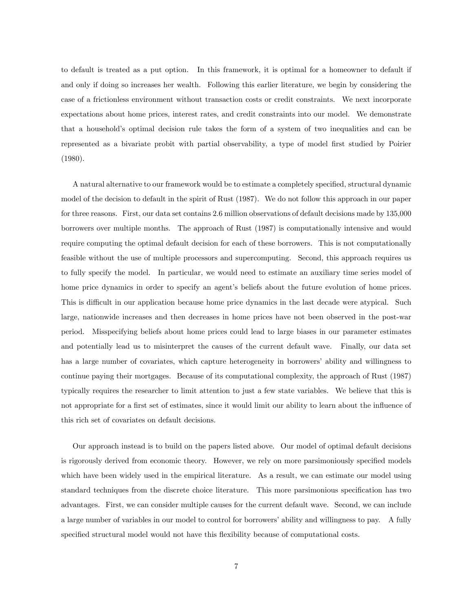to default is treated as a put option. In this framework, it is optimal for a homeowner to default if and only if doing so increases her wealth. Following this earlier literature, we begin by considering the case of a frictionless environment without transaction costs or credit constraints. We next incorporate expectations about home prices, interest rates, and credit constraints into our model. We demonstrate that a household's optimal decision rule takes the form of a system of two inequalities and can be represented as a bivariate probit with partial observability, a type of model first studied by Poirier (1980).

A natural alternative to our framework would be to estimate a completely specified, structural dynamic model of the decision to default in the spirit of Rust (1987). We do not follow this approach in our paper for three reasons. First, our data set contains 2.6 million observations of default decisions made by 135,000 borrowers over multiple months. The approach of Rust (1987) is computationally intensive and would require computing the optimal default decision for each of these borrowers. This is not computationally feasible without the use of multiple processors and supercomputing. Second, this approach requires us to fully specify the model. In particular, we would need to estimate an auxiliary time series model of home price dynamics in order to specify an agent's beliefs about the future evolution of home prices. This is difficult in our application because home price dynamics in the last decade were atypical. Such large, nationwide increases and then decreases in home prices have not been observed in the post-war period. Misspecifying beliefs about home prices could lead to large biases in our parameter estimates and potentially lead us to misinterpret the causes of the current default wave. Finally, our data set has a large number of covariates, which capture heterogeneity in borrowers' ability and willingness to continue paying their mortgages. Because of its computational complexity, the approach of Rust (1987) typically requires the researcher to limit attention to just a few state variables. We believe that this is not appropriate for a first set of estimates, since it would limit our ability to learn about the influence of this rich set of covariates on default decisions.

Our approach instead is to build on the papers listed above. Our model of optimal default decisions is rigorously derived from economic theory. However, we rely on more parsimoniously specified models which have been widely used in the empirical literature. As a result, we can estimate our model using standard techniques from the discrete choice literature. This more parsimonious specification has two advantages. First, we can consider multiple causes for the current default wave. Second, we can include a large number of variables in our model to control for borrowers' ability and willingness to pay. A fully specified structural model would not have this flexibility because of computational costs.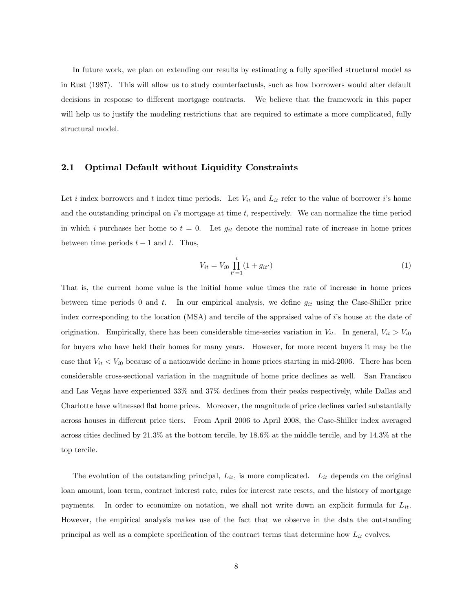In future work, we plan on extending our results by estimating a fully specified structural model as in Rust (1987). This will allow us to study counterfactuals, such as how borrowers would alter default decisions in response to different mortgage contracts. We believe that the framework in this paper will help us to justify the modeling restrictions that are required to estimate a more complicated, fully structural model.

### 2.1 Optimal Default without Liquidity Constraints

Let i index borrowers and t index time periods. Let  $V_{it}$  and  $L_{it}$  refer to the value of borrower i's home and the outstanding principal on  $i$ 's mortgage at time t, respectively. We can normalize the time period in which i purchases her home to  $t = 0$ . Let  $g_{it}$  denote the nominal rate of increase in home prices between time periods  $t-1$  and t. Thus,

$$
V_{it} = V_{i0} \prod_{t'=1}^{t} (1 + g_{it'})
$$
\n(1)

That is, the current home value is the initial home value times the rate of increase in home prices between time periods 0 and t. In our empirical analysis, we define  $g_{it}$  using the Case-Shiller price index corresponding to the location (MSA) and tercile of the appraised value of i's house at the date of origination. Empirically, there has been considerable time-series variation in  $V_{it}$ . In general,  $V_{it} > V_{i0}$ for buyers who have held their homes for many years. However, for more recent buyers it may be the case that  $V_{it} < V_{i0}$  because of a nationwide decline in home prices starting in mid-2006. There has been considerable cross-sectional variation in the magnitude of home price declines as well. San Francisco and Las Vegas have experienced 33% and 37% declines from their peaks respectively, while Dallas and Charlotte have witnessed áat home prices. Moreover, the magnitude of price declines varied substantially across houses in different price tiers. From April 2006 to April 2008, the Case-Shiller index averaged across cities declined by 21.3% at the bottom tercile, by 18.6% at the middle tercile, and by 14.3% at the top tercile.

The evolution of the outstanding principal,  $L_{it}$ , is more complicated.  $L_{it}$  depends on the original loan amount, loan term, contract interest rate, rules for interest rate resets, and the history of mortgage payments. In order to economize on notation, we shall not write down an explicit formula for  $L_{it}$ . However, the empirical analysis makes use of the fact that we observe in the data the outstanding principal as well as a complete specification of the contract terms that determine how  $L_{it}$  evolves.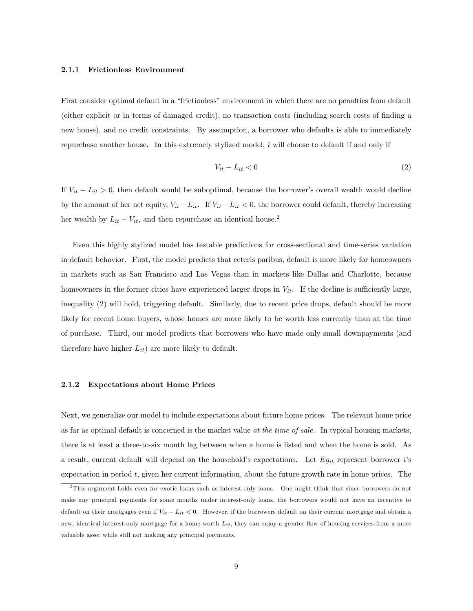#### 2.1.1 Frictionless Environment

First consider optimal default in a "frictionless" environment in which there are no penalties from default (either explicit or in terms of damaged credit), no transaction costs (including search costs of Önding a new house), and no credit constraints. By assumption, a borrower who defaults is able to immediately repurchase another house. In this extremely stylized model, i will choose to default if and only if

$$
V_{it} - L_{it} < 0 \tag{2}
$$

If  $V_{it} - L_{it} > 0$ , then default would be suboptimal, because the borrower's overall wealth would decline by the amount of her net equity,  $V_{it} - L_{it}$ . If  $V_{it} - L_{it} < 0$ , the borrower could default, thereby increasing her wealth by  $L_{it} - V_{it}$ , and then repurchase an identical house.<sup>2</sup>

Even this highly stylized model has testable predictions for cross-sectional and time-series variation in default behavior. First, the model predicts that ceteris paribus, default is more likely for homeowners in markets such as San Francisco and Las Vegas than in markets like Dallas and Charlotte, because homeowners in the former cities have experienced larger drops in  $V_{it}$ . If the decline is sufficiently large, inequality (2) will hold, triggering default. Similarly, due to recent price drops, default should be more likely for recent home buyers, whose homes are more likely to be worth less currently than at the time of purchase. Third, our model predicts that borrowers who have made only small downpayments (and therefore have higher  $L_{it}$  are more likely to default.

#### 2.1.2 Expectations about Home Prices

Next, we generalize our model to include expectations about future home prices. The relevant home price as far as optimal default is concerned is the market value at the time of sale. In typical housing markets, there is at least a three-to-six month lag between when a home is listed and when the home is sold. As a result, current default will depend on the household's expectations. Let  $E g_{it}$  represent borrower i's expectation in period  $t$ , given her current information, about the future growth rate in home prices. The

<sup>&</sup>lt;sup>2</sup>This argument holds even for exotic loans such as interest-only loans. One might think that since borrowers do not make any principal payments for some months under interest-only loans, the borrowers would not have an incentive to default on their mortgages even if  $V_{it} - L_{it} < 0$ . However, if the borrowers default on their current mortgage and obtain a new, identical interest-only mortgage for a home worth  $L_{it}$ , they can enjoy a greater flow of housing services from a more valuable asset while still not making any principal payments.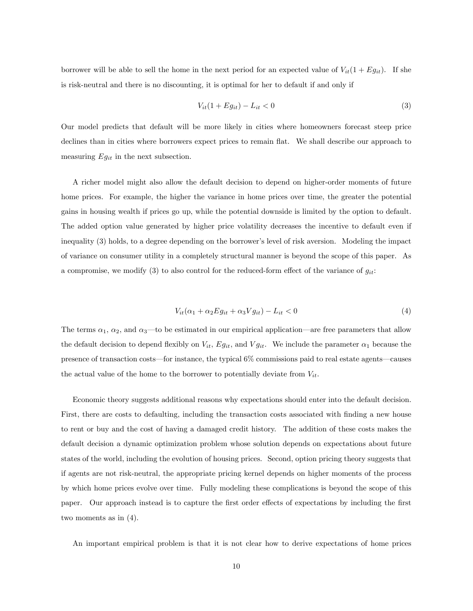borrower will be able to sell the home in the next period for an expected value of  $V_{it}(1 + Eg_{it})$ . If she is risk-neutral and there is no discounting, it is optimal for her to default if and only if

$$
V_{it}(1 + Eg_{it}) - L_{it} < 0 \tag{3}
$$

Our model predicts that default will be more likely in cities where homeowners forecast steep price declines than in cities where borrowers expect prices to remain flat. We shall describe our approach to measuring  $Eg_{it}$  in the next subsection.

A richer model might also allow the default decision to depend on higher-order moments of future home prices. For example, the higher the variance in home prices over time, the greater the potential gains in housing wealth if prices go up, while the potential downside is limited by the option to default. The added option value generated by higher price volatility decreases the incentive to default even if inequality (3) holds, to a degree depending on the borrower's level of risk aversion. Modeling the impact of variance on consumer utility in a completely structural manner is beyond the scope of this paper. As a compromise, we modify (3) to also control for the reduced-form effect of the variance of  $g_{it}$ :

$$
V_{it}(\alpha_1 + \alpha_2 E g_{it} + \alpha_3 V g_{it}) - L_{it} < 0 \tag{4}
$$

The terms  $\alpha_1$ ,  $\alpha_2$ , and  $\alpha_3$ —to be estimated in our empirical application—are free parameters that allow the default decision to depend flexibly on  $V_{it}$ ,  $Eg_{it}$ , and  $Vg_{it}$ . We include the parameter  $\alpha_1$  because the presence of transaction costs—for instance, the typical 6% commissions paid to real estate agents—causes the actual value of the home to the borrower to potentially deviate from  $V_{it}$ .

Economic theory suggests additional reasons why expectations should enter into the default decision. First, there are costs to defaulting, including the transaction costs associated with finding a new house to rent or buy and the cost of having a damaged credit history. The addition of these costs makes the default decision a dynamic optimization problem whose solution depends on expectations about future states of the world, including the evolution of housing prices. Second, option pricing theory suggests that if agents are not risk-neutral, the appropriate pricing kernel depends on higher moments of the process by which home prices evolve over time. Fully modeling these complications is beyond the scope of this paper. Our approach instead is to capture the first order effects of expectations by including the first two moments as in (4).

An important empirical problem is that it is not clear how to derive expectations of home prices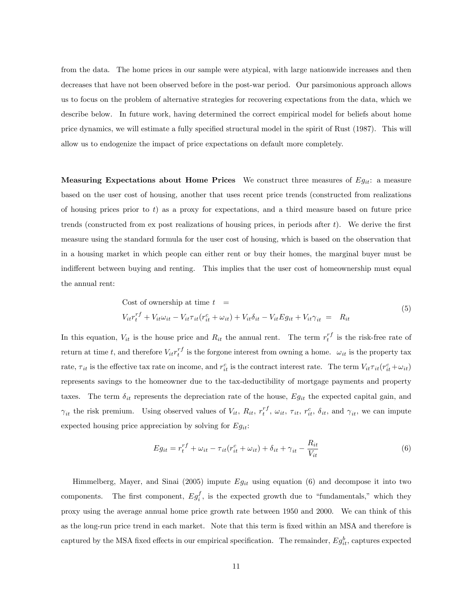from the data. The home prices in our sample were atypical, with large nationwide increases and then decreases that have not been observed before in the post-war period. Our parsimonious approach allows us to focus on the problem of alternative strategies for recovering expectations from the data, which we describe below. In future work, having determined the correct empirical model for beliefs about home price dynamics, we will estimate a fully specified structural model in the spirit of Rust (1987). This will allow us to endogenize the impact of price expectations on default more completely.

**Measuring Expectations about Home Prices** We construct three measures of  $Eg_{ii}$ : a measure based on the user cost of housing, another that uses recent price trends (constructed from realizations of housing prices prior to  $t$ ) as a proxy for expectations, and a third measure based on future price trends (constructed from ex post realizations of housing prices, in periods after  $t$ ). We derive the first measure using the standard formula for the user cost of housing, which is based on the observation that in a housing market in which people can either rent or buy their homes, the marginal buyer must be indifferent between buying and renting. This implies that the user cost of homeownership must equal the annual rent:

Cost of ownership at time 
$$
t = V_{it}r_t^f + V_{it}\omega_{it} - V_{it}\tau_{it}(r_{it}^c + \omega_{it}) + V_{it}\delta_{it} - V_{it}Eg_{it} + V_{it}\gamma_{it} = R_{it}
$$
 (5)

In this equation,  $V_{it}$  is the house price and  $R_{it}$  the annual rent. The term  $r_t^{rf}$  is the risk-free rate of return at time t, and therefore  $V_{it}r_t^{rf}$  is the forgone interest from owning a home.  $\omega_{it}$  is the property tax rate,  $\tau_{it}$  is the effective tax rate on income, and  $r_{it}^c$  is the contract interest rate. The term  $V_{it}\tau_{it}(r_{it}^c+\omega_{it})$ represents savings to the homeowner due to the tax-deductibility of mortgage payments and property taxes. The term  $\delta_{it}$  represents the depreciation rate of the house,  $Eg_{it}$  the expected capital gain, and  $\gamma_{it}$  the risk premium. Using observed values of  $V_{it}$ ,  $R_{it}$ ,  $r_t^{rf}$ ,  $\omega_{it}$ ,  $\tau_{it}$ ,  $r_{it}^c$ ,  $\delta_{it}$ , and  $\gamma_{it}$ , we can impute expected housing price appreciation by solving for  $Eg_{it}$ :

$$
E g_{it} = r_t^{rf} + \omega_{it} - \tau_{it} (r_{it}^c + \omega_{it}) + \delta_{it} + \gamma_{it} - \frac{R_{it}}{V_{it}}
$$
(6)

Himmelberg, Mayer, and Sinai (2005) impute  $Eg_{it}$  using equation (6) and decompose it into two components. The first component,  $Eg_i^f$ , is the expected growth due to "fundamentals," which they proxy using the average annual home price growth rate between 1950 and 2000. We can think of this as the long-run price trend in each market. Note that this term is fixed within an MSA and therefore is captured by the MSA fixed effects in our empirical specification. The remainder,  $Eg_{it}^b$ , captures expected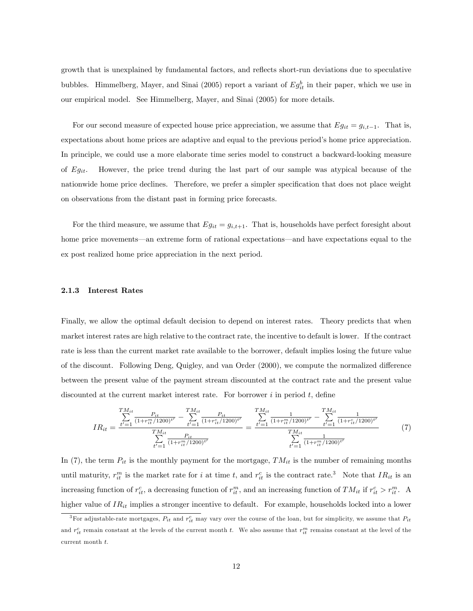growth that is unexplained by fundamental factors, and reflects short-run deviations due to speculative bubbles. Himmelberg, Mayer, and Sinai (2005) report a variant of  $Eg_{it}^b$  in their paper, which we use in our empirical model. See Himmelberg, Mayer, and Sinai (2005) for more details.

For our second measure of expected house price appreciation, we assume that  $Eg_{it} = g_{i,t-1}$ . That is, expectations about home prices are adaptive and equal to the previous period's home price appreciation. In principle, we could use a more elaborate time series model to construct a backward-looking measure of  $Eg_{it}$ . However, the price trend during the last part of our sample was atypical because of the nationwide home price declines. Therefore, we prefer a simpler specification that does not place weight on observations from the distant past in forming price forecasts.

For the third measure, we assume that  $Eg_{it} = g_{i,t+1}$ . That is, households have perfect foresight about home price movements—an extreme form of rational expectations—and have expectations equal to the ex post realized home price appreciation in the next period.

#### 2.1.3 Interest Rates

Finally, we allow the optimal default decision to depend on interest rates. Theory predicts that when market interest rates are high relative to the contract rate, the incentive to default is lower. If the contract rate is less than the current market rate available to the borrower, default implies losing the future value of the discount. Following Deng, Quigley, and van Order (2000), we compute the normalized difference between the present value of the payment stream discounted at the contract rate and the present value discounted at the current market interest rate. For borrower  $i$  in period  $t$ , define

$$
IR_{it} = \frac{\sum_{t'=1}^{TM_{it}} \frac{P_{it}}{(1+r_{it}^m/1200)^{t'}} - \sum_{t'=1}^{TM_{it}} \frac{P_{it}}{(1+r_{it}^c/1200)^{t'}}}{\sum_{t'=1}^{TM_{it}} \frac{P_{it}}{(1+r_{it}^c/1200)^{t'}}} = \frac{\sum_{t'=1}^{TM_{it}} \frac{1}{(1+r_{it}^m/1200)^{t'}} - \sum_{t'=1}^{TM_{it}} \frac{1}{(1+r_{it}^c/1200)^{t'}}}{\sum_{t'=1}^{TM_{it}} \frac{1}{(1+r_{it}^m/1200)^{t'}}}
$$
(7)

In (7), the term  $P_{it}$  is the monthly payment for the mortgage,  $TM_{it}$  is the number of remaining months until maturity,  $r_{it}^{m}$  is the market rate for i at time t, and  $r_{it}^{c}$  is the contract rate.<sup>3</sup> Note that  $IR_{it}$  is an increasing function of  $r_{it}^c$ , a decreasing function of  $r_{it}^m$ , and an increasing function of  $TM_{it}$  if  $r_{it}^c > r_{it}^m$ . A higher value of  $IR_{it}$  implies a stronger incentive to default. For example, households locked into a lower

<sup>&</sup>lt;sup>3</sup>For adjustable-rate mortgages,  $P_{it}$  and  $r_{it}^c$  may vary over the course of the loan, but for simplicity, we assume that  $P_{it}$ and  $r_{it}^c$  remain constant at the levels of the current month t. We also assume that  $r_{it}^m$  remains constant at the level of the current month t.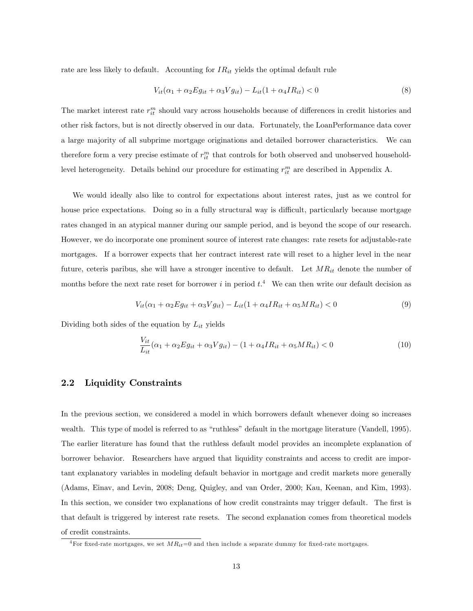rate are less likely to default. Accounting for  $IR_{it}$  yields the optimal default rule

$$
V_{it}(\alpha_1 + \alpha_2 E g_{it} + \alpha_3 V g_{it}) - L_{it}(1 + \alpha_4 I R_{it}) < 0 \tag{8}
$$

The market interest rate  $r_{it}^m$  should vary across households because of differences in credit histories and other risk factors, but is not directly observed in our data. Fortunately, the LoanPerformance data cover a large majority of all subprime mortgage originations and detailed borrower characteristics. We can therefore form a very precise estimate of  $r_{it}^m$  that controls for both observed and unobserved householdlevel heterogeneity. Details behind our procedure for estimating  $r_{it}^m$  are described in Appendix A.

We would ideally also like to control for expectations about interest rates, just as we control for house price expectations. Doing so in a fully structural way is difficult, particularly because mortgage rates changed in an atypical manner during our sample period, and is beyond the scope of our research. However, we do incorporate one prominent source of interest rate changes: rate resets for adjustable-rate mortgages. If a borrower expects that her contract interest rate will reset to a higher level in the near future, ceteris paribus, she will have a stronger incentive to default. Let  $MR_{it}$  denote the number of months before the next rate reset for borrower i in period  $t$ .<sup>4</sup> We can then write our default decision as

$$
V_{it}(\alpha_1 + \alpha_2 E g_{it} + \alpha_3 V g_{it}) - L_{it}(1 + \alpha_4 IR_{it} + \alpha_5 MR_{it}) < 0 \tag{9}
$$

Dividing both sides of the equation by  $L_{it}$  yields

$$
\frac{V_{it}}{L_{it}}(\alpha_1 + \alpha_2 E g_{it} + \alpha_3 V g_{it}) - (1 + \alpha_4 IR_{it} + \alpha_5 MR_{it}) < 0 \tag{10}
$$

### 2.2 Liquidity Constraints

In the previous section, we considered a model in which borrowers default whenever doing so increases wealth. This type of model is referred to as "ruthless" default in the mortgage literature (Vandell, 1995). The earlier literature has found that the ruthless default model provides an incomplete explanation of borrower behavior. Researchers have argued that liquidity constraints and access to credit are important explanatory variables in modeling default behavior in mortgage and credit markets more generally (Adams, Einav, and Levin, 2008; Deng, Quigley, and van Order, 2000; Kau, Keenan, and Kim, 1993). In this section, we consider two explanations of how credit constraints may trigger default. The first is that default is triggered by interest rate resets. The second explanation comes from theoretical models of credit constraints.

<sup>&</sup>lt;sup>4</sup>For fixed-rate mortgages, we set  $MR_{it}=0$  and then include a separate dummy for fixed-rate mortgages.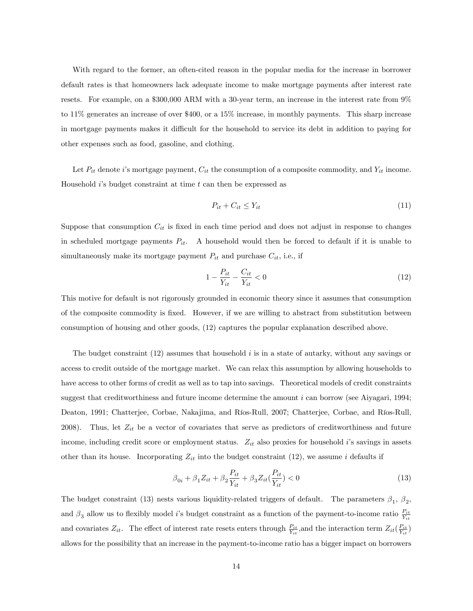With regard to the former, an often-cited reason in the popular media for the increase in borrower default rates is that homeowners lack adequate income to make mortgage payments after interest rate resets. For example, on a \$300,000 ARM with a 30-year term, an increase in the interest rate from 9% to 11% generates an increase of over \$400, or a 15% increase, in monthly payments. This sharp increase in mortgage payments makes it difficult for the household to service its debt in addition to paying for other expenses such as food, gasoline, and clothing.

Let  $P_{it}$  denote i's mortgage payment,  $C_{it}$  the consumption of a composite commodity, and  $Y_{it}$  income. Household  $i$ 's budget constraint at time  $t$  can then be expressed as

$$
P_{it} + C_{it} \le Y_{it} \tag{11}
$$

Suppose that consumption  $C_{it}$  is fixed in each time period and does not adjust in response to changes in scheduled mortgage payments  $P_{it}$ . A household would then be forced to default if it is unable to simultaneously make its mortgage payment  $P_{it}$  and purchase  $C_{it}$ , i.e., if

$$
1 - \frac{P_{it}}{Y_{it}} - \frac{C_{it}}{Y_{it}} < 0 \tag{12}
$$

This motive for default is not rigorously grounded in economic theory since it assumes that consumption of the composite commodity is fixed. However, if we are willing to abstract from substitution between consumption of housing and other goods, (12) captures the popular explanation described above.

The budget constraint  $(12)$  assumes that household i is in a state of autarky, without any savings or access to credit outside of the mortgage market. We can relax this assumption by allowing households to have access to other forms of credit as well as to tap into savings. Theoretical models of credit constraints suggest that creditworthiness and future income determine the amount  $i$  can borrow (see Aiyagari, 1994; Deaton, 1991; Chatterjee, Corbae, Nakajima, and Ríos-Rull, 2007; Chatterjee, Corbae, and Ríos-Rull, 2008). Thus, let  $Z_{it}$  be a vector of covariates that serve as predictors of creditworthiness and future income, including credit score or employment status.  $Z_{it}$  also proxies for household is savings in assets other than its house. Incorporating  $Z_{it}$  into the budget constraint (12), we assume i defaults if

$$
\beta_{0i} + \beta_1 Z_{it} + \beta_2 \frac{P_{it}}{Y_{it}} + \beta_3 Z_{it} \left(\frac{P_{it}}{Y_{it}}\right) < 0 \tag{13}
$$

The budget constraint (13) nests various liquidity-related triggers of default. The parameters  $\beta_1$ ,  $\beta_2$ , and  $\beta_3$  allow us to flexibly model is budget constraint as a function of the payment-to-income ratio  $\frac{P_{it}}{Y_{it}}$ and covariates  $Z_{it}$ . The effect of interest rate resets enters through  $\frac{P_{it}}{Y_{it}}$ , and the interaction term  $Z_{it}(\frac{P_{it}}{Y_{it}})$ allows for the possibility that an increase in the payment-to-income ratio has a bigger impact on borrowers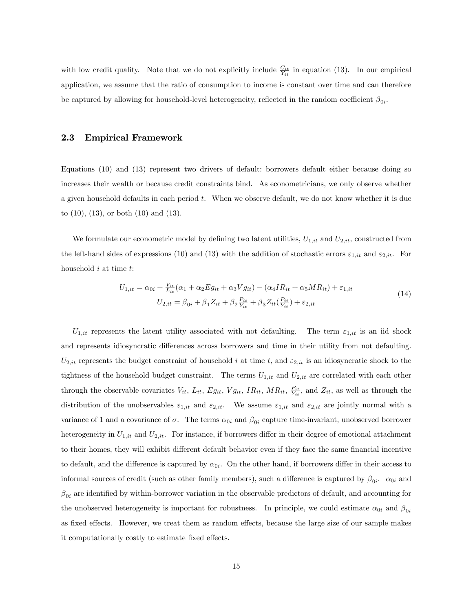with low credit quality. Note that we do not explicitly include  $\frac{C_{it}}{Y_{it}}$  in equation (13). In our empirical application, we assume that the ratio of consumption to income is constant over time and can therefore be captured by allowing for household-level heterogeneity, reflected in the random coefficient  $\beta_{0i}$ .

### 2.3 Empirical Framework

Equations (10) and (13) represent two drivers of default: borrowers default either because doing so increases their wealth or because credit constraints bind. As econometricians, we only observe whether a given household defaults in each period t. When we observe default, we do not know whether it is due to  $(10)$ ,  $(13)$ , or both  $(10)$  and  $(13)$ .

We formulate our econometric model by defining two latent utilities,  $U_{1,it}$  and  $U_{2,it}$ , constructed from the left-hand sides of expressions (10) and (13) with the addition of stochastic errors  $\varepsilon_{1,it}$  and  $\varepsilon_{2,it}$ . For household  $i$  at time  $t$ :

$$
U_{1,it} = \alpha_{0i} + \frac{V_{it}}{L_{it}}(\alpha_1 + \alpha_2 Eg_{it} + \alpha_3 Vg_{it}) - (\alpha_4 IR_{it} + \alpha_5 MR_{it}) + \varepsilon_{1,it}
$$
  

$$
U_{2,it} = \beta_{0i} + \beta_1 Z_{it} + \beta_2 \frac{P_{it}}{Y_{it}} + \beta_3 Z_{it}(\frac{P_{it}}{Y_{it}}) + \varepsilon_{2,it}
$$
 (14)

 $U_{1,it}$  represents the latent utility associated with not defaulting. The term  $\varepsilon_{1,it}$  is an iid shock and represents idiosyncratic differences across borrowers and time in their utility from not defaulting.  $U_{2,it}$  represents the budget constraint of household i at time t, and  $\varepsilon_{2,it}$  is an idiosyncratic shock to the tightness of the household budget constraint. The terms  $U_{1,it}$  and  $U_{2,it}$  are correlated with each other through the observable covariates  $V_{it}$ ,  $L_{it}$ ,  $Eg_{it}$ ,  $Vg_{it}$ ,  $IR_{it}$ ,  $MR_{it}$ ,  $\frac{P_{it}}{Y_{it}}$ , and  $Z_{it}$ , as well as through the distribution of the unobservables  $\varepsilon_{1,it}$  and  $\varepsilon_{2,it}$ . We assume  $\varepsilon_{1,it}$  and  $\varepsilon_{2,it}$  are jointly normal with a variance of 1 and a covariance of  $\sigma$ . The terms  $\alpha_{0i}$  and  $\beta_{0i}$  capture time-invariant, unobserved borrower heterogeneity in  $U_{1, it}$  and  $U_{2, it}$ . For instance, if borrowers differ in their degree of emotional attachment to their homes, they will exhibit different default behavior even if they face the same financial incentive to default, and the difference is captured by  $\alpha_{0i}$ . On the other hand, if borrowers differ in their access to informal sources of credit (such as other family members), such a difference is captured by  $\beta_{0i}$ .  $\alpha_{0i}$  and  $\beta_{0i}$  are identified by within-borrower variation in the observable predictors of default, and accounting for the unobserved heterogeneity is important for robustness. In principle, we could estimate  $\alpha_{0i}$  and  $\beta_{0i}$ as fixed effects. However, we treat them as random effects, because the large size of our sample makes it computationally costly to estimate fixed effects.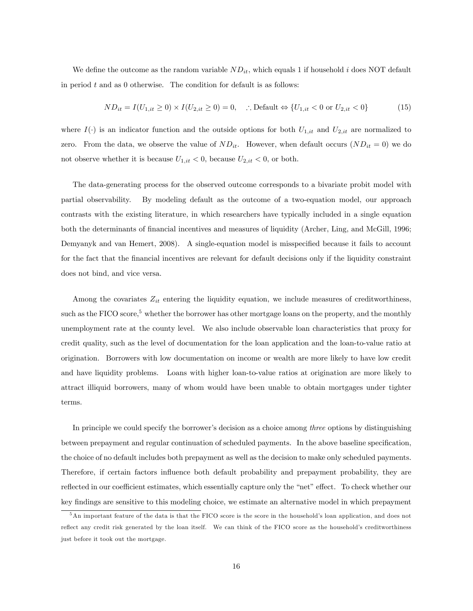We define the outcome as the random variable  $ND_{it}$ , which equals 1 if household i does NOT default in period  $t$  and as  $0$  otherwise. The condition for default is as follows:

$$
ND_{it} = I(U_{1,it} \ge 0) \times I(U_{2,it} \ge 0) = 0, \quad \therefore \text{Default} \Leftrightarrow \{U_{1,it} < 0 \text{ or } U_{2,it} < 0\} \tag{15}
$$

where  $I(\cdot)$  is an indicator function and the outside options for both  $U_{1,it}$  and  $U_{2,it}$  are normalized to zero. From the data, we observe the value of  $ND_{it}$ . However, when default occurs  $(ND_{it} = 0)$  we do not observe whether it is because  $U_{1,it} < 0$ , because  $U_{2,it} < 0$ , or both.

The data-generating process for the observed outcome corresponds to a bivariate probit model with partial observability. By modeling default as the outcome of a two-equation model, our approach contrasts with the existing literature, in which researchers have typically included in a single equation both the determinants of financial incentives and measures of liquidity (Archer, Ling, and McGill, 1996; Demyanyk and van Hemert, 2008). A single-equation model is misspecified because it fails to account for the fact that the financial incentives are relevant for default decisions only if the liquidity constraint does not bind, and vice versa.

Among the covariates  $Z_{it}$  entering the liquidity equation, we include measures of creditworthiness, such as the FICO score,<sup>5</sup> whether the borrower has other mortgage loans on the property, and the monthly unemployment rate at the county level. We also include observable loan characteristics that proxy for credit quality, such as the level of documentation for the loan application and the loan-to-value ratio at origination. Borrowers with low documentation on income or wealth are more likely to have low credit and have liquidity problems. Loans with higher loan-to-value ratios at origination are more likely to attract illiquid borrowers, many of whom would have been unable to obtain mortgages under tighter terms.

In principle we could specify the borrower's decision as a choice among *three* options by distinguishing between prepayment and regular continuation of scheduled payments. In the above baseline specification, the choice of no default includes both prepayment as well as the decision to make only scheduled payments. Therefore, if certain factors influence both default probability and prepayment probability, they are reflected in our coefficient estimates, which essentially capture only the "net" effect. To check whether our key findings are sensitive to this modeling choice, we estimate an alternative model in which prepayment

<sup>&</sup>lt;sup>5</sup>An important feature of the data is that the FICO score is the score in the household's loan application, and does not reflect any credit risk generated by the loan itself. We can think of the FICO score as the household's creditworthiness just before it took out the mortgage.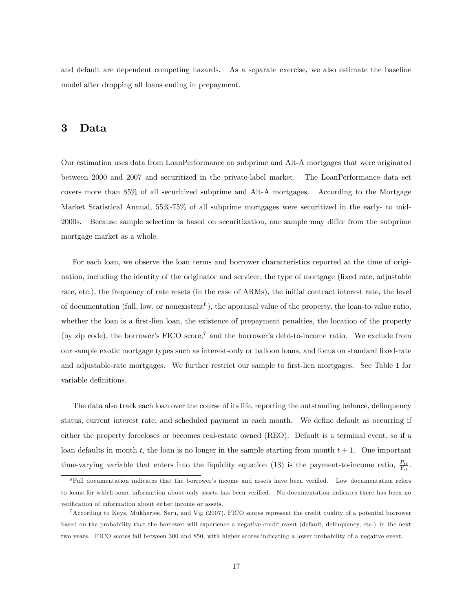and default are dependent competing hazards. As a separate exercise, we also estimate the baseline model after dropping all loans ending in prepayment.

## 3 Data

Our estimation uses data from LoanPerformance on subprime and Alt-A mortgages that were originated between 2000 and 2007 and securitized in the private-label market. The LoanPerformance data set covers more than 85% of all securitized subprime and Alt-A mortgages. According to the Mortgage Market Statistical Annual, 55%-75% of all subprime mortgages were securitized in the early- to mid-2000s. Because sample selection is based on securitization, our sample may differ from the subprime mortgage market as a whole.

For each loan, we observe the loan terms and borrower characteristics reported at the time of origination, including the identity of the originator and servicer, the type of mortgage (fixed rate, adjustable rate, etc.), the frequency of rate resets (in the case of ARMs), the initial contract interest rate, the level of documentation (full, low, or nonexistent<sup>6</sup>), the appraisal value of the property, the loan-to-value ratio, whether the loan is a first-lien loan, the existence of prepayment penalties, the location of the property (by zip code), the borrower's FICO score,<sup>7</sup> and the borrower's debt-to-income ratio. We exclude from our sample exotic mortgage types such as interest-only or balloon loans, and focus on standard fixed-rate and adjustable-rate mortgages. We further restrict our sample to first-lien mortgages. See Table 1 for variable definitions.

The data also track each loan over the course of its life, reporting the outstanding balance, delinquency status, current interest rate, and scheduled payment in each month. We define default as occurring if either the property forecloses or becomes real-estate owned (REO). Default is a terminal event, so if a loan defaults in month t, the loan is no longer in the sample starting from month  $t + 1$ . One important time-varying variable that enters into the liquidity equation (13) is the payment-to-income ratio,  $\frac{P_{it}}{Y_{it}}$ .

 $6$ Full documentation indicates that the borrower's income and assets have been verified. Low documentation refers to loans for which some information about only assets has been verified. No documentation indicates there has been no verification of information about either income or assets.

<sup>7</sup>According to Keys, Mukherjee, Seru, and Vig (2007), FICO scores represent the credit quality of a potential borrower based on the probability that the borrower will experience a negative credit event (default, delinquency, etc.) in the next two years. FICO scores fall between 300 and 850, with higher scores indicating a lower probability of a negative event.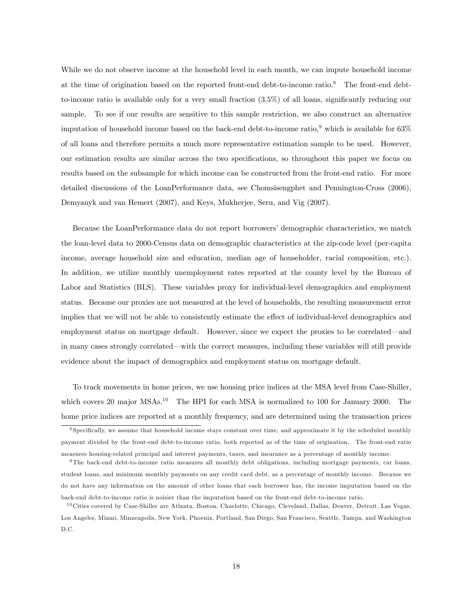While we do not observe income at the household level in each month, we can impute household income at the time of origination based on the reported front-end debt-to-income ratio.<sup>8</sup> The front-end debtto-income ratio is available only for a very small fraction  $(3.5\%)$  of all loans, significantly reducing our sample. To see if our results are sensitive to this sample restriction, we also construct an alternative imputation of household income based on the back-end debt-to-income ratio,<sup>9</sup> which is available for  $63\%$ of all loans and therefore permits a much more representative estimation sample to be used. However, our estimation results are similar across the two specifications, so throughout this paper we focus on results based on the subsample for which income can be constructed from the front-end ratio. For more detailed discussions of the LoanPerformance data, see Chomsisengphet and Pennington-Cross (2006), Demyanyk and van Hemert (2007), and Keys, Mukherjee, Seru, and Vig (2007).

Because the LoanPerformance data do not report borrowers' demographic characteristics, we match the loan-level data to 2000-Census data on demographic characteristics at the zip-code level (per-capita income, average household size and education, median age of householder, racial composition, etc.). In addition, we utilize monthly unemployment rates reported at the county level by the Bureau of Labor and Statistics (BLS). These variables proxy for individual-level demographics and employment status. Because our proxies are not measured at the level of households, the resulting measurement error implies that we will not be able to consistently estimate the effect of individual-level demographics and employment status on mortgage default. However, since we expect the proxies to be correlated—and in many cases strongly correlated—with the correct measures, including these variables will still provide evidence about the impact of demographics and employment status on mortgage default.

To track movements in home prices, we use housing price indices at the MSA level from Case-Shiller, which covers 20 major MSAs.<sup>10</sup> The HPI for each MSA is normalized to 100 for January 2000. The home price indices are reported at a monthly frequency, and are determined using the transaction prices

<sup>&</sup>lt;sup>8</sup> Specifically, we assume that household income stays constant over time, and approximate it by the scheduled monthly payment divided by the front-end debt-to-income ratio, both reported as of the time of origination. The front-end ratio measures housing-related principal and interest payments, taxes, and insurance as a percentage of monthly income.

 $9$ The back-end debt-to-income ratio measures all monthly debt obligations, including mortgage payments, car loans, student loans, and minimum monthly payments on any credit card debt, as a percentage of monthly income. Because we do not have any information on the amount of other loans that each borrower has, the income imputation based on the back-end debt-to-income ratio is noisier than the imputation based on the front-end debt-to-income ratio.

 $10$  Cities covered by Case-Shiller are Atlanta, Boston, Charlotte, Chicago, Cleveland, Dallas, Denver, Detroit, Las Vegas, Los Angeles, Miami, Minneapolis, New York, Phoenix, Portland, San Diego, San Francisco, Seattle, Tampa, and Washington D.C.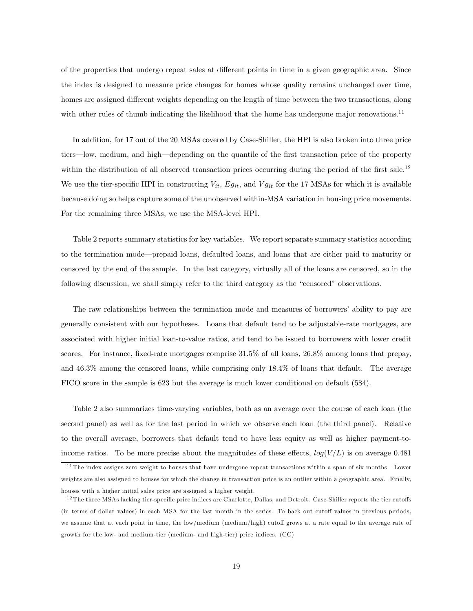of the properties that undergo repeat sales at different points in time in a given geographic area. Since the index is designed to measure price changes for homes whose quality remains unchanged over time, homes are assigned different weights depending on the length of time between the two transactions, along with other rules of thumb indicating the likelihood that the home has undergone major renovations.<sup>11</sup>

In addition, for 17 out of the 20 MSAs covered by Case-Shiller, the HPI is also broken into three price tiers—low, medium, and high—depending on the quantile of the first transaction price of the property within the distribution of all observed transaction prices occurring during the period of the first sale.<sup>12</sup> We use the tier-specific HPI in constructing  $V_{it}$ ,  $E_{lit}$ , and  $V_{git}$  for the 17 MSAs for which it is available because doing so helps capture some of the unobserved within-MSA variation in housing price movements. For the remaining three MSAs, we use the MSA-level HPI.

Table 2 reports summary statistics for key variables. We report separate summary statistics according to the termination mode—prepaid loans, defaulted loans, and loans that are either paid to maturity or censored by the end of the sample. In the last category, virtually all of the loans are censored, so in the following discussion, we shall simply refer to the third category as the "censored" observations.

The raw relationships between the termination mode and measures of borrowers' ability to pay are generally consistent with our hypotheses. Loans that default tend to be adjustable-rate mortgages, are associated with higher initial loan-to-value ratios, and tend to be issued to borrowers with lower credit scores. For instance, fixed-rate mortgages comprise 31.5% of all loans, 26.8% among loans that prepay, and 46.3% among the censored loans, while comprising only 18.4% of loans that default. The average FICO score in the sample is 623 but the average is much lower conditional on default (584).

Table 2 also summarizes time-varying variables, both as an average over the course of each loan (the second panel) as well as for the last period in which we observe each loan (the third panel). Relative to the overall average, borrowers that default tend to have less equity as well as higher payment-toincome ratios. To be more precise about the magnitudes of these effects,  $log(V/L)$  is on average 0.481

 $11$  The index assigns zero weight to houses that have undergone repeat transactions within a span of six months. Lower weights are also assigned to houses for which the change in transaction price is an outlier within a geographic area. Finally, houses with a higher initial sales price are assigned a higher weight.

 $12$  The three MSAs lacking tier-specific price indices are Charlotte, Dallas, and Detroit. Case-Shiller reports the tier cutoffs (in terms of dollar values) in each MSA for the last month in the series. To back out cutoff values in previous periods, we assume that at each point in time, the low/medium (medium/high) cutoff grows at a rate equal to the average rate of growth for the low- and medium-tier (medium- and high-tier) price indices. (CC)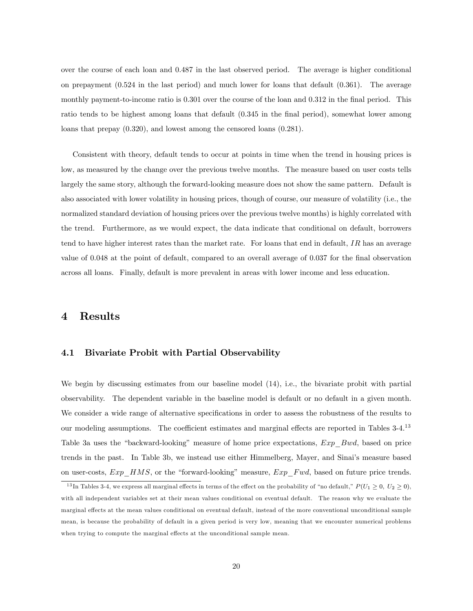over the course of each loan and 0.487 in the last observed period. The average is higher conditional on prepayment (0.524 in the last period) and much lower for loans that default (0.361). The average monthly payment-to-income ratio is  $0.301$  over the course of the loan and  $0.312$  in the final period. This ratio tends to be highest among loans that default  $(0.345 \text{ in the final period})$ , somewhat lower among loans that prepay (0.320), and lowest among the censored loans (0.281).

Consistent with theory, default tends to occur at points in time when the trend in housing prices is low, as measured by the change over the previous twelve months. The measure based on user costs tells largely the same story, although the forward-looking measure does not show the same pattern. Default is also associated with lower volatility in housing prices, though of course, our measure of volatility (i.e., the normalized standard deviation of housing prices over the previous twelve months) is highly correlated with the trend. Furthermore, as we would expect, the data indicate that conditional on default, borrowers tend to have higher interest rates than the market rate. For loans that end in default,  $IR$  has an average value of 0.048 at the point of default, compared to an overall average of 0.037 for the final observation across all loans. Finally, default is more prevalent in areas with lower income and less education.

## 4 Results

### 4.1 Bivariate Probit with Partial Observability

We begin by discussing estimates from our baseline model  $(14)$ , i.e., the bivariate probit with partial observability. The dependent variable in the baseline model is default or no default in a given month. We consider a wide range of alternative specifications in order to assess the robustness of the results to our modeling assumptions. The coefficient estimates and marginal effects are reported in Tables 3-4.<sup>13</sup> Table 3a uses the "backward-looking" measure of home price expectations,  $Exp\_Bwd$ , based on price trends in the past. In Table 3b, we instead use either Himmelberg, Mayer, and Sinai's measure based on user-costs,  $Exp$  HMS, or the "forward-looking" measure,  $Exp$  Fwd, based on future price trends.

<sup>&</sup>lt;sup>13</sup>In Tables 3-4, we express all marginal effects in terms of the effect on the probability of "no default,"  $P(U_1 \ge 0, U_2 \ge 0)$ , with all independent variables set at their mean values conditional on eventual default. The reason why we evaluate the marginal effects at the mean values conditional on eventual default, instead of the more conventional unconditional sample mean, is because the probability of default in a given period is very low, meaning that we encounter numerical problems when trying to compute the marginal effects at the unconditional sample mean.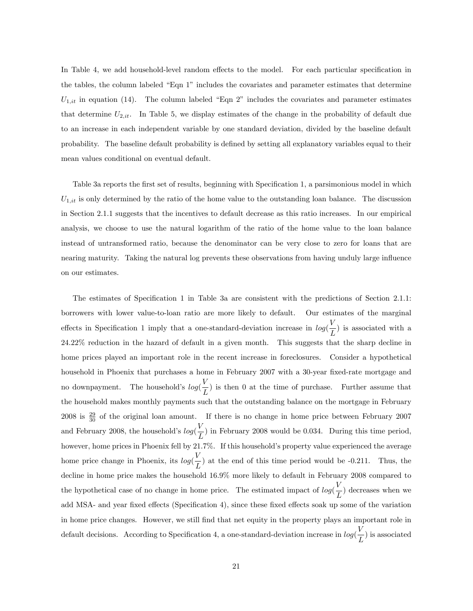In Table 4, we add household-level random effects to the model. For each particular specification in the tables, the column labeled "Eqn 1" includes the covariates and parameter estimates that determine  $U_{1,it}$  in equation (14). The column labeled "Eqn 2" includes the covariates and parameter estimates that determine  $U_{2,it}$ . In Table 5, we display estimates of the change in the probability of default due to an increase in each independent variable by one standard deviation, divided by the baseline default probability. The baseline default probability is defined by setting all explanatory variables equal to their mean values conditional on eventual default.

Table 3a reports the first set of results, beginning with Specification 1, a parsimonious model in which  $U_{1,it}$  is only determined by the ratio of the home value to the outstanding loan balance. The discussion in Section 2.1.1 suggests that the incentives to default decrease as this ratio increases. In our empirical analysis, we choose to use the natural logarithm of the ratio of the home value to the loan balance instead of untransformed ratio, because the denominator can be very close to zero for loans that are nearing maturity. Taking the natural log prevents these observations from having unduly large influence on our estimates.

The estimates of Specification 1 in Table 3a are consistent with the predictions of Section 2.1.1: borrowers with lower value-to-loan ratio are more likely to default. Our estimates of the marginal effects in Specification 1 imply that a one-standard-deviation increase in  $log(\frac{V}{I})$  $\left(\frac{L}{L}\right)$  is associated with a 24.22% reduction in the hazard of default in a given month. This suggests that the sharp decline in home prices played an important role in the recent increase in foreclosures. Consider a hypothetical household in Phoenix that purchases a home in February 2007 with a 30-year fixed-rate mortgage and no downpayment. The household's  $log(\frac{V}{I})$  $\left(\frac{L}{L}\right)$  is then 0 at the time of purchase. Further assume that the household makes monthly payments such that the outstanding balance on the mortgage in February 2008 is  $\frac{29}{30}$  of the original loan amount. If there is no change in home price between February 2007 and February 2008, the household's  $log(\frac{V}{I})$  $\left(\frac{L}{L}\right)$  in February 2008 would be 0.034. During this time period, however, home prices in Phoenix fell by 21.7%. If this household's property value experienced the average home price change in Phoenix, its  $log(\frac{V}{I})$  $\left(\frac{\cdot}{L}\right)$  at the end of this time period would be -0.211. Thus, the decline in home price makes the household 16.9% more likely to default in February 2008 compared to the hypothetical case of no change in home price. The estimated impact of  $log(\frac{V}{I})$  $\left(\frac{L}{L}\right)$  decreases when we add MSA- and year fixed effects (Specification 4), since these fixed effects soak up some of the variation in home price changes. However, we still Önd that net equity in the property plays an important role in default decisions. According to Specification 4, a one-standard-deviation increase in  $log(\frac{V}{I})$  $\frac{1}{L}$ ) is associated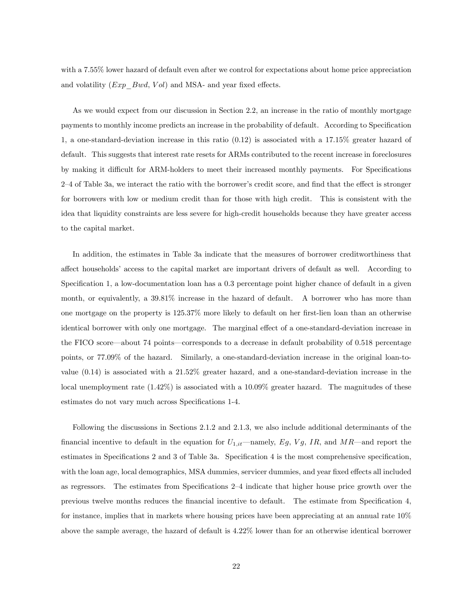with a 7.55% lower hazard of default even after we control for expectations about home price appreciation and volatility  $(Exp\,Bwd, Vol)$  and MSA- and year fixed effects.

As we would expect from our discussion in Section 2.2, an increase in the ratio of monthly mortgage payments to monthly income predicts an increase in the probability of default. According to Specification 1, a one-standard-deviation increase in this ratio (0.12) is associated with a 17.15% greater hazard of default. This suggests that interest rate resets for ARMs contributed to the recent increase in foreclosures by making it difficult for ARM-holders to meet their increased monthly payments. For Specifications 2<sup>-4</sup> of Table 3a, we interact the ratio with the borrower's credit score, and find that the effect is stronger for borrowers with low or medium credit than for those with high credit. This is consistent with the idea that liquidity constraints are less severe for high-credit households because they have greater access to the capital market.

In addition, the estimates in Table 3a indicate that the measures of borrower creditworthiness that affect households' access to the capital market are important drivers of default as well. According to Specification 1, a low-documentation loan has a  $0.3$  percentage point higher chance of default in a given month, or equivalently, a 39.81% increase in the hazard of default. A borrower who has more than one mortgage on the property is 125.37% more likely to default on her first-lien loan than an otherwise identical borrower with only one mortgage. The marginal effect of a one-standard-deviation increase in the FICO score—about 74 points—corresponds to a decrease in default probability of 0.518 percentage points, or 77.09% of the hazard. Similarly, a one-standard-deviation increase in the original loan-tovalue (0.14) is associated with a 21.52% greater hazard, and a one-standard-deviation increase in the local unemployment rate  $(1.42\%)$  is associated with a 10.09% greater hazard. The magnitudes of these estimates do not vary much across Specifications 1-4.

Following the discussions in Sections 2.1.2 and 2.1.3, we also include additional determinants of the financial incentive to default in the equation for  $U_{1,it}$ —namely, Eg, Vg, IR, and MR—and report the estimates in Specifications 2 and 3 of Table 3a. Specification 4 is the most comprehensive specification, with the loan age, local demographics, MSA dummies, servicer dummies, and year fixed effects all included as regressors. The estimates from Specifications  $2-4$  indicate that higher house price growth over the previous twelve months reduces the financial incentive to default. The estimate from Specification 4, for instance, implies that in markets where housing prices have been appreciating at an annual rate 10% above the sample average, the hazard of default is 4.22% lower than for an otherwise identical borrower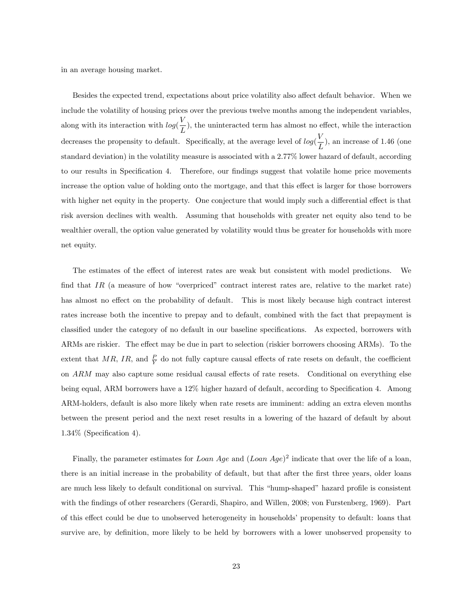in an average housing market.

Besides the expected trend, expectations about price volatility also affect default behavior. When we include the volatility of housing prices over the previous twelve months among the independent variables, along with its interaction with  $log(\frac{V}{I})$  $\frac{L}{L}$ , the uninteracted term has almost no effect, while the interaction decreases the propensity to default. Specifically, at the average level of  $log(\frac{V}{I})$  $\left(\frac{\cdot}{L}\right)$ , an increase of 1.46 (one standard deviation) in the volatility measure is associated with a 2.77% lower hazard of default, according to our results in Specification 4. Therefore, our findings suggest that volatile home price movements increase the option value of holding onto the mortgage, and that this effect is larger for those borrowers with higher net equity in the property. One conjecture that would imply such a differential effect is that risk aversion declines with wealth. Assuming that households with greater net equity also tend to be wealthier overall, the option value generated by volatility would thus be greater for households with more net equity.

The estimates of the effect of interest rates are weak but consistent with model predictions. We find that IR (a measure of how "overpriced" contract interest rates are, relative to the market rate) has almost no effect on the probability of default. This is most likely because high contract interest rates increase both the incentive to prepay and to default, combined with the fact that prepayment is classified under the category of no default in our baseline specifications. As expected, borrowers with ARMs are riskier. The effect may be due in part to selection (riskier borrowers choosing ARMs). To the extent that MR, IR, and  $\frac{P}{Y}$  do not fully capture causal effects of rate resets on default, the coefficient on  $ARM$  may also capture some residual causal effects of rate resets. Conditional on everything else being equal, ARM borrowers have a 12% higher hazard of default, according to Specification 4. Among ARM-holders, default is also more likely when rate resets are imminent: adding an extra eleven months between the present period and the next reset results in a lowering of the hazard of default by about  $1.34\%$  (Specification 4).

Finally, the parameter estimates for Loan Age and  $(Loan Age)^2$  indicate that over the life of a loan, there is an initial increase in the probability of default, but that after the first three years, older loans are much less likely to default conditional on survival. This "hump-shaped" hazard profile is consistent with the findings of other researchers (Gerardi, Shapiro, and Willen, 2008; von Furstenberg, 1969). Part of this effect could be due to unobserved heterogeneity in households' propensity to default: loans that survive are, by definition, more likely to be held by borrowers with a lower unobserved propensity to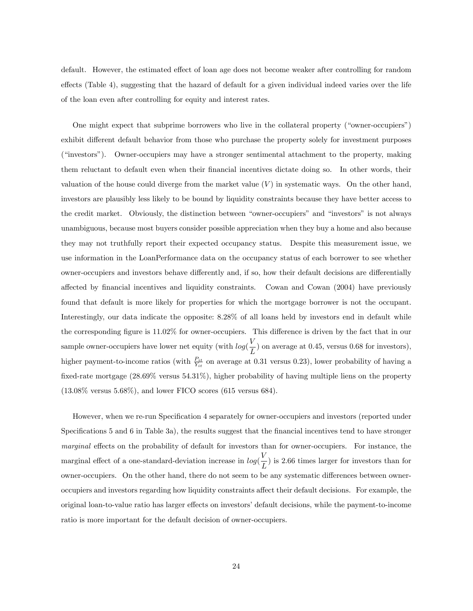default. However, the estimated effect of loan age does not become weaker after controlling for random effects (Table 4), suggesting that the hazard of default for a given individual indeed varies over the life of the loan even after controlling for equity and interest rates.

One might expect that subprime borrowers who live in the collateral property ("owner-occupiers") exhibit different default behavior from those who purchase the property solely for investment purposes ("investors"). Owner-occupiers may have a stronger sentimental attachment to the property, making them reluctant to default even when their Önancial incentives dictate doing so. In other words, their valuation of the house could diverge from the market value  $(V)$  in systematic ways. On the other hand, investors are plausibly less likely to be bound by liquidity constraints because they have better access to the credit market. Obviously, the distinction between "owner-occupiers" and "investors" is not always unambiguous, because most buyers consider possible appreciation when they buy a home and also because they may not truthfully report their expected occupancy status. Despite this measurement issue, we use information in the LoanPerformance data on the occupancy status of each borrower to see whether owner-occupiers and investors behave differently and, if so, how their default decisions are differentially affected by financial incentives and liquidity constraints. Cowan and Cowan (2004) have previously found that default is more likely for properties for which the mortgage borrower is not the occupant. Interestingly, our data indicate the opposite: 8.28% of all loans held by investors end in default while the corresponding figure is  $11.02\%$  for owner-occupiers. This difference is driven by the fact that in our sample owner-occupiers have lower net equity (with  $log(\frac{V}{I})$  $\left(\frac{\cdot}{L}\right)$  on average at 0.45, versus 0.68 for investors), higher payment-to-income ratios (with  $\frac{P_{it}}{Y_{it}}$  on average at 0.31 versus 0.23), lower probability of having a fixed-rate mortgage  $(28.69\%$  versus  $54.31\%)$ , higher probability of having multiple liens on the property  $(13.08\%$  versus  $5.68\%$ ), and lower FICO scores  $(615$  versus 684).

However, when we re-run Specification 4 separately for owner-occupiers and investors (reported under Specifications 5 and 6 in Table 3a), the results suggest that the financial incentives tend to have stronger marginal effects on the probability of default for investors than for owner-occupiers. For instance, the marginal effect of a one-standard-deviation increase in  $log(\frac{V}{I})$  $\left(\frac{L}{L}\right)$  is 2.66 times larger for investors than for owner-occupiers. On the other hand, there do not seem to be any systematic differences between owneroccupiers and investors regarding how liquidity constraints a§ect their default decisions. For example, the original loan-to-value ratio has larger effects on investors' default decisions, while the payment-to-income ratio is more important for the default decision of owner-occupiers.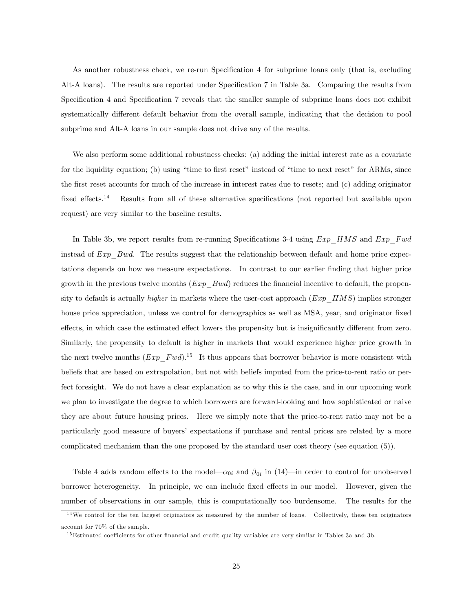As another robustness check, we re-run Specification 4 for subprime loans only (that is, excluding Alt-A loans). The results are reported under Specification 7 in Table 3a. Comparing the results from Specification 4 and Specification 7 reveals that the smaller sample of subprime loans does not exhibit systematically different default behavior from the overall sample, indicating that the decision to pool subprime and Alt-A loans in our sample does not drive any of the results.

We also perform some additional robustness checks: (a) adding the initial interest rate as a covariate for the liquidity equation; (b) using "time to first reset" instead of "time to next reset" for ARMs, since the Örst reset accounts for much of the increase in interest rates due to resets; and (c) adding originator fixed effects.<sup>14</sup> Results from all of these alternative specifications (not reported but available upon request) are very similar to the baseline results.

In Table 3b, we report results from re-running Specifications 3-4 using  $Exp$  HMS and  $Exp$  Fwd instead of  $Exp$  Bwd. The results suggest that the relationship between default and home price expectations depends on how we measure expectations. In contrast to our earlier Önding that higher price growth in the previous twelve months  $(Exp_Bwd)$  reduces the financial incentive to default, the propensity to default is actually *higher* in markets where the user-cost approach  $(Exp-HMS)$  implies stronger house price appreciation, unless we control for demographics as well as MSA, year, and originator fixed effects, in which case the estimated effect lowers the propensity but is insignificantly different from zero. Similarly, the propensity to default is higher in markets that would experience higher price growth in the next twelve months  $(Exp\_Fwd).<sup>15</sup>$  It thus appears that borrower behavior is more consistent with beliefs that are based on extrapolation, but not with beliefs imputed from the price-to-rent ratio or perfect foresight. We do not have a clear explanation as to why this is the case, and in our upcoming work we plan to investigate the degree to which borrowers are forward-looking and how sophisticated or naive they are about future housing prices. Here we simply note that the price-to-rent ratio may not be a particularly good measure of buyersí expectations if purchase and rental prices are related by a more complicated mechanism than the one proposed by the standard user cost theory (see equation (5)).

Table 4 adds random effects to the model— $\alpha_{0i}$  and  $\beta_{0i}$  in (14)—in order to control for unobserved borrower heterogeneity. In principle, we can include fixed effects in our model. However, given the number of observations in our sample, this is computationally too burdensome. The results for the

<sup>&</sup>lt;sup>14</sup>We control for the ten largest originators as measured by the number of loans. Collectively, these ten originators account for 70% of the sample.

<sup>&</sup>lt;sup>15</sup>Estimated coefficients for other financial and credit quality variables are very similar in Tables 3a and 3b.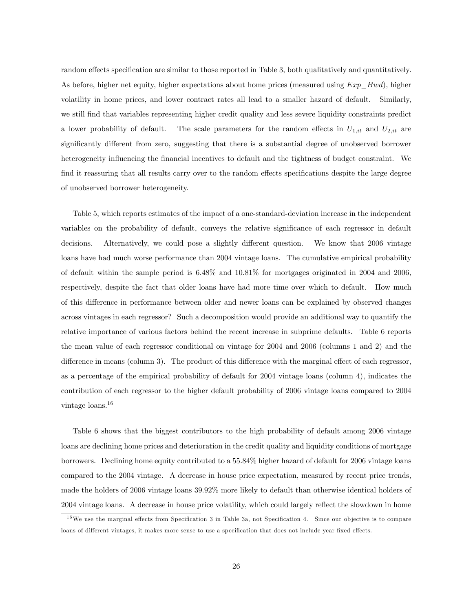random effects specification are similar to those reported in Table 3, both qualitatively and quantitatively. As before, higher net equity, higher expectations about home prices (measured using  $Exp\_Bwd$ ), higher volatility in home prices, and lower contract rates all lead to a smaller hazard of default. Similarly, we still find that variables representing higher credit quality and less severe liquidity constraints predict a lower probability of default. The scale parameters for the random effects in  $U_{1,it}$  and  $U_{2,it}$  are significantly different from zero, suggesting that there is a substantial degree of unobserved borrower heterogeneity influencing the financial incentives to default and the tightness of budget constraint. We find it reassuring that all results carry over to the random effects specifications despite the large degree of unobserved borrower heterogeneity.

Table 5, which reports estimates of the impact of a one-standard-deviation increase in the independent variables on the probability of default, conveys the relative significance of each regressor in default decisions. Alternatively, we could pose a slightly different question. We know that 2006 vintage loans have had much worse performance than 2004 vintage loans. The cumulative empirical probability of default within the sample period is 6.48% and 10.81% for mortgages originated in 2004 and 2006, respectively, despite the fact that older loans have had more time over which to default. How much of this difference in performance between older and newer loans can be explained by observed changes across vintages in each regressor? Such a decomposition would provide an additional way to quantify the relative importance of various factors behind the recent increase in subprime defaults. Table 6 reports the mean value of each regressor conditional on vintage for 2004 and 2006 (columns 1 and 2) and the difference in means (column 3). The product of this difference with the marginal effect of each regressor, as a percentage of the empirical probability of default for 2004 vintage loans (column 4), indicates the contribution of each regressor to the higher default probability of 2006 vintage loans compared to 2004 vintage loans.<sup>16</sup>

Table 6 shows that the biggest contributors to the high probability of default among 2006 vintage loans are declining home prices and deterioration in the credit quality and liquidity conditions of mortgage borrowers. Declining home equity contributed to a 55.84% higher hazard of default for 2006 vintage loans compared to the 2004 vintage. A decrease in house price expectation, measured by recent price trends, made the holders of 2006 vintage loans 39.92% more likely to default than otherwise identical holders of 2004 vintage loans. A decrease in house price volatility, which could largely reflect the slowdown in home

 $16$ We use the marginal effects from Specification 3 in Table 3a, not Specification 4. Since our objective is to compare loans of different vintages, it makes more sense to use a specification that does not include year fixed effects.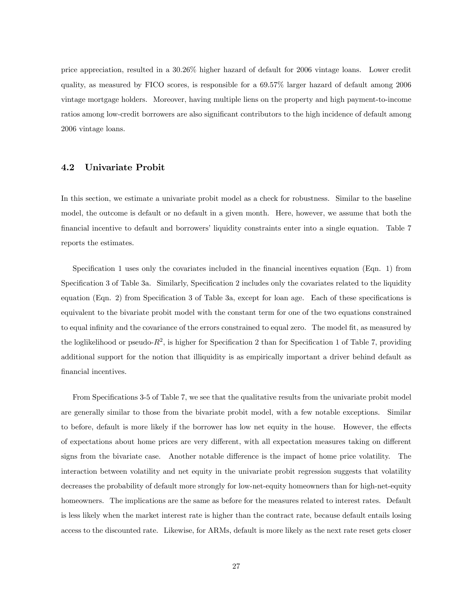price appreciation, resulted in a 30.26% higher hazard of default for 2006 vintage loans. Lower credit quality, as measured by FICO scores, is responsible for a 69.57% larger hazard of default among 2006 vintage mortgage holders. Moreover, having multiple liens on the property and high payment-to-income ratios among low-credit borrowers are also significant contributors to the high incidence of default among 2006 vintage loans.

### 4.2 Univariate Probit

In this section, we estimate a univariate probit model as a check for robustness. Similar to the baseline model, the outcome is default or no default in a given month. Here, however, we assume that both the financial incentive to default and borrowers' liquidity constraints enter into a single equation. Table 7 reports the estimates.

Specification 1 uses only the covariates included in the financial incentives equation (Eqn. 1) from Specification 3 of Table 3a. Similarly, Specification 2 includes only the covariates related to the liquidity equation (Eqn. 2) from Specification 3 of Table 3a, except for loan age. Each of these specifications is equivalent to the bivariate probit model with the constant term for one of the two equations constrained to equal infinity and the covariance of the errors constrained to equal zero. The model fit, as measured by the loglikelihood or pseudo- $R^2$ , is higher for Specification 2 than for Specification 1 of Table 7, providing additional support for the notion that illiquidity is as empirically important a driver behind default as financial incentives.

From Specifications 3-5 of Table 7, we see that the qualitative results from the univariate probit model are generally similar to those from the bivariate probit model, with a few notable exceptions. Similar to before, default is more likely if the borrower has low net equity in the house. However, the effects of expectations about home prices are very different, with all expectation measures taking on different signs from the bivariate case. Another notable difference is the impact of home price volatility. The interaction between volatility and net equity in the univariate probit regression suggests that volatility decreases the probability of default more strongly for low-net-equity homeowners than for high-net-equity homeowners. The implications are the same as before for the measures related to interest rates. Default is less likely when the market interest rate is higher than the contract rate, because default entails losing access to the discounted rate. Likewise, for ARMs, default is more likely as the next rate reset gets closer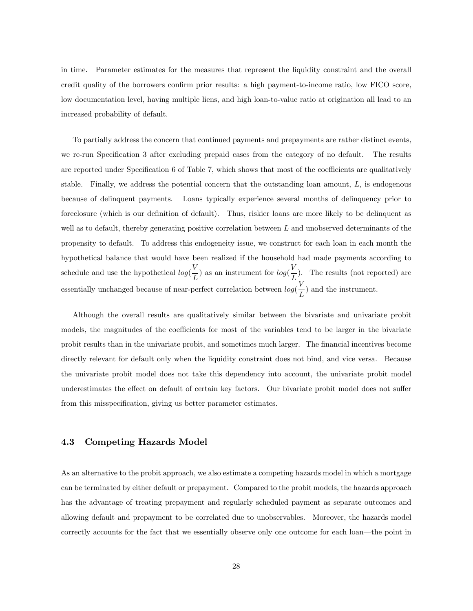in time. Parameter estimates for the measures that represent the liquidity constraint and the overall credit quality of the borrowers confirm prior results: a high payment-to-income ratio, low FICO score, low documentation level, having multiple liens, and high loan-to-value ratio at origination all lead to an increased probability of default.

To partially address the concern that continued payments and prepayments are rather distinct events, we re-run Specification 3 after excluding prepaid cases from the category of no default. The results are reported under Specification 6 of Table 7, which shows that most of the coefficients are qualitatively stable. Finally, we address the potential concern that the outstanding loan amount,  $L$ , is endogenous because of delinquent payments. Loans typically experience several months of delinquency prior to foreclosure (which is our definition of default). Thus, riskier loans are more likely to be delinquent as well as to default, thereby generating positive correlation between  $L$  and unobserved determinants of the propensity to default. To address this endogeneity issue, we construct for each loan in each month the hypothetical balance that would have been realized if the household had made payments according to schedule and use the hypothetical  $log(\frac{V}{I})$  $\frac{V}{L}$ ) as an instrument for  $log(\frac{V}{L})$  $\frac{L}{L}$ ). The results (not reported) are essentially unchanged because of near-perfect correlation between  $log(\frac{V}{I})$  $\frac{1}{L}$ ) and the instrument.

Although the overall results are qualitatively similar between the bivariate and univariate probit models, the magnitudes of the coefficients for most of the variables tend to be larger in the bivariate probit results than in the univariate probit, and sometimes much larger. The Önancial incentives become directly relevant for default only when the liquidity constraint does not bind, and vice versa. Because the univariate probit model does not take this dependency into account, the univariate probit model underestimates the effect on default of certain key factors. Our bivariate probit model does not suffer from this misspecification, giving us better parameter estimates.

### 4.3 Competing Hazards Model

As an alternative to the probit approach, we also estimate a competing hazards model in which a mortgage can be terminated by either default or prepayment. Compared to the probit models, the hazards approach has the advantage of treating prepayment and regularly scheduled payment as separate outcomes and allowing default and prepayment to be correlated due to unobservables. Moreover, the hazards model correctly accounts for the fact that we essentially observe only one outcome for each loan—the point in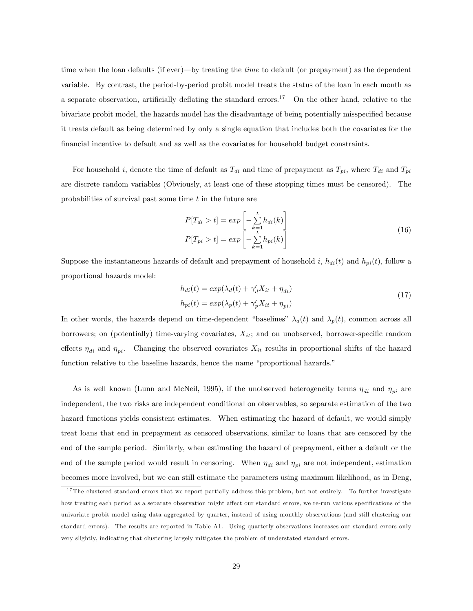time when the loan defaults (if ever)—by treating the *time* to default (or prepayment) as the dependent variable. By contrast, the period-by-period probit model treats the status of the loan in each month as a separate observation, artificially deflating the standard errors.<sup>17</sup> On the other hand, relative to the bivariate probit model, the hazards model has the disadvantage of being potentially misspecified because it treats default as being determined by only a single equation that includes both the covariates for the financial incentive to default and as well as the covariates for household budget constraints.

For household i, denote the time of default as  $T_{di}$  and time of prepayment as  $T_{pi}$ , where  $T_{di}$  and  $T_{pi}$ are discrete random variables (Obviously, at least one of these stopping times must be censored). The probabilities of survival past some time  $t$  in the future are

$$
P[T_{di} > t] = exp\left[-\sum_{k=1}^{t} h_{di}(k)\right]
$$
  

$$
P[T_{pi} > t] = exp\left[-\sum_{k=1}^{t} h_{pi}(k)\right]
$$
 (16)

Suppose the instantaneous hazards of default and prepayment of household i,  $h_{di}(t)$  and  $h_{pi}(t)$ , follow a proportional hazards model:

$$
h_{di}(t) = exp(\lambda_d(t) + \gamma_d' X_{it} + \eta_{di})
$$
  
\n
$$
h_{pi}(t) = exp(\lambda_p(t) + \gamma_p' X_{it} + \eta_{pi})
$$
\n(17)

In other words, the hazards depend on time-dependent "baselines"  $\lambda_d(t)$  and  $\lambda_p(t)$ , common across all borrowers; on (potentially) time-varying covariates,  $X_{it}$ ; and on unobserved, borrower-specific random effects  $\eta_{di}$  and  $\eta_{pi}$ . Changing the observed covariates  $X_{it}$  results in proportional shifts of the hazard function relative to the baseline hazards, hence the name "proportional hazards."

As is well known (Lunn and McNeil, 1995), if the unobserved heterogeneity terms  $\eta_{di}$  and  $\eta_{pi}$  are independent, the two risks are independent conditional on observables, so separate estimation of the two hazard functions yields consistent estimates. When estimating the hazard of default, we would simply treat loans that end in prepayment as censored observations, similar to loans that are censored by the end of the sample period. Similarly, when estimating the hazard of prepayment, either a default or the end of the sample period would result in censoring. When  $\eta_{di}$  and  $\eta_{ni}$  are not independent, estimation becomes more involved, but we can still estimate the parameters using maximum likelihood, as in Deng,

 $17$  The clustered standard errors that we report partially address this problem, but not entirely. To further investigate how treating each period as a separate observation might affect our standard errors, we re-run various specifications of the univariate probit model using data aggregated by quarter, instead of using monthly observations (and still clustering our standard errors). The results are reported in Table A1. Using quarterly observations increases our standard errors only very slightly, indicating that clustering largely mitigates the problem of understated standard errors.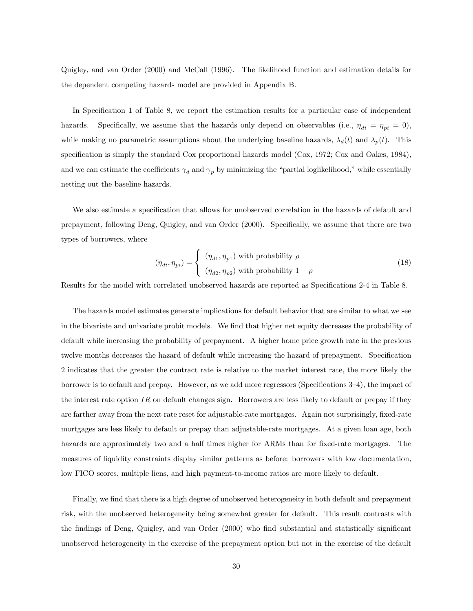Quigley, and van Order (2000) and McCall (1996). The likelihood function and estimation details for the dependent competing hazards model are provided in Appendix B.

In Specification 1 of Table 8, we report the estimation results for a particular case of independent hazards. Specifically, we assume that the hazards only depend on observables (i.e.,  $\eta_{di} = \eta_{pi} = 0$ ), while making no parametric assumptions about the underlying baseline hazards,  $\lambda_d(t)$  and  $\lambda_p(t)$ . This specification is simply the standard Cox proportional hazards model (Cox, 1972; Cox and Oakes, 1984), and we can estimate the coefficients  $\gamma_d$  and  $\gamma_p$  by minimizing the "partial loglikelihood," while essentially netting out the baseline hazards.

We also estimate a specification that allows for unobserved correlation in the hazards of default and prepayment, following Deng, Quigley, and van Order (2000). Specifically, we assume that there are two types of borrowers, where

$$
(\eta_{di}, \eta_{pi}) = \begin{cases} (\eta_{d1}, \eta_{p1}) \text{ with probability } \rho \\ (\eta_{d2}, \eta_{p2}) \text{ with probability } 1 - \rho \end{cases}
$$
 (18)

Results for the model with correlated unobserved hazards are reported as Specifications 2-4 in Table 8.

The hazards model estimates generate implications for default behavior that are similar to what we see in the bivariate and univariate probit models. We find that higher net equity decreases the probability of default while increasing the probability of prepayment. A higher home price growth rate in the previous twelve months decreases the hazard of default while increasing the hazard of prepayment. Specification 2 indicates that the greater the contract rate is relative to the market interest rate, the more likely the borrower is to default and prepay. However, as we add more regressors (Specifications  $3-4$ ), the impact of the interest rate option  $IR$  on default changes sign. Borrowers are less likely to default or prepay if they are farther away from the next rate reset for adjustable-rate mortgages. Again not surprisingly, fixed-rate mortgages are less likely to default or prepay than adjustable-rate mortgages. At a given loan age, both hazards are approximately two and a half times higher for ARMs than for fixed-rate mortgages. The measures of liquidity constraints display similar patterns as before: borrowers with low documentation, low FICO scores, multiple liens, and high payment-to-income ratios are more likely to default.

Finally, we find that there is a high degree of unobserved heterogeneity in both default and prepayment risk, with the unobserved heterogeneity being somewhat greater for default. This result contrasts with the findings of Deng, Quigley, and van Order (2000) who find substantial and statistically significant unobserved heterogeneity in the exercise of the prepayment option but not in the exercise of the default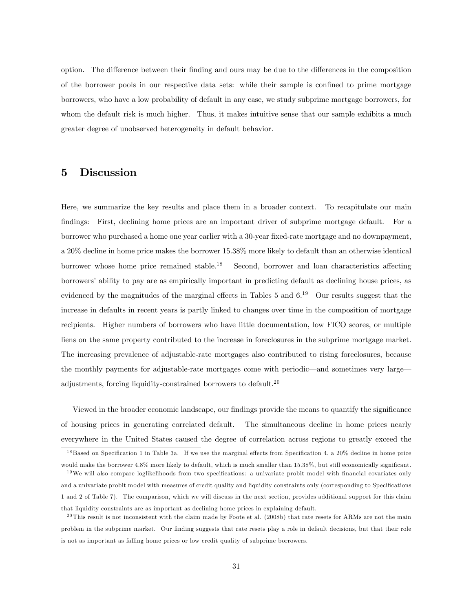option. The difference between their finding and ours may be due to the differences in the composition of the borrower pools in our respective data sets: while their sample is confined to prime mortgage borrowers, who have a low probability of default in any case, we study subprime mortgage borrowers, for whom the default risk is much higher. Thus, it makes intuitive sense that our sample exhibits a much greater degree of unobserved heterogeneity in default behavior.

# 5 Discussion

Here, we summarize the key results and place them in a broader context. To recapitulate our main findings: First, declining home prices are an important driver of subprime mortgage default. For a borrower who purchased a home one year earlier with a 30-year fixed-rate mortgage and no downpayment, a 20% decline in home price makes the borrower 15.38% more likely to default than an otherwise identical borrower whose home price remained stable.<sup>18</sup> Second, borrower and loan characteristics affecting borrowersíability to pay are as empirically important in predicting default as declining house prices, as evidenced by the magnitudes of the marginal effects in Tables 5 and  $6^{19}$  Our results suggest that the increase in defaults in recent years is partly linked to changes over time in the composition of mortgage recipients. Higher numbers of borrowers who have little documentation, low FICO scores, or multiple liens on the same property contributed to the increase in foreclosures in the subprime mortgage market. The increasing prevalence of adjustable-rate mortgages also contributed to rising foreclosures, because the monthly payments for adjustable-rate mortgages come with periodic—and sometimes very large adjustments, forcing liquidity-constrained borrowers to default.<sup>20</sup>

Viewed in the broader economic landscape, our findings provide the means to quantify the significance of housing prices in generating correlated default. The simultaneous decline in home prices nearly everywhere in the United States caused the degree of correlation across regions to greatly exceed the

 $18$  Based on Specification 1 in Table 3a. If we use the marginal effects from Specification 4, a 20% decline in home price would make the borrower 4.8% more likely to default, which is much smaller than 15.38%, but still economically significant.

 $19\,\text{We will also compare loglikelihoods from two specifications: a univariate probit model with financial covariates only}$ and a univariate probit model with measures of credit quality and liquidity constraints only (corresponding to Specifications 1 and 2 of Table 7). The comparison, which we will discuss in the next section, provides additional support for this claim that liquidity constraints are as important as declining home prices in explaining default.

 $^{20}$ This result is not inconsistent with the claim made by Foote et al. (2008b) that rate resets for ARMs are not the main problem in the subprime market. Our finding suggests that rate resets play a role in default decisions, but that their role is not as important as falling home prices or low credit quality of subprime borrowers.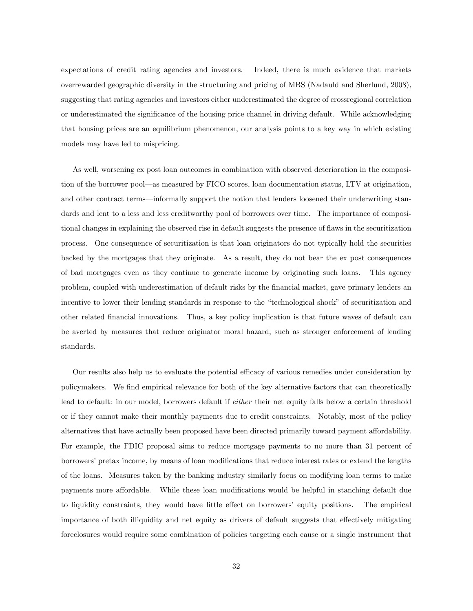expectations of credit rating agencies and investors. Indeed, there is much evidence that markets overrewarded geographic diversity in the structuring and pricing of MBS (Nadauld and Sherlund, 2008), suggesting that rating agencies and investors either underestimated the degree of crossregional correlation or underestimated the significance of the housing price channel in driving default. While acknowledging that housing prices are an equilibrium phenomenon, our analysis points to a key way in which existing models may have led to mispricing.

As well, worsening ex post loan outcomes in combination with observed deterioration in the composition of the borrower pool—as measured by FICO scores, loan documentation status, LTV at origination, and other contract terms—informally support the notion that lenders loosened their underwriting standards and lent to a less and less creditworthy pool of borrowers over time. The importance of compositional changes in explaining the observed rise in default suggests the presence of flaws in the securitization process. One consequence of securitization is that loan originators do not typically hold the securities backed by the mortgages that they originate. As a result, they do not bear the ex post consequences of bad mortgages even as they continue to generate income by originating such loans. This agency problem, coupled with underestimation of default risks by the Önancial market, gave primary lenders an incentive to lower their lending standards in response to the "technological shock" of securitization and other related Önancial innovations. Thus, a key policy implication is that future waves of default can be averted by measures that reduce originator moral hazard, such as stronger enforcement of lending standards.

Our results also help us to evaluate the potential efficacy of various remedies under consideration by policymakers. We find empirical relevance for both of the key alternative factors that can theoretically lead to default: in our model, borrowers default if either their net equity falls below a certain threshold or if they cannot make their monthly payments due to credit constraints. Notably, most of the policy alternatives that have actually been proposed have been directed primarily toward payment affordability. For example, the FDIC proposal aims to reduce mortgage payments to no more than 31 percent of borrowers' pretax income, by means of loan modifications that reduce interest rates or extend the lengths of the loans. Measures taken by the banking industry similarly focus on modifying loan terms to make payments more affordable. While these loan modifications would be helpful in stanching default due to liquidity constraints, they would have little effect on borrowers' equity positions. The empirical importance of both illiquidity and net equity as drivers of default suggests that effectively mitigating foreclosures would require some combination of policies targeting each cause or a single instrument that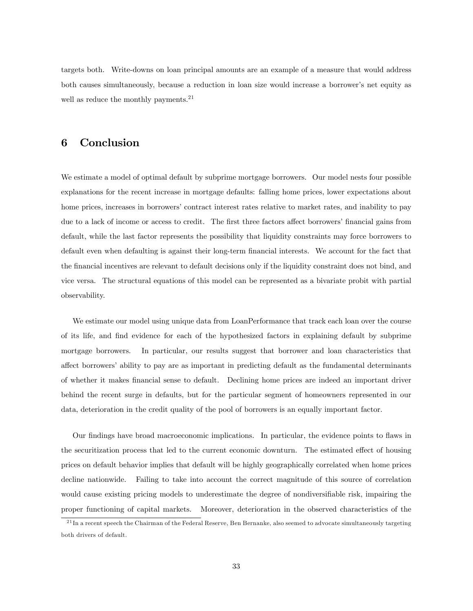targets both. Write-downs on loan principal amounts are an example of a measure that would address both causes simultaneously, because a reduction in loan size would increase a borrower's net equity as well as reduce the monthly payments.<sup>21</sup>

## 6 Conclusion

We estimate a model of optimal default by subprime mortgage borrowers. Our model nests four possible explanations for the recent increase in mortgage defaults: falling home prices, lower expectations about home prices, increases in borrowers' contract interest rates relative to market rates, and inability to pay due to a lack of income or access to credit. The first three factors affect borrowers' financial gains from default, while the last factor represents the possibility that liquidity constraints may force borrowers to default even when defaulting is against their long-term financial interests. We account for the fact that the Önancial incentives are relevant to default decisions only if the liquidity constraint does not bind, and vice versa. The structural equations of this model can be represented as a bivariate probit with partial observability.

We estimate our model using unique data from LoanPerformance that track each loan over the course of its life, and Önd evidence for each of the hypothesized factors in explaining default by subprime mortgage borrowers. In particular, our results suggest that borrower and loan characteristics that affect borrowers' ability to pay are as important in predicting default as the fundamental determinants of whether it makes Önancial sense to default. Declining home prices are indeed an important driver behind the recent surge in defaults, but for the particular segment of homeowners represented in our data, deterioration in the credit quality of the pool of borrowers is an equally important factor.

Our findings have broad macroeconomic implications. In particular, the evidence points to flaws in the securitization process that led to the current economic downturn. The estimated effect of housing prices on default behavior implies that default will be highly geographically correlated when home prices decline nationwide. Failing to take into account the correct magnitude of this source of correlation would cause existing pricing models to underestimate the degree of nondiversifiable risk, impairing the proper functioning of capital markets. Moreover, deterioration in the observed characteristics of the

 $^{21}$ In a recent speech the Chairman of the Federal Reserve, Ben Bernanke, also seemed to advocate simultaneously targeting both drivers of default.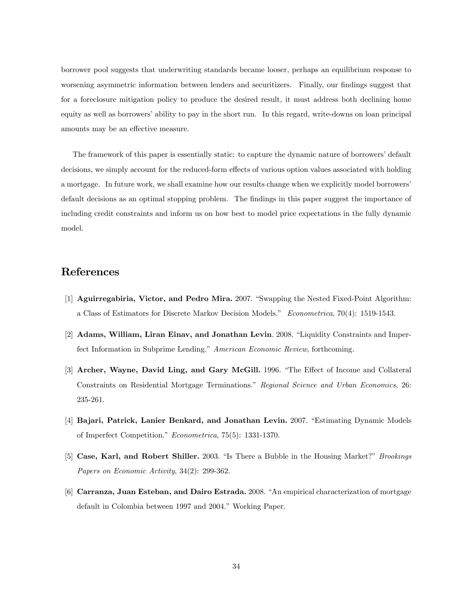borrower pool suggests that underwriting standards became looser, perhaps an equilibrium response to worsening asymmetric information between lenders and securitizers. Finally, our findings suggest that for a foreclosure mitigation policy to produce the desired result, it must address both declining home equity as well as borrowers' ability to pay in the short run. In this regard, write-downs on loan principal amounts may be an effective measure.

The framework of this paper is essentially static: to capture the dynamic nature of borrowers' default decisions, we simply account for the reduced-form effects of various option values associated with holding a mortgage. In future work, we shall examine how our results change when we explicitly model borrowersí default decisions as an optimal stopping problem. The findings in this paper suggest the importance of including credit constraints and inform us on how best to model price expectations in the fully dynamic model.

## References

- [1] **Aguirregabiria, Victor, and Pedro Mira.** 2007. "Swapping the Nested Fixed-Point Algorithm: a Class of Estimators for Discrete Markov Decision Models.<sup>3</sup> Econometrica,  $70(4)$ : 1519-1543.
- [2] Adams, William, Liran Einav, and Jonathan Levin. 2008. "Liquidity Constraints and Imperfect Information in Subprime Lending." American Economic Review, forthcoming.
- [3] Archer, Wayne, David Ling, and Gary McGill. 1996. "The Effect of Income and Collateral Constraints on Residential Mortgage Terminations." Regional Science and Urban Economics, 26: 235-261.
- [4] Bajari, Patrick, Lanier Benkard, and Jonathan Levin. 2007. "Estimating Dynamic Models of Imperfect Competition." *Econometrica*, 75(5): 1331-1370.
- [5] Case, Karl, and Robert Shiller. 2003. "Is There a Bubble in the Housing Market?" Brookings Papers on Economic Activity, 34(2): 299-362.
- [6] Carranza, Juan Esteban, and Dairo Estrada. 2008. "An empirical characterization of mortgage default in Colombia between 1997 and 2004." Working Paper.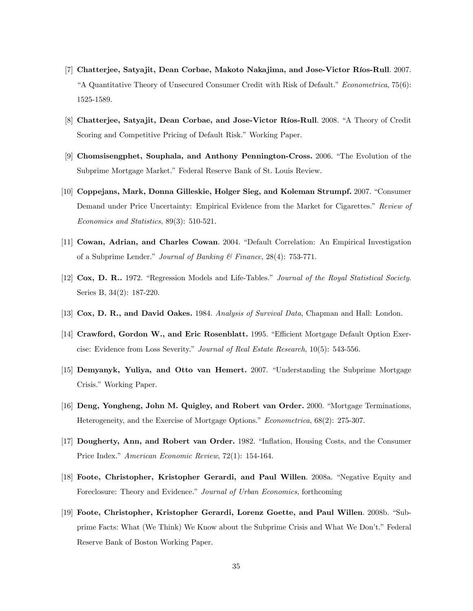- [7] Chatterjee, Satyajit, Dean Corbae, Makoto Nakajima, and Jose-Victor Ríos-Rull. 2007. "A Quantitative Theory of Unsecured Consumer Credit with Risk of Default."  $Econometrica$ , 75(6): 1525-1589.
- [8] Chatterjee, Satyajit, Dean Corbae, and Jose-Victor Ríos-Rull. 2008. "A Theory of Credit Scoring and Competitive Pricing of Default Risk." Working Paper.
- [9] Chomsisengphet, Souphala, and Anthony Pennington-Cross. 2006. "The Evolution of the Subprime Mortgage Market." Federal Reserve Bank of St. Louis Review.
- [10] Coppejans, Mark, Donna Gilleskie, Holger Sieg, and Koleman Strumpf. 2007. "Consumer Demand under Price Uncertainty: Empirical Evidence from the Market for Cigarettes." Review of Economics and Statistics, 89(3): 510-521.
- [11] Cowan, Adrian, and Charles Cowan. 2004. "Default Correlation: An Empirical Investigation of a Subprime Lender." Journal of Banking  $\mathcal B$  Finance, 28(4): 753-771.
- [12] Cox, D. R.. 1972. "Regression Models and Life-Tables." Journal of the Royal Statistical Society. Series B, 34(2): 187-220.
- [13] Cox, D. R., and David Oakes. 1984. Analysis of Survival Data, Chapman and Hall: London.
- [14] Crawford, Gordon W., and Eric Rosenblatt. 1995. "Efficient Mortgage Default Option Exercise: Evidence from Loss Severity." Journal of Real Estate Research, 10(5): 543-556.
- [15] Demyanyk, Yuliya, and Otto van Hemert. 2007. "Understanding the Subprime Mortgage Crisis." Working Paper.
- [16] Deng, Yongheng, John M. Quigley, and Robert van Order. 2000. "Mortgage Terminations, Heterogeneity, and the Exercise of Mortgage Options." Econometrica, 68(2): 275-307.
- [17] Dougherty, Ann, and Robert van Order. 1982. "Inflation, Housing Costs, and the Consumer Price Index." American Economic Review, 72(1): 154-164.
- [18] Foote, Christopher, Kristopher Gerardi, and Paul Willen. 2008a. "Negative Equity and Foreclosure: Theory and Evidence." Journal of Urban Economics, forthcoming
- [19] Foote, Christopher, Kristopher Gerardi, Lorenz Goette, and Paul Willen. 2008b. "Subprime Facts: What (We Think) We Know about the Subprime Crisis and What We Don't." Federal Reserve Bank of Boston Working Paper.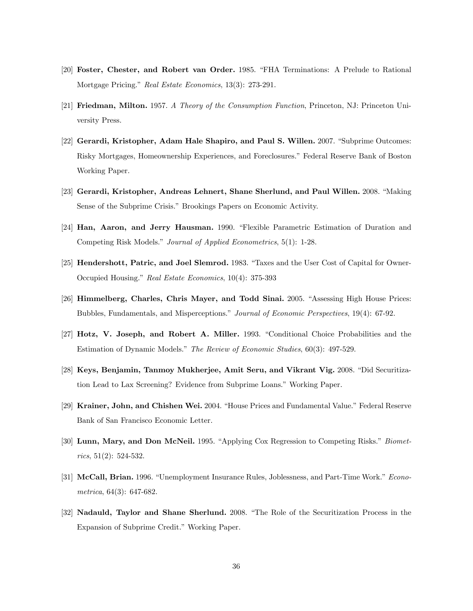- [20] Foster, Chester, and Robert van Order. 1985. "FHA Terminations: A Prelude to Rational Mortgage Pricing." Real Estate Economics, 13(3): 273-291.
- [21] Friedman, Milton. 1957. A Theory of the Consumption Function, Princeton, NJ: Princeton University Press.
- [22] Gerardi, Kristopher, Adam Hale Shapiro, and Paul S. Willen. 2007. "Subprime Outcomes: Risky Mortgages, Homeownership Experiences, and Foreclosures." Federal Reserve Bank of Boston Working Paper.
- [23] Gerardi, Kristopher, Andreas Lehnert, Shane Sherlund, and Paul Willen. 2008. "Making Sense of the Subprime Crisis." Brookings Papers on Economic Activity.
- [24] Han, Aaron, and Jerry Hausman. 1990. "Flexible Parametric Estimation of Duration and Competing Risk Models." Journal of Applied Econometrics, 5(1): 1-28.
- [25] Hendershott, Patric, and Joel Slemrod. 1983. "Taxes and the User Cost of Capital for Owner-Occupied Housing." Real Estate Economics, 10(4): 375-393
- [26] Himmelberg, Charles, Chris Mayer, and Todd Sinai. 2005. "Assessing High House Prices: Bubbles, Fundamentals, and Misperceptions." Journal of Economic Perspectives, 19(4): 67-92.
- [27] Hotz, V. Joseph, and Robert A. Miller. 1993. "Conditional Choice Probabilities and the Estimation of Dynamic Models." The Review of Economic Studies, 60(3): 497-529.
- [28] Keys, Benjamin, Tanmoy Mukherjee, Amit Seru, and Vikrant Vig. 2008. "Did Securitization Lead to Lax Screening? Evidence from Subprime Loans." Working Paper.
- [29] Krainer, John, and Chishen Wei. 2004. "House Prices and Fundamental Value." Federal Reserve Bank of San Francisco Economic Letter.
- [30] Lunn, Mary, and Don McNeil. 1995. "Applying Cox Regression to Competing Risks." Biometrics,  $51(2)$ :  $524-532$ .
- [31] McCall, Brian. 1996. "Unemployment Insurance Rules, Joblessness, and Part-Time Work." Econometrica, 64(3): 647-682.
- [32] Nadauld, Taylor and Shane Sherlund. 2008. "The Role of the Securitization Process in the Expansion of Subprime Credit." Working Paper.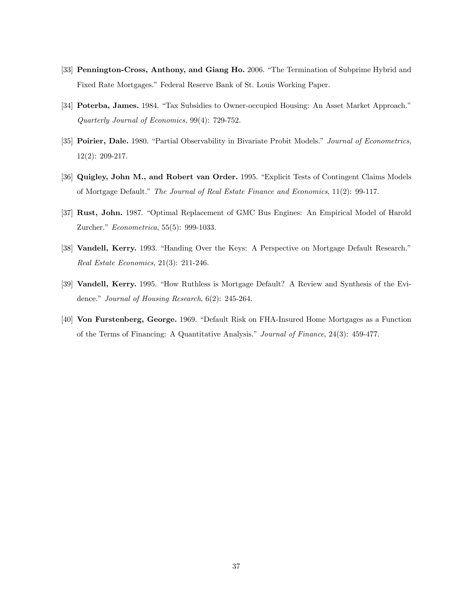- [33] Pennington-Cross, Anthony, and Giang Ho. 2006. "The Termination of Subprime Hybrid and Fixed Rate Mortgages." Federal Reserve Bank of St. Louis Working Paper.
- [34] Poterba, James. 1984. "Tax Subsidies to Owner-occupied Housing: An Asset Market Approach." Quarterly Journal of Economics, 99(4): 729-752.
- [35] Poirier, Dale. 1980. "Partial Observability in Bivariate Probit Models." Journal of Econometrics, 12(2): 209-217.
- [36] Quigley, John M., and Robert van Order. 1995. "Explicit Tests of Contingent Claims Models of Mortgage Default." The Journal of Real Estate Finance and Economics, 11(2): 99-117.
- [37] Rust, John. 1987. "Optimal Replacement of GMC Bus Engines: An Empirical Model of Harold Zurcher." Econometrica, 55(5): 999-1033.
- [38] Vandell, Kerry. 1993. "Handing Over the Keys: A Perspective on Mortgage Default Research." Real Estate Economics, 21(3): 211-246.
- [39] Vandell, Kerry. 1995. "How Ruthless is Mortgage Default? A Review and Synthesis of the Evidence." Journal of Housing Research,  $6(2)$ : 245-264.
- [40] **Von Furstenberg, George.** 1969. "Default Risk on FHA-Insured Home Mortgages as a Function of the Terms of Financing: A Quantitative Analysis." Journal of Finance, 24(3): 459-477.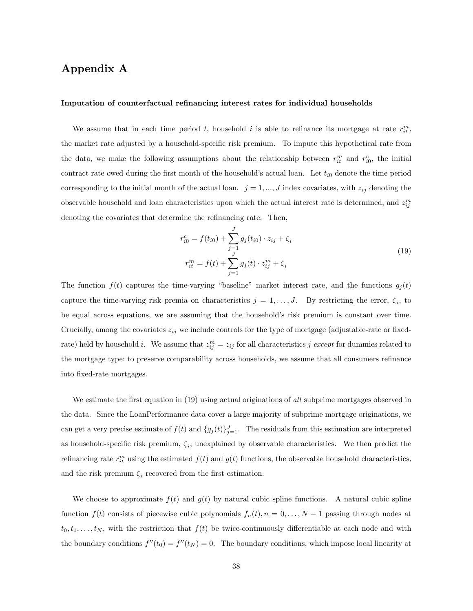# Appendix A

#### Imputation of counterfactual refinancing interest rates for individual households

We assume that in each time period t, household i is able to refinance its mortgage at rate  $r_{it}^m$ , the market rate adjusted by a household-specific risk premium. To impute this hypothetical rate from the data, we make the following assumptions about the relationship between  $r_{it}^m$  and  $r_{i0}^c$ , the initial contract rate owed during the first month of the household's actual loan. Let  $t_{i0}$  denote the time period corresponding to the initial month of the actual loan.  $j = 1, ..., J$  index covariates, with  $z_{ij}$  denoting the observable household and loan characteristics upon which the actual interest rate is determined, and  $z_{ij}^m$ denoting the covariates that determine the refinancing rate. Then,

$$
r_{i0}^{c} = f(t_{i0}) + \sum_{j=1}^{J} g_j(t_{i0}) \cdot z_{ij} + \zeta_i
$$
  
\n
$$
r_{it}^{m} = f(t) + \sum_{j=1}^{J} g_j(t) \cdot z_{ij}^{m} + \zeta_i
$$
\n(19)

The function  $f(t)$  captures the time-varying "baseline" market interest rate, and the functions  $g_j(t)$ capture the time-varying risk premia on characteristics  $j = 1, \ldots, J$ . By restricting the error,  $\zeta_i$ , to be equal across equations, we are assuming that the household's risk premium is constant over time. Crucially, among the covariates  $z_{ij}$  we include controls for the type of mortgage (adjustable-rate or fixedrate) held by household *i*. We assume that  $z_{ij}^m = z_{ij}$  for all characteristics *j except* for dummies related to the mortgage type: to preserve comparability across households, we assume that all consumers refinance into fixed-rate mortgages.

We estimate the first equation in (19) using actual originations of all subprime mortgages observed in the data. Since the LoanPerformance data cover a large majority of subprime mortgage originations, we can get a very precise estimate of  $f(t)$  and  $\{g_j(t)\}_{j=1}^J$ . The residuals from this estimation are interpreted as household-specific risk premium,  $\zeta_i$ , unexplained by observable characteristics. We then predict the refinancing rate  $r_{it}^m$  using the estimated  $f(t)$  and  $g(t)$  functions, the observable household characteristics, and the risk premium  $\zeta_i$  recovered from the first estimation.

We choose to approximate  $f(t)$  and  $g(t)$  by natural cubic spline functions. A natural cubic spline function  $f(t)$  consists of piecewise cubic polynomials  $f_n(t)$ ,  $n = 0, \ldots, N-1$  passing through nodes at  $t_0, t_1, \ldots, t_N$ , with the restriction that  $f(t)$  be twice-continuously differentiable at each node and with the boundary conditions  $f''(t_0) = f''(t_N) = 0$ . The boundary conditions, which impose local linearity at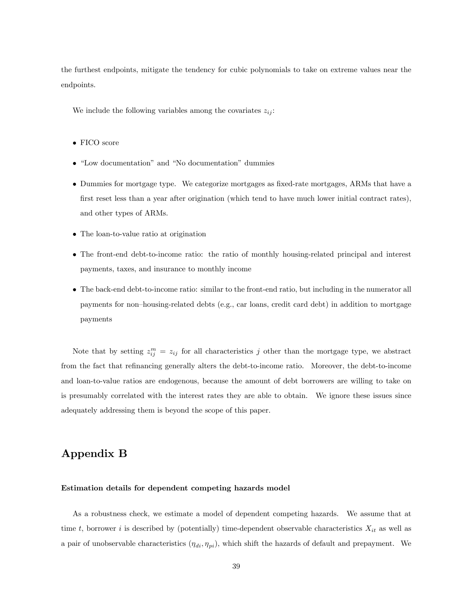the furthest endpoints, mitigate the tendency for cubic polynomials to take on extreme values near the endpoints.

We include the following variables among the covariates  $z_{ij}$ :

- FICO score
- "Low documentation" and "No documentation" dummies
- Dummies for mortgage type. We categorize mortgages as Öxed-rate mortgages, ARMs that have a first reset less than a year after origination (which tend to have much lower initial contract rates), and other types of ARMs.
- The loan-to-value ratio at origination
- The front-end debt-to-income ratio: the ratio of monthly housing-related principal and interest payments, taxes, and insurance to monthly income
- The back-end debt-to-income ratio: similar to the front-end ratio, but including in the numerator all payments for non-housing-related debts (e.g., car loans, credit card debt) in addition to mortgage payments

Note that by setting  $z_{ij}^m = z_{ij}$  for all characteristics j other than the mortgage type, we abstract from the fact that refinancing generally alters the debt-to-income ratio. Moreover, the debt-to-income and loan-to-value ratios are endogenous, because the amount of debt borrowers are willing to take on is presumably correlated with the interest rates they are able to obtain. We ignore these issues since adequately addressing them is beyond the scope of this paper.

# Appendix B

### Estimation details for dependent competing hazards model

As a robustness check, we estimate a model of dependent competing hazards. We assume that at time t, borrower i is described by (potentially) time-dependent observable characteristics  $X_{it}$  as well as a pair of unobservable characteristics  $(\eta_{di}, \eta_{pi})$ , which shift the hazards of default and prepayment. We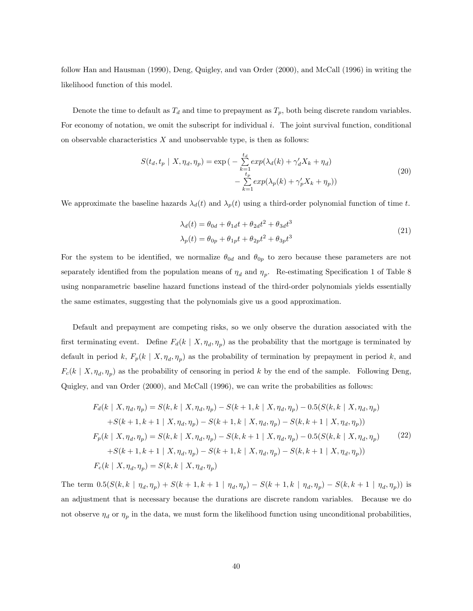follow Han and Hausman (1990), Deng, Quigley, and van Order (2000), and McCall (1996) in writing the likelihood function of this model.

Denote the time to default as  $T_d$  and time to prepayment as  $T_p$ , both being discrete random variables. For economy of notation, we omit the subscript for individual  $i$ . The joint survival function, conditional on observable characteristics  $X$  and unobservable type, is then as follows:

$$
S(t_d, t_p | X, \eta_d, \eta_p) = \exp\left(-\sum_{\substack{k=1 \ k \neq p}}^{\text{t}_d} \exp(\lambda_d(k) + \gamma_d' X_k + \eta_d)\right) - \sum_{\substack{k=1 \ k \neq 1}}^{\text{t}_p} \exp(\lambda_p(k) + \gamma_p' X_k + \eta_p))\tag{20}
$$

We approximate the baseline hazards  $\lambda_d(t)$  and  $\lambda_p(t)$  using a third-order polynomial function of time t.

$$
\lambda_d(t) = \theta_{0d} + \theta_{1d}t + \theta_{2d}t^2 + \theta_{3d}t^3
$$
  
\n
$$
\lambda_p(t) = \theta_{0p} + \theta_{1p}t + \theta_{2p}t^2 + \theta_{3p}t^3
$$
\n(21)

For the system to be identified, we normalize  $\theta_{0d}$  and  $\theta_{0p}$  to zero because these parameters are not separately identified from the population means of  $\eta_d$  and  $\eta_p$ . Re-estimating Specification 1 of Table 8 using nonparametric baseline hazard functions instead of the third-order polynomials yields essentially the same estimates, suggesting that the polynomials give us a good approximation.

Default and prepayment are competing risks, so we only observe the duration associated with the first terminating event. Define  $F_d(k \mid X, \eta_d, \eta_p)$  as the probability that the mortgage is terminated by default in period k,  $F_p(k \mid X, \eta_d, \eta_p)$  as the probability of termination by prepayment in period k, and  $F_c(k \mid X, \eta_d, \eta_p)$  as the probability of censoring in period k by the end of the sample. Following Deng, Quigley, and van Order (2000), and McCall (1996), we can write the probabilities as follows:

$$
F_d(k | X, \eta_d, \eta_p) = S(k, k | X, \eta_d, \eta_p) - S(k+1, k | X, \eta_d, \eta_p) - 0.5(S(k, k | X, \eta_d, \eta_p) + S(k+1, k+1 | X, \eta_d, \eta_p) - S(k+1, k | X, \eta_d, \eta_p) - S(k, k+1 | X, \eta_d, \eta_p))
$$
  

$$
F_p(k | X, \eta_d, \eta_p) = S(k, k | X, \eta_d, \eta_p) - S(k, k+1 | X, \eta_d, \eta_p) - 0.5(S(k, k | X, \eta_d, \eta_p) + S(k+1, k+1 | X, \eta_d, \eta_p) - S(k+1, k | X, \eta_d, \eta_p) - S(k, k+1 | X, \eta_d, \eta_p))
$$
  
(22)  

$$
F_c(k | X, \eta_d, \eta_p) = S(k, k | X, \eta_d, \eta_p)
$$

The term  $0.5(S(k, k | \eta_d, \eta_p) + S(k + 1, k + 1 | \eta_d, \eta_p) - S(k + 1, k | \eta_d, \eta_p) - S(k, k + 1 | \eta_d, \eta_p))$  is an adjustment that is necessary because the durations are discrete random variables. Because we do not observe  $\eta_d$  or  $\eta_p$  in the data, we must form the likelihood function using unconditional probabilities,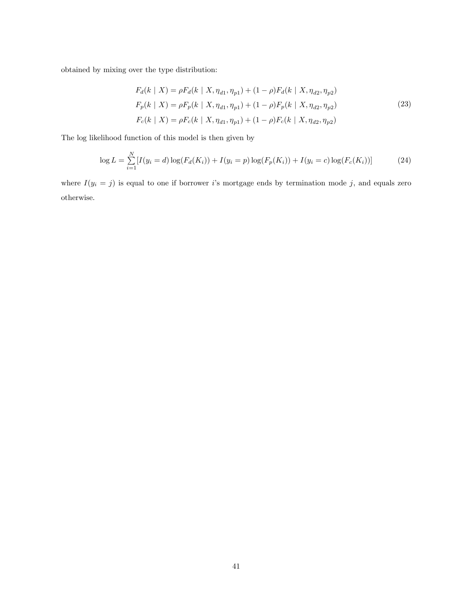obtained by mixing over the type distribution:

$$
F_d(k | X) = \rho F_d(k | X, \eta_{d1}, \eta_{p1}) + (1 - \rho) F_d(k | X, \eta_{d2}, \eta_{p2})
$$
  
\n
$$
F_p(k | X) = \rho F_p(k | X, \eta_{d1}, \eta_{p1}) + (1 - \rho) F_p(k | X, \eta_{d2}, \eta_{p2})
$$
  
\n
$$
F_c(k | X) = \rho F_c(k | X, \eta_{d1}, \eta_{p1}) + (1 - \rho) F_c(k | X, \eta_{d2}, \eta_{p2})
$$
\n(23)

The log likelihood function of this model is then given by

$$
\log L = \sum_{i=1}^{N} [I(y_i = d) \log(F_d(K_i)) + I(y_i = p) \log(F_p(K_i)) + I(y_i = c) \log(F_c(K_i))]
$$
\n(24)

where  $I(y_i = j)$  is equal to one if borrower i's mortgage ends by termination mode j, and equals zero otherwise.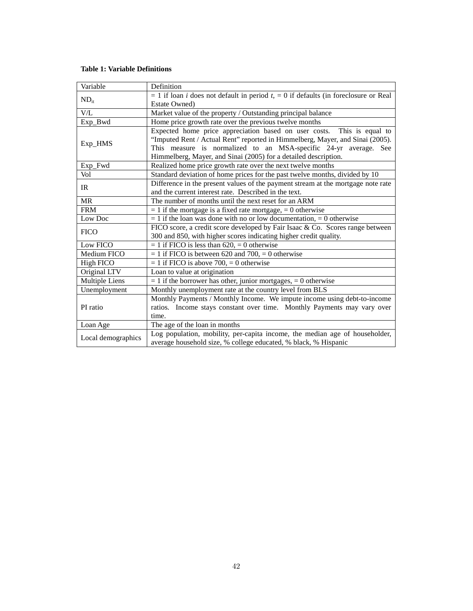### **Table 1: Variable Definitions**

| Variable           | Definition                                                                                    |  |  |  |  |  |  |
|--------------------|-----------------------------------------------------------------------------------------------|--|--|--|--|--|--|
|                    | $= 1$ if loan <i>i</i> does not default in period $t = 0$ if defaults (in foreclosure or Real |  |  |  |  |  |  |
| $ND_{it}$          | <b>Estate Owned</b> )                                                                         |  |  |  |  |  |  |
| V/L                | Market value of the property / Outstanding principal balance                                  |  |  |  |  |  |  |
| Exp_Bwd            | Home price growth rate over the previous twelve months                                        |  |  |  |  |  |  |
|                    | Expected home price appreciation based on user costs.<br>This is equal to                     |  |  |  |  |  |  |
|                    | "Imputed Rent / Actual Rent" reported in Himmelberg, Mayer, and Sinai (2005).                 |  |  |  |  |  |  |
| Exp_HMS            | This measure is normalized to an MSA-specific 24-yr average. See                              |  |  |  |  |  |  |
|                    | Himmelberg, Mayer, and Sinai (2005) for a detailed description.                               |  |  |  |  |  |  |
| Exp_Fwd            | Realized home price growth rate over the next twelve months                                   |  |  |  |  |  |  |
| Vol                | Standard deviation of home prices for the past twelve months, divided by 10                   |  |  |  |  |  |  |
| IR                 | Difference in the present values of the payment stream at the mortgage note rate              |  |  |  |  |  |  |
|                    | and the current interest rate. Described in the text.                                         |  |  |  |  |  |  |
| <b>MR</b>          | The number of months until the next reset for an ARM                                          |  |  |  |  |  |  |
| <b>FRM</b>         | $= 1$ if the mortgage is a fixed rate mortgage, $= 0$ otherwise                               |  |  |  |  |  |  |
| Low Doc            | $= 1$ if the loan was done with no or low documentation, $= 0$ otherwise                      |  |  |  |  |  |  |
| <b>FICO</b>        | FICO score, a credit score developed by Fair Isaac & Co. Scores range between                 |  |  |  |  |  |  |
|                    | 300 and 850, with higher scores indicating higher credit quality.                             |  |  |  |  |  |  |
| Low FICO           | $= 1$ if FICO is less than 620, $= 0$ otherwise                                               |  |  |  |  |  |  |
| Medium FICO        | $= 1$ if FICO is between 620 and 700, $= 0$ otherwise                                         |  |  |  |  |  |  |
| High FICO          | $= 1$ if FICO is above 700, $= 0$ otherwise                                                   |  |  |  |  |  |  |
| Original LTV       | Loan to value at origination                                                                  |  |  |  |  |  |  |
| Multiple Liens     | $= 1$ if the borrower has other, junior mortgages, $= 0$ otherwise                            |  |  |  |  |  |  |
| Unemployment       | Monthly unemployment rate at the country level from BLS                                       |  |  |  |  |  |  |
|                    | Monthly Payments / Monthly Income. We impute income using debt-to-income                      |  |  |  |  |  |  |
| PI ratio           | ratios. Income stays constant over time. Monthly Payments may vary over                       |  |  |  |  |  |  |
|                    | time.                                                                                         |  |  |  |  |  |  |
| Loan Age           | The age of the loan in months                                                                 |  |  |  |  |  |  |
|                    | Log population, mobility, per-capita income, the median age of householder,                   |  |  |  |  |  |  |
| Local demographics | average household size, % college educated, % black, % Hispanic                               |  |  |  |  |  |  |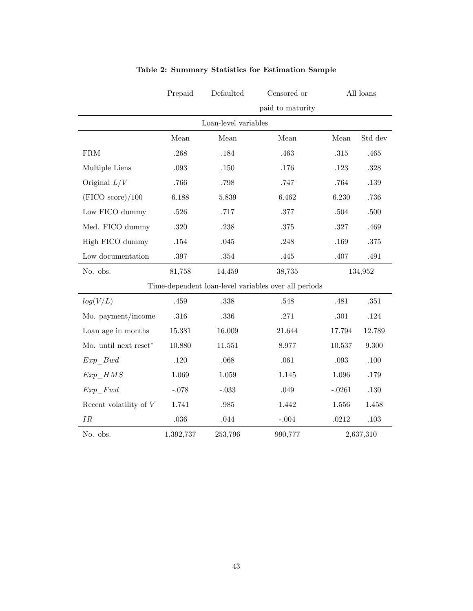| Prepaid                  |           | Defaulted            | Censored or                                          |          | All loans |  |  |
|--------------------------|-----------|----------------------|------------------------------------------------------|----------|-----------|--|--|
|                          |           |                      | paid to maturity                                     |          |           |  |  |
|                          |           | Loan-level variables |                                                      |          |           |  |  |
|                          | Mean      | Mean                 | Mean                                                 | Mean     | Std dev   |  |  |
| ${\rm FRM}$              | .268      | .184                 | .463                                                 | $.315\,$ | .465      |  |  |
| Multiple Liens           | .093      | .150                 | .176                                                 | .123     | .328      |  |  |
| Original $L/V$           | .766      | .798                 | .747                                                 | .764     | .139      |  |  |
| (FICO score)/100         | 6.188     | 5.839                | 6.462                                                | 6.230    | .736      |  |  |
| Low FICO dummy           | .526      | .717                 | .377                                                 | .504     | .500      |  |  |
| Med. FICO dummy          | .320      | .238                 | $.375\,$                                             | .327     | .469      |  |  |
| High FICO dummy          | .154      | .045                 | .248                                                 | .169     | .375      |  |  |
| Low documentation        | $.397\,$  | $.354\,$             | .445                                                 | .407     | .491      |  |  |
| No. obs.                 | 81,758    | 14,459               | 38,735                                               |          | 134,952   |  |  |
|                          |           |                      | Time-dependent loan-level variables over all periods |          |           |  |  |
| log(V/L)                 | .459      | $.338\,$             | $.548\,$                                             | .481     | $.351\,$  |  |  |
| Mo. payment/income       | .316      | .336                 | .271                                                 | .301     | .124      |  |  |
| Loan age in months       | 15.381    | 16.009               | 21.644                                               | 17.794   | 12.789    |  |  |
| Mo. until next reset*    | 10.880    | 11.551               | 8.977                                                | 10.537   | 9.300     |  |  |
| Exp Bwd                  | .120      | .068                 | .061                                                 | $.093\,$ | $.100\,$  |  |  |
| Exp HMS                  | 1.069     | 1.059                | 1.145                                                | 1.096    | .179      |  |  |
| $Exp\_Fwd$               | $-.078$   | $-.033$              | .049                                                 | $-.0261$ | $.130\,$  |  |  |
| Recent volatility of $V$ | 1.741     | .985                 | 1.442                                                | 1.556    | 1.458     |  |  |
| IR                       | .036      | .044                 | $-.004$                                              | .0212    | $.103\,$  |  |  |
| No. obs.                 | 1,392,737 | 253,796              | 990,777                                              |          | 2,637,310 |  |  |

## Table 2: Summary Statistics for Estimation Sample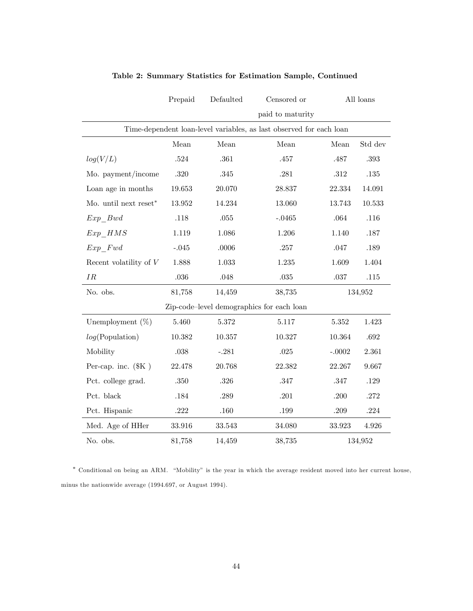|                                  | Prepaid | Defaulted | Censored or                                                         |          | All loans |
|----------------------------------|---------|-----------|---------------------------------------------------------------------|----------|-----------|
|                                  |         |           | paid to maturity                                                    |          |           |
|                                  |         |           | Time-dependent loan-level variables, as last observed for each loan |          |           |
|                                  | Mean    | Mean      | Mean                                                                | Mean     | Std dev   |
| log(V/L)                         | .524    | .361      | .457                                                                | .487     | $.393\,$  |
| Mo. payment/income               | .320    | .345      | .281                                                                | .312     | $.135\,$  |
| Loan age in months               | 19.653  | 20.070    | 28.837                                                              | 22.334   | 14.091    |
| Mo. until next reset $*$         | 13.952  | 14.234    | 13.060                                                              | 13.743   | 10.533    |
| Exp Bwd                          | .118    | .055      | $-.0465$                                                            | .064     | .116      |
| $Exp\_HMS$                       | 1.119   | 1.086     | 1.206                                                               | 1.140    | .187      |
| Exp Fwd                          | $-.045$ | .0006     | .257                                                                | .047     | .189      |
| Recent volatility of $V$         | 1.888   | 1.033     | 1.235                                                               | 1.609    | 1.404     |
| IR                               | .036    | .048      | $.035\,$                                                            | .037     | $.115\,$  |
| No. obs.                         | 81,758  | 14,459    | 38,735                                                              |          | 134,952   |
|                                  |         |           | Zip-code-level demographics for each loan                           |          |           |
| Unemployment $(\%)$              | 5.460   | 5.372     | 5.117                                                               | 5.352    | 1.423     |
| log(Population)                  | 10.382  | 10.357    | 10.327                                                              | 10.364   | .692      |
| Mobility                         | .038    | $-.281$   | .025                                                                | $-.0002$ | 2.361     |
| Per-cap. inc. $(\$\mathrm{K}$$ ) | 22.478  | 20.768    | 22.382                                                              | 22.267   | 9.667     |
| Pct. college grad.               | .350    | .326      | .347                                                                | .347     | .129      |
| Pct. black                       | .184    | .289      | .201                                                                | .200     | .272      |
| Pct. Hispanic                    | .222    | .160      | .199                                                                | .209     | .224      |
| Med. Age of HHer                 | 33.916  | 33.543    | 34.080                                                              | 33.923   | 4.926     |
| No. obs.                         | 81,758  | 14,459    | 38,735                                                              |          | 134,952   |

### Table 2: Summary Statistics for Estimation Sample, Continued

\* Conditional on being an ARM. "Mobility" is the year in which the average resident moved into her current house, minus the nationwide average (1994.697, or August 1994).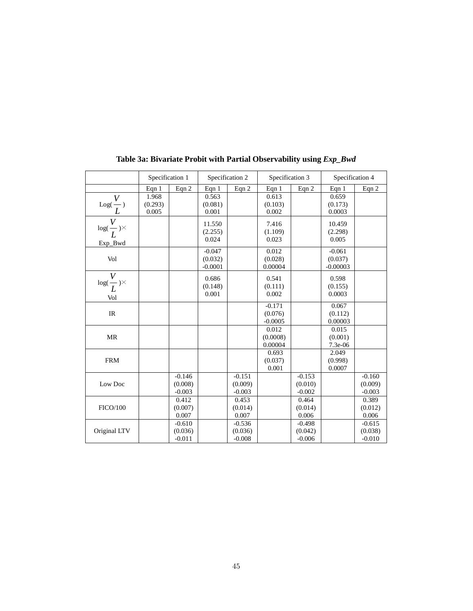|                                              | Specification 1           |                                 |                                  | Specification 2                 | Specification 3                  |                                 | Specification 4                   |                                 |
|----------------------------------------------|---------------------------|---------------------------------|----------------------------------|---------------------------------|----------------------------------|---------------------------------|-----------------------------------|---------------------------------|
|                                              | Eqn $1$                   | Eqn 2                           | Eqn $1$                          | Eqn 2                           | Eqn 1                            | Eqn 2                           | Eqn 1                             | Eqn 2                           |
| $\frac{\overline{V}}{\underline{L}}$         | 1.968<br>(0.293)<br>0.005 |                                 | 0.563<br>(0.081)<br>0.001        |                                 | 0.613<br>(0.103)<br>0.002        |                                 | 0.659<br>(0.173)<br>0.0003        |                                 |
| V<br>$\log(\frac{1}{L})^{\times}$<br>Exp_Bwd |                           |                                 | 11.550<br>(2.255)<br>0.024       |                                 | 7.416<br>(1.109)<br>0.023        |                                 | 10.459<br>(2.298)<br>0.005        |                                 |
| Vol                                          |                           |                                 | $-0.047$<br>(0.032)<br>$-0.0001$ |                                 | 0.012<br>(0.028)<br>0.00004      |                                 | $-0.061$<br>(0.037)<br>$-0.00003$ |                                 |
| V<br>$log(\frac{1}{L})^{\times}$<br>Vol      |                           |                                 | 0.686<br>(0.148)<br>0.001        |                                 | 0.541<br>(0.111)<br>0.002        |                                 | 0.598<br>(0.155)<br>0.0003        |                                 |
| <b>IR</b>                                    |                           |                                 |                                  |                                 | $-0.171$<br>(0.076)<br>$-0.0005$ |                                 | 0.067<br>(0.112)<br>0.00003       |                                 |
| <b>MR</b>                                    |                           |                                 |                                  |                                 | 0.012<br>(0.0008)<br>0.00004     |                                 | 0.015<br>(0.001)<br>7.3e-06       |                                 |
| <b>FRM</b>                                   |                           |                                 |                                  |                                 | 0.693<br>(0.037)<br>0.001        |                                 | 2.049<br>(0.998)<br>0.0007        |                                 |
| Low Doc                                      |                           | $-0.146$<br>(0.008)<br>$-0.003$ |                                  | $-0.151$<br>(0.009)<br>$-0.003$ |                                  | $-0.153$<br>(0.010)<br>$-0.002$ |                                   | $-0.160$<br>(0.009)<br>$-0.003$ |
| <b>FICO/100</b>                              |                           | 0.412<br>(0.007)<br>0.007       |                                  | 0.453<br>(0.014)<br>0.007       |                                  | 0.464<br>(0.014)<br>0.006       |                                   | 0.389<br>(0.012)<br>0.006       |
| Original LTV                                 |                           | $-0.610$<br>(0.036)<br>$-0.011$ |                                  | $-0.536$<br>(0.036)<br>$-0.008$ |                                  | $-0.498$<br>(0.042)<br>$-0.006$ |                                   | $-0.615$<br>(0.038)<br>$-0.010$ |

**Table 3a: Bivariate Probit with Partial Observability using** *Exp\_Bwd*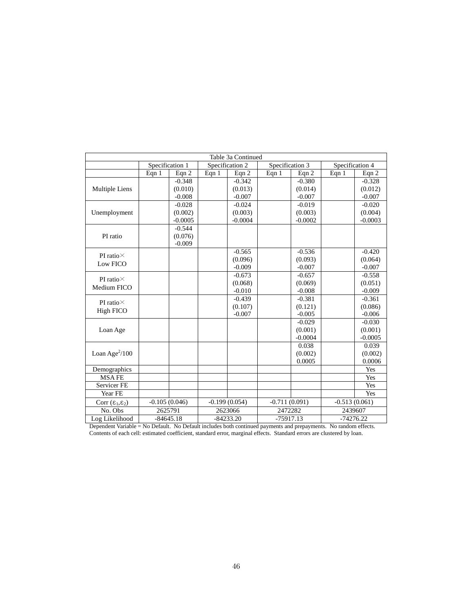|                                 | Table 3a Continued |                 |       |                 |                 |           |                 |           |  |  |
|---------------------------------|--------------------|-----------------|-------|-----------------|-----------------|-----------|-----------------|-----------|--|--|
|                                 | Specification 1    |                 |       | Specification 2 | Specification 3 |           | Specification 4 |           |  |  |
|                                 | Eqn 1              | Eqn $2$         | Eqn 1 | Eqn $2$         | Eqn 1           | Eqn 2     | Eqn 1           | Eqn 2     |  |  |
|                                 |                    | $-0.348$        |       | $-0.342$        |                 | $-0.380$  |                 | $-0.328$  |  |  |
| Multiple Liens                  |                    | (0.010)         |       | (0.013)         |                 | (0.014)   |                 | (0.012)   |  |  |
|                                 |                    | $-0.008$        |       | $-0.007$        |                 | $-0.007$  |                 | $-0.007$  |  |  |
|                                 |                    | $-0.028$        |       | $-0.024$        |                 | $-0.019$  |                 | $-0.020$  |  |  |
| Unemployment                    |                    | (0.002)         |       | (0.003)         |                 | (0.003)   |                 | (0.004)   |  |  |
|                                 |                    | $-0.0005$       |       | $-0.0004$       |                 | $-0.0002$ |                 | $-0.0003$ |  |  |
|                                 |                    | $-0.544$        |       |                 |                 |           |                 |           |  |  |
| PI ratio                        |                    | (0.076)         |       |                 |                 |           |                 |           |  |  |
|                                 |                    | $-0.009$        |       |                 |                 |           |                 |           |  |  |
| PI ratio $\times$               |                    |                 |       | $-0.565$        |                 | $-0.536$  |                 | $-0.420$  |  |  |
| Low FICO                        |                    |                 |       | (0.096)         |                 | (0.093)   |                 | (0.064)   |  |  |
|                                 |                    |                 |       | $-0.009$        |                 | $-0.007$  |                 | $-0.007$  |  |  |
| PI ratio $\times$               |                    |                 |       | $-0.673$        |                 | $-0.657$  |                 | $-0.558$  |  |  |
| Medium FICO                     |                    |                 |       | (0.068)         |                 | (0.069)   |                 | (0.051)   |  |  |
|                                 |                    |                 |       | $-0.010$        |                 | $-0.008$  |                 | $-0.009$  |  |  |
| PI ratio $\times$               |                    |                 |       | $-0.439$        |                 | $-0.381$  |                 | $-0.361$  |  |  |
| <b>High FICO</b>                |                    |                 |       | (0.107)         |                 | (0.121)   |                 | (0.086)   |  |  |
|                                 |                    |                 |       | $-0.007$        |                 | $-0.005$  |                 | $-0.006$  |  |  |
|                                 |                    |                 |       |                 |                 | $-0.029$  |                 | $-0.030$  |  |  |
| Loan Age                        |                    |                 |       |                 |                 | (0.001)   |                 | (0.001)   |  |  |
|                                 |                    |                 |       |                 |                 | $-0.0004$ |                 | $-0.0005$ |  |  |
|                                 |                    |                 |       |                 |                 | 0.038     |                 | 0.039     |  |  |
| Loan Age $^{2}/100$             |                    |                 |       |                 |                 | (0.002)   |                 | (0.002)   |  |  |
|                                 |                    |                 |       |                 |                 | 0.0005    |                 | 0.0006    |  |  |
| Demographics                    |                    |                 |       |                 |                 |           |                 | Yes       |  |  |
| <b>MSAFE</b>                    |                    |                 |       |                 |                 |           |                 | Yes       |  |  |
| Servicer FE                     |                    |                 |       |                 |                 |           |                 | Yes       |  |  |
| Year FE                         |                    |                 |       |                 |                 |           |                 | Yes       |  |  |
| Corr $(\epsilon_1, \epsilon_2)$ |                    | $-0.105(0.046)$ |       | $-0.199(0.054)$ | $-0.711(0.091)$ |           | $-0.513(0.061)$ |           |  |  |
| No. Obs                         |                    | 2625791         |       | 2623066         | 2472282         |           | 2439607         |           |  |  |
| Log Likelihood                  |                    | $-84645.18$     |       | $-84233.20$     | $-75917.13$     |           | $-74276.22$     |           |  |  |

Dependent Variable = No Default. No Default includes both continued payments and prepayments. No random effects. Contents of each cell: estimated coefficient, standard error, marginal effects. Standard errors are clustered by loan.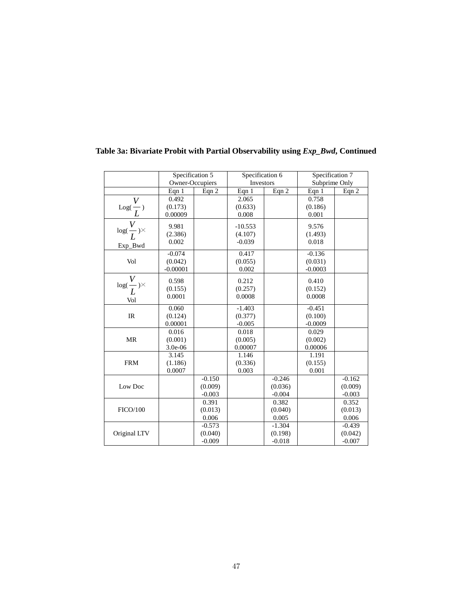|                                      | Specification 5 |          | Specification 6 |          | Specification 7 |          |
|--------------------------------------|-----------------|----------|-----------------|----------|-----------------|----------|
|                                      | Owner-Occupiers |          | Investors       |          | Subprime Only   |          |
|                                      | Eqn 1           | Eqn 2    | Eqn 1           | Eqn 2    | Eqn 1           | Eqn 2    |
|                                      | 0.492           |          | 2.065           |          | 0.758           |          |
| $\operatorname{Log}(\frac{V}{L})$    | (0.173)         |          | (0.633)         |          | (0.186)         |          |
|                                      | 0.00009         |          | 0.008           |          | 0.001           |          |
| $\log(\frac{\overline{V}}{L})\times$ | 9.981           |          | $-10.553$       |          | 9.576           |          |
|                                      | (2.386)         |          | (4.107)         |          | (1.493)         |          |
|                                      | 0.002           |          | $-0.039$        |          | 0.018           |          |
| Exp_Bwd                              |                 |          |                 |          |                 |          |
|                                      | $-0.074$        |          | 0.417           |          | $-0.136$        |          |
| Vol                                  | (0.042)         |          | (0.055)         |          | (0.031)         |          |
|                                      | $-0.00001$      |          | 0.002           |          | $-0.0003$       |          |
| V                                    | 0.598           |          | 0.212           |          | 0.410           |          |
| $log(\frac{V}{L})\times$             | (0.155)         |          | (0.257)         |          | (0.152)         |          |
|                                      | 0.0001          |          | 0.0008          |          | 0.0008          |          |
| Vol                                  |                 |          |                 |          |                 |          |
|                                      | 0.060           |          | $-1.403$        |          | $-0.451$        |          |
| IR                                   | (0.124)         |          | (0.377)         |          | (0.100)         |          |
|                                      | 0.00001         |          | $-0.005$        |          | $-0.0009$       |          |
|                                      | 0.016           |          | 0.018           |          | 0.029           |          |
| <b>MR</b>                            | (0.001)         |          | (0.005)         |          | (0.002)         |          |
|                                      | 3.0e-06         |          | 0.00007         |          | 0.00006         |          |
|                                      | 3.145           |          | 1.146           |          | 1.191           |          |
| <b>FRM</b>                           | (1.186)         |          | (0.336)         |          | (0.155)         |          |
|                                      | 0.0007          |          | 0.003           |          | 0.001           |          |
|                                      |                 | $-0.150$ |                 | $-0.246$ |                 | $-0.162$ |
| Low Doc                              |                 | (0.009)  |                 | (0.036)  |                 | (0.009)  |
|                                      |                 | $-0.003$ |                 | $-0.004$ |                 | $-0.003$ |
|                                      |                 | 0.391    |                 | 0.382    |                 | 0.352    |
| <b>FICO/100</b>                      |                 | (0.013)  |                 | (0.040)  |                 | (0.013)  |
|                                      |                 | 0.006    |                 | 0.005    |                 | 0.006    |
|                                      |                 | $-0.573$ |                 | $-1.304$ |                 | $-0.439$ |
| Original LTV                         |                 | (0.040)  |                 | (0.198)  |                 | (0.042)  |
|                                      |                 | $-0.009$ |                 | $-0.018$ |                 | $-0.007$ |

# **Table 3a: Bivariate Probit with Partial Observability using** *Exp\_Bwd***, Continued**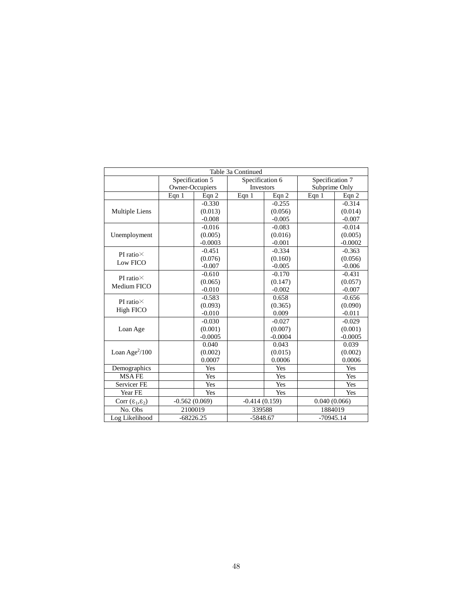|                                 |                 |           | Table 3a Continued |           |                 |           |  |
|---------------------------------|-----------------|-----------|--------------------|-----------|-----------------|-----------|--|
|                                 | Specification 5 |           | Specification 6    |           | Specification 7 |           |  |
|                                 | Owner-Occupiers |           | Investors          |           | Subprime Only   |           |  |
|                                 | Eqn $1$         | Eqn 2     | Eqn 1              | Eqn 2     | Eqn 1           | Eqn $2$   |  |
|                                 |                 | $-0.330$  |                    | $-0.255$  |                 | $-0.314$  |  |
| Multiple Liens                  |                 | (0.013)   |                    | (0.056)   |                 | (0.014)   |  |
|                                 |                 | $-0.008$  |                    | $-0.005$  |                 | $-0.007$  |  |
|                                 |                 | $-0.016$  |                    | $-0.083$  |                 | $-0.014$  |  |
| Unemployment                    |                 | (0.005)   |                    | (0.016)   |                 | (0.005)   |  |
|                                 |                 | $-0.0003$ |                    | $-0.001$  |                 | $-0.0002$ |  |
| PI ratio $\times$               |                 | $-0.451$  |                    | $-0.334$  |                 | $-0.363$  |  |
| Low FICO                        |                 | (0.076)   |                    | (0.160)   |                 | (0.056)   |  |
|                                 |                 | $-0.007$  |                    | $-0.005$  |                 | $-0.006$  |  |
| PI ratio $\times$               |                 | $-0.610$  |                    | $-0.170$  |                 | $-0.431$  |  |
| Medium FICO                     |                 | (0.065)   |                    | (0.147)   |                 | (0.057)   |  |
|                                 |                 | $-0.010$  |                    | $-0.002$  |                 | $-0.007$  |  |
| PI ratio $\times$               |                 | $-0.583$  |                    | 0.658     |                 | $-0.656$  |  |
|                                 |                 | (0.093)   |                    | (0.365)   |                 | (0.090)   |  |
| High FICO                       |                 | $-0.010$  |                    | 0.009     |                 | $-0.011$  |  |
|                                 |                 | $-0.030$  |                    | $-0.027$  |                 | $-0.029$  |  |
| Loan Age                        |                 | (0.001)   |                    | (0.007)   |                 | (0.001)   |  |
|                                 |                 | $-0.0005$ |                    | $-0.0004$ |                 | $-0.0005$ |  |
|                                 |                 | 0.040     |                    | 0.043     |                 | 0.039     |  |
| Loan Age $^{2}/100$             |                 | (0.002)   |                    | (0.015)   |                 | (0.002)   |  |
|                                 |                 | 0.0007    |                    | 0.0006    |                 | 0.0006    |  |
| Demographics                    |                 | Yes       |                    | Yes       |                 | Yes       |  |
| <b>MSAFE</b>                    |                 | Yes       |                    | Yes       |                 | Yes       |  |
| <b>Servicer FE</b>              |                 | Yes       |                    | Yes       |                 | Yes       |  |
| Year FE                         |                 | Yes       |                    | Yes       |                 | Yes       |  |
| Corr $(\epsilon_1, \epsilon_2)$ | $-0.562(0.069)$ |           | $-0.414(0.159)$    |           | 0.040(0.066)    |           |  |
| No. Obs                         | 2100019         |           |                    | 339588    |                 | 1884019   |  |
| Log Likelihood                  | $-68226.25$     |           | $-5848.67$         |           | $-70945.14$     |           |  |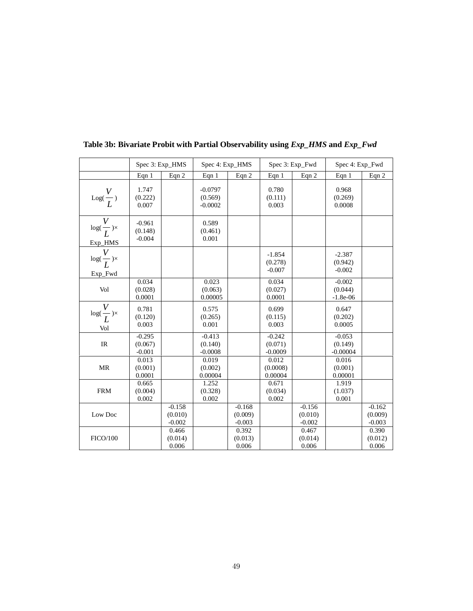|                                             |                                 | Spec 3: Exp_HMS                 | Spec 4: Exp_HMS                   |                                 |                                  | Spec 3: Exp_Fwd                 | Spec 4: Exp_Fwd                   |                                 |
|---------------------------------------------|---------------------------------|---------------------------------|-----------------------------------|---------------------------------|----------------------------------|---------------------------------|-----------------------------------|---------------------------------|
|                                             | Eqn 1                           | Eqn 2                           | Eqn $1$                           | Eqn 2                           | Eqn $1$                          | Eqn 2                           | Eqn $1$                           | Eqn 2                           |
| $Log(\frac{V}{L})$                          | 1.747<br>(0.222)<br>0.007       |                                 | $-0.0797$<br>(0.569)<br>$-0.0002$ |                                 | 0.780<br>(0.111)<br>0.003        |                                 | 0.968<br>(0.269)<br>0.0008        |                                 |
| $\log(\frac{V}{L})\times$<br>Exp_HMS        | $-0.961$<br>(0.148)<br>$-0.004$ |                                 | 0.589<br>(0.461)<br>0.001         |                                 |                                  |                                 |                                   |                                 |
| $\log(\frac{V}{L})\times$<br>Exp_Fwd        |                                 |                                 |                                   |                                 | $-1.854$<br>(0.278)<br>$-0.007$  |                                 | $-2.387$<br>(0.942)<br>$-0.002$   |                                 |
| Vol                                         | 0.034<br>(0.028)<br>0.0001      |                                 | 0.023<br>(0.063)<br>0.00005       |                                 | 0.034<br>(0.027)<br>0.0001       |                                 | $-0.002$<br>(0.044)<br>$-1.8e-06$ |                                 |
| $\log(\frac{\overline{V}}{L})\times$<br>Vol | 0.781<br>(0.120)<br>0.003       |                                 | 0.575<br>(0.265)<br>0.001         |                                 | 0.699<br>(0.115)<br>0.003        |                                 | 0.647<br>(0.202)<br>0.0005        |                                 |
| $\ensuremath{\mathsf{IR}}\xspace$           | $-0.295$<br>(0.067)<br>$-0.001$ |                                 | $-0.413$<br>(0.140)<br>$-0.0008$  |                                 | $-0.242$<br>(0.071)<br>$-0.0009$ |                                 | $-0.053$<br>(0.149)<br>$-0.00004$ |                                 |
| <b>MR</b>                                   | 0.013<br>(0.001)<br>0.0001      |                                 | 0.019<br>(0.002)<br>0.00004       |                                 | 0.012<br>(0.0008)<br>0.00004     |                                 | 0.016<br>(0.001)<br>0.00001       |                                 |
| <b>FRM</b>                                  | 0.665<br>(0.004)<br>0.002       |                                 | 1.252<br>(0.328)<br>0.002         |                                 | 0.671<br>(0.034)<br>0.002        |                                 | 1.919<br>(1.037)<br>0.001         |                                 |
| Low Doc                                     |                                 | $-0.158$<br>(0.010)<br>$-0.002$ |                                   | $-0.168$<br>(0.009)<br>$-0.003$ |                                  | $-0.156$<br>(0.010)<br>$-0.002$ |                                   | $-0.162$<br>(0.009)<br>$-0.003$ |
| <b>FICO/100</b>                             |                                 | 0.466<br>(0.014)<br>0.006       |                                   | 0.392<br>(0.013)<br>0.006       |                                  | 0.467<br>(0.014)<br>0.006       |                                   | 0.390<br>(0.012)<br>0.006       |

**Table 3b: Bivariate Probit with Partial Observability using** *Exp\_HMS* **and** *Exp\_Fwd*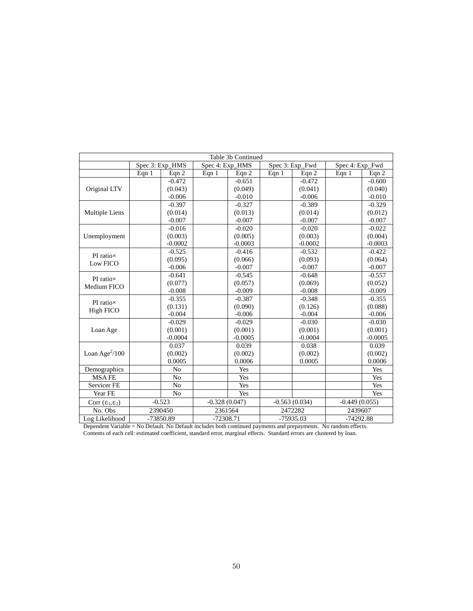|                                 |         |                 |                 | Table 3b Continued |         |                 |                 |           |
|---------------------------------|---------|-----------------|-----------------|--------------------|---------|-----------------|-----------------|-----------|
|                                 |         | Spec 3: Exp_HMS | Spec 4: Exp_HMS |                    |         | Spec 3: Exp_Fwd | Spec 4: Exp_Fwd |           |
|                                 | Eqn $1$ | Eqn $2$         | Eqn $1$         | Eqn 2              | Eqn $1$ | Eqn 2           | Eqn $1$         | Eqn 2     |
|                                 |         | $-0.472$        |                 | $-0.651$           |         | $-0.472$        |                 | $-0.600$  |
| Original LTV                    |         | (0.043)         |                 | (0.049)            |         | (0.041)         |                 | (0.040)   |
|                                 |         | $-0.006$        |                 | $-0.010$           |         | $-0.006$        |                 | $-0.010$  |
|                                 |         | $-0.397$        |                 | $-0.327$           |         | $-0.389$        |                 | $-0.329$  |
| Multiple Liens                  |         | (0.014)         |                 | (0.013)            |         | (0.014)         |                 | (0.012)   |
|                                 |         | $-0.007$        |                 | $-0.007$           |         | $-0.007$        |                 | $-0.007$  |
|                                 |         | $-0.016$        |                 | $-0.020$           |         | $-0.020$        |                 | $-0.022$  |
| Unemployment                    |         | (0.003)         |                 | (0.005)            |         | (0.003)         |                 | (0.004)   |
|                                 |         | $-0.0002$       |                 | $-0.0003$          |         | $-0.0002$       |                 | $-0.0003$ |
| PI ratiox                       |         | $-0.525$        |                 | $-0.416$           |         | $-0.532$        |                 | $-0.422$  |
| Low FICO                        |         | (0.095)         |                 | (0.066)            |         | (0.093)         |                 | (0.064)   |
|                                 |         | $-0.006$        |                 | $-0.007$           |         | $-0.007$        |                 | $-0.007$  |
| PI ratiox                       |         | $-0.641$        |                 | $-0.545$           |         | $-0.648$        |                 | $-0.557$  |
| Medium FICO                     |         | (0.077)         |                 | (0.057)            |         | (0.069)         |                 | (0.052)   |
|                                 |         | $-0.008$        |                 | $-0.009$           |         | $-0.008$        |                 | $-0.009$  |
| PI ratiox                       |         | $-0.355$        |                 | $-0.387$           |         | $-0.348$        |                 | $-0.355$  |
| High FICO                       |         | (0.131)         |                 | (0.090)            |         | (0.126)         |                 | (0.088)   |
|                                 |         | $-0.004$        |                 | $-0.006$           |         | $-0.004$        |                 | $-0.006$  |
|                                 |         | $-0.029$        |                 | $-0.029$           |         | $-0.030$        |                 | $-0.030$  |
| Loan Age                        |         | (0.001)         |                 | (0.001)            |         | (0.001)         |                 | (0.001)   |
|                                 |         | $-0.0004$       |                 | $-0.0005$          |         | $-0.0004$       |                 | $-0.0005$ |
|                                 |         | 0.037           |                 | 0.039              |         | 0.038           |                 | 0.039     |
| Loan Age $^{2}/100$             |         | (0.002)         |                 | (0.002)            |         | (0.002)         |                 | (0.002)   |
|                                 |         | 0.0005          |                 | 0.0006             |         | 0.0005          |                 | 0.0006    |
| Demographics                    |         | No              |                 | Yes                |         |                 |                 | Yes       |
| <b>MSAFE</b>                    |         | No              |                 | Yes                |         |                 |                 | Yes       |
| Servicer FE                     |         | No              |                 | Yes                |         |                 |                 | Yes       |
| Year FE                         |         | N <sub>o</sub>  |                 | Yes                |         |                 |                 | Yes       |
| Corr $(\epsilon_1, \epsilon_2)$ |         | $-0.523$        | $-0.328(0.047)$ |                    |         | $-0.563(0.034)$ | $-0.449(0.055)$ |           |
| No. Obs                         |         | 2390450         | 2361564         |                    |         | 2472282         | 2439607         |           |
| Log Likelihood                  |         | -73850.89       | $-72308.71$     |                    |         | -75935.03       | $-74292.88$     |           |

Dependent Variable = No Default. No Default includes both continued payments and prepayments. No random effects. Contents of each cell: estimated coefficient, standard error, marginal effects. Standard errors are clustered by loan.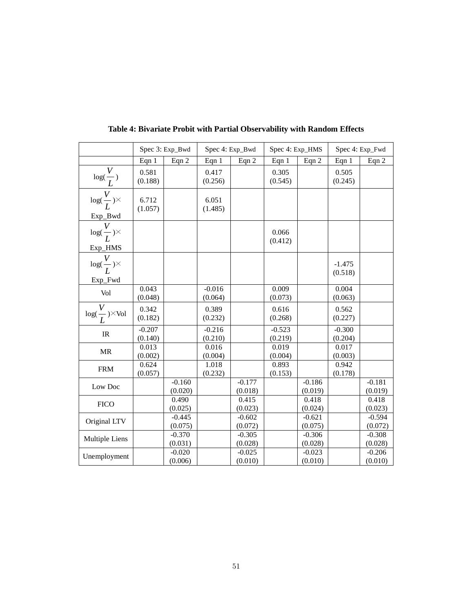|                                                           |                     | Spec 3: Exp_Bwd     |                     | Spec 4: Exp_Bwd     | Spec 4: Exp_HMS     |                     |                     | Spec 4: Exp_Fwd     |
|-----------------------------------------------------------|---------------------|---------------------|---------------------|---------------------|---------------------|---------------------|---------------------|---------------------|
|                                                           | Eqn 1               | Eqn 2               | Eqn $1$             | Eqn 2               | Eqn $1$             | Eqn 2               | Eqn $1$             | Eqn 2               |
| $\frac{\log(\frac{V}{L})}{\log(\frac{V}{L})^{\times}}$    | 0.581<br>(0.188)    |                     | 0.417<br>(0.256)    |                     | 0.305<br>(0.545)    |                     | 0.505<br>(0.245)    |                     |
|                                                           | 6.712<br>(1.057)    |                     | 6.051<br>(1.485)    |                     |                     |                     |                     |                     |
| Exp_Bwd<br>$\frac{V}{\log(\frac{V}{L})}\times$<br>Exp_HMS |                     |                     |                     |                     | 0.066<br>(0.412)    |                     |                     |                     |
| $log(\frac{V}{L})\times$<br>Exp_Fwd                       |                     |                     |                     |                     |                     |                     | $-1.475$<br>(0.518) |                     |
| Vol                                                       | 0.043<br>(0.048)    |                     | $-0.016$<br>(0.064) |                     | 0.009<br>(0.073)    |                     | 0.004<br>(0.063)    |                     |
| $\log(\frac{V}{L})^{\times}\text{Vol}$                    | 0.342<br>(0.182)    |                     | 0.389<br>(0.232)    |                     | 0.616<br>(0.268)    |                     | 0.562<br>(0.227)    |                     |
| IR                                                        | $-0.207$<br>(0.140) |                     | $-0.216$<br>(0.210) |                     | $-0.523$<br>(0.219) |                     | $-0.300$<br>(0.204) |                     |
| <b>MR</b>                                                 | 0.013<br>(0.002)    |                     | 0.016<br>(0.004)    |                     | 0.019<br>(0.004)    |                     | 0.017<br>(0.003)    |                     |
| <b>FRM</b>                                                | 0.624<br>(0.057)    |                     | 1.018<br>(0.232)    |                     | 0.893<br>(0.153)    |                     | 0.942<br>(0.178)    |                     |
| Low Doc                                                   |                     | $-0.160$<br>(0.020) |                     | $-0.177$<br>(0.018) |                     | $-0.186$<br>(0.019) |                     | $-0.181$<br>(0.019) |
| <b>FICO</b>                                               |                     | 0.490<br>(0.025)    |                     | 0.415<br>(0.023)    |                     | 0.418<br>(0.024)    |                     | 0.418<br>(0.023)    |
| Original LTV                                              |                     | $-0.445$<br>(0.075) |                     | $-0.602$<br>(0.072) |                     | $-0.621$<br>(0.075) |                     | $-0.594$<br>(0.072) |
| Multiple Liens                                            |                     | $-0.370$<br>(0.031) |                     | $-0.305$<br>(0.028) |                     | $-0.306$<br>(0.028) |                     | $-0.308$<br>(0.028) |
| Unemployment                                              |                     | $-0.020$<br>(0.006) |                     | $-0.025$<br>(0.010) |                     | $-0.023$<br>(0.010) |                     | $-0.206$<br>(0.010) |

**Table 4: Bivariate Probit with Partial Observability with Random Effects**

Ē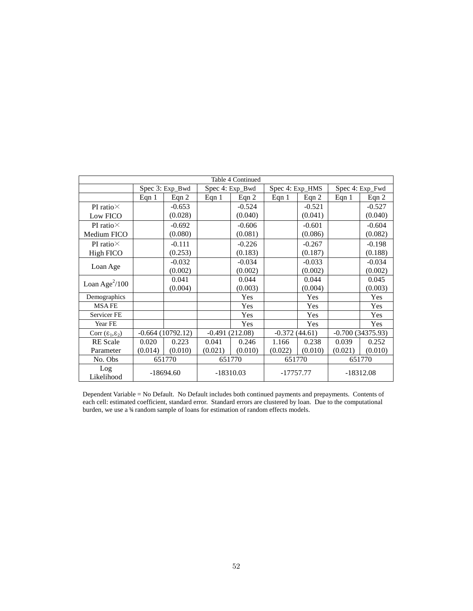|                                 | Table 4 Continued |                    |             |                  |                 |          |             |                    |  |
|---------------------------------|-------------------|--------------------|-------------|------------------|-----------------|----------|-------------|--------------------|--|
|                                 |                   | Spec 3: Exp_Bwd    |             | Spec 4: Exp_Bwd  | Spec 4: Exp_HMS |          |             | Spec 4: Exp_Fwd    |  |
|                                 | Eqn $1$           | Eqn $2$            | Eqn $1$     | Eqn $2$          | Eqn $1$         | Eqn $2$  | Eqn $1$     | Eqn $2$            |  |
| PI ratio $\times$               |                   | $-0.653$           |             | $-0.524$         |                 | $-0.521$ |             | $-0.527$           |  |
| Low FICO                        |                   | (0.028)            |             | (0.040)          |                 | (0.041)  |             | (0.040)            |  |
| PI ratio $\times$               |                   | $-0.692$           |             | $-0.606$         |                 | $-0.601$ |             | $-0.604$           |  |
| Medium FICO                     |                   | (0.080)            |             | (0.081)          |                 | (0.086)  |             | (0.082)            |  |
| PI ratio $\times$               |                   | $-0.111$           |             | $-0.226$         |                 | $-0.267$ |             | $-0.198$           |  |
| High FICO                       |                   | (0.253)            |             | (0.183)          |                 | (0.187)  |             | (0.188)            |  |
|                                 |                   | $-0.032$           |             | $-0.034$         |                 | $-0.033$ |             | $-0.034$           |  |
| Loan Age                        |                   | (0.002)            |             | (0.002)          |                 | (0.002)  |             | (0.002)            |  |
| Loan Age $^{2}/100$             |                   | 0.041              |             | 0.044            |                 | 0.044    |             | 0.045              |  |
|                                 |                   | (0.004)            |             | (0.003)          |                 | (0.004)  |             | (0.003)            |  |
| Demographics                    |                   |                    |             | Yes              |                 | Yes      |             | Yes                |  |
| <b>MSAFE</b>                    |                   |                    |             | Yes              |                 | Yes      |             | Yes                |  |
| Servicer <sub>FE</sub>          |                   |                    |             | Yes              |                 | Yes      |             | Yes                |  |
| Year FE                         |                   |                    |             | Yes              |                 | Yes      |             | Yes                |  |
| Corr $(\epsilon_1, \epsilon_2)$ |                   | $-0.664(10792.12)$ |             | $-0.491(212.08)$ | $-0.372(44.61)$ |          |             | $-0.700(34375.93)$ |  |
| <b>RE</b> Scale                 | 0.020             | 0.223              | 0.041       | 0.246            | 1.166           | 0.238    | 0.039       | 0.252              |  |
| Parameter                       | (0.014)           | (0.010)            | (0.021)     | (0.010)          | (0.022)         | (0.010)  | (0.021)     | (0.010)            |  |
| No. Obs                         |                   | 651770             |             | 651770           | 651770          |          | 651770      |                    |  |
| Log<br>Likelihood               |                   | $-18694.60$        | $-18310.03$ |                  | -17757.77       |          | $-18312.08$ |                    |  |

Dependent Variable = No Default. No Default includes both continued payments and prepayments. Contents of each cell: estimated coefficient, standard error. Standard errors are clustered by loan. Due to the computational burden, we use a ¼ random sample of loans for estimation of random effects models.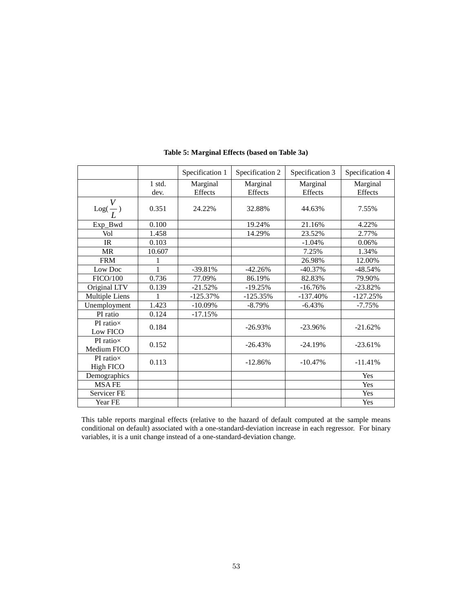|                                 |                  | Specification 1     | Specification 2     | Specification 3     | Specification 4            |
|---------------------------------|------------------|---------------------|---------------------|---------------------|----------------------------|
|                                 | $1$ std.<br>dev. | Marginal<br>Effects | Marginal<br>Effects | Marginal<br>Effects | Marginal<br><b>Effects</b> |
| $\mathrm{Log}(\frac{\nu}{L})$   | 0.351            | 24.22%              | 32.88%              | 44.63%              | 7.55%                      |
| Exp_Bwd                         | 0.100            |                     | 19.24%              | 21.16%              | 4.22%                      |
| Vol                             | 1.458            |                     | 14.29%              | 23.52%              | 2.77%                      |
| IR                              | 0.103            |                     |                     | $-1.04%$            | 0.06%                      |
| <b>MR</b>                       | 10.607           |                     |                     | 7.25%               | 1.34%                      |
| <b>FRM</b>                      |                  |                     |                     | 26.98%              | 12.00%                     |
| Low Doc                         | 1                | $-39.81%$           | $-42.26%$           | $-40.37%$           | $-48.54%$                  |
| FICO/100                        | 0.736            | 77.09%              | 86.19%              | 82.83%              | 79.90%                     |
| Original LTV                    | 0.139            | $-21.52%$           | $-19.25%$           | $-16.76%$           | $-23.82%$                  |
| Multiple Liens                  |                  | $-125.37%$          | $-125.35%$          | $-137.40%$          | $-127.25%$                 |
| Unemployment                    | 1.423            | $-10.09\%$          | $-8.79\%$           | $-6.43%$            | $-7.75%$                   |
| PI ratio                        | 0.124            | $-17.15%$           |                     |                     |                            |
| $PI$ ratio $\times$<br>Low FICO | 0.184            |                     | $-26.93%$           | $-23.96%$           | $-21.62%$                  |
| PI ratio×<br>Medium FICO        | 0.152            |                     | $-26.43%$           | $-24.19%$           | $-23.61%$                  |
| PI ratio $\times$<br>High FICO  | 0.113            |                     | $-12.86%$           | $-10.47%$           | $-11.41%$                  |
| Demographics                    |                  |                     |                     |                     | Yes                        |
| <b>MSAFE</b>                    |                  |                     |                     |                     | Yes                        |
| Servicer FE                     |                  |                     |                     |                     | Yes                        |
| Year FE                         |                  |                     |                     |                     | Yes                        |

### **Table 5: Marginal Effects (based on Table 3a)**

This table reports marginal effects (relative to the hazard of default computed at the sample means conditional on default) associated with a one-standard-deviation increase in each regressor. For binary variables, it is a unit change instead of a one-standard-deviation change.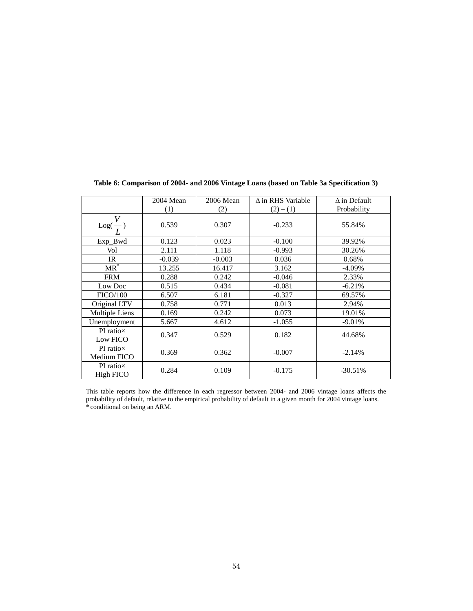|                                    | 2004 Mean | 2006 Mean | $\Delta$ in RHS Variable | $\Delta$ in Default |
|------------------------------------|-----------|-----------|--------------------------|---------------------|
|                                    | (1)       | (2)       | $(2) - (1)$              | Probability         |
| $\mathrm{Log}(\frac{V}{L})$        | 0.539     | 0.307     | $-0.233$                 | 55.84%              |
| Exp_Bwd                            | 0.123     | 0.023     | $-0.100$                 | 39.92%              |
| Vol                                | 2.111     | 1.118     | $-0.993$                 | 30.26%              |
| IR                                 | $-0.039$  | $-0.003$  | 0.036                    | 0.68%               |
| $MR^*$                             | 13.255    | 16.417    | 3.162                    | $-4.09\%$           |
| <b>FRM</b>                         | 0.288     | 0.242     | $-0.046$                 | 2.33%               |
| Low Doc                            | 0.515     | 0.434     | $-0.081$                 | $-6.21%$            |
| <b>FICO/100</b>                    | 6.507     | 6.181     | $-0.327$                 | 69.57%              |
| Original LTV                       | 0.758     | 0.771     | 0.013                    | 2.94%               |
| Multiple Liens                     | 0.169     | 0.242     | 0.073                    | 19.01%              |
| Unemployment                       | 5.667     | 4.612     | $-1.055$                 | $-9.01%$            |
| $PI$ ratio $\times$<br>Low FICO    | 0.347     | 0.529     | 0.182                    | 44.68%              |
| $PI$ ratio $\times$<br>Medium FICO | 0.369     | 0.362     | $-0.007$                 | $-2.14%$            |
| PI ratio $\times$<br>High FICO     | 0.284     | 0.109     | $-0.175$                 | $-30.51%$           |

**Table 6: Comparison of 2004- and 2006 Vintage Loans (based on Table 3a Specification 3)**

This table reports how the difference in each regressor between 2004- and 2006 vintage loans affects the probability of default, relative to the empirical probability of default in a given month for 2004 vintage loans. \* conditional on being an ARM.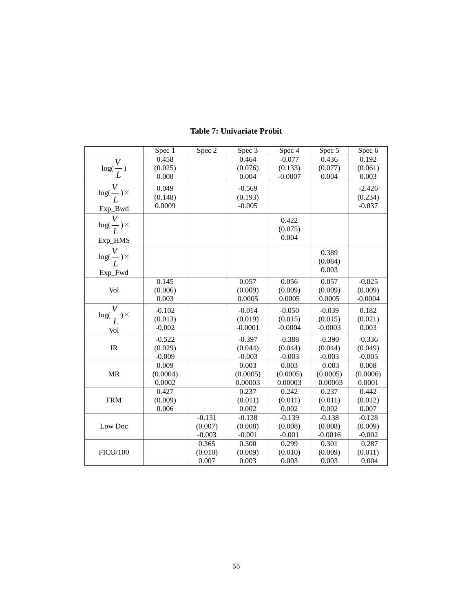|                                                        | Spec 1   | Spec 2   | Spec 3    | Spec 4    | Spec 5    | Spec 6    |
|--------------------------------------------------------|----------|----------|-----------|-----------|-----------|-----------|
|                                                        | 0.458    |          | 0.464     | $-0.077$  | 0.436     | 0.192     |
|                                                        | (0.025)  |          | (0.076)   | (0.133)   | (0.077)   | (0.061)   |
|                                                        | 0.008    |          | 0.004     | $-0.0007$ | 0.004     | 0.003     |
| $\frac{\log(\frac{V}{L})}{\log(\frac{V}{L})^{\times}}$ | 0.049    |          | $-0.569$  |           |           | $-2.426$  |
|                                                        | (0.148)  |          | (0.193)   |           |           | (0.234)   |
|                                                        | 0.0009   |          | $-0.005$  |           |           | $-0.037$  |
| Exp_Bwd                                                |          |          |           |           |           |           |
| $\frac{V}{\log(\frac{V}{L})^{\times}}$                 |          |          |           | 0.422     |           |           |
|                                                        |          |          |           | (0.075)   |           |           |
|                                                        |          |          |           | 0.004     |           |           |
| $\frac{\text{Exp\_HMS}}{log(\frac{V}{L})^{\times}}$    |          |          |           |           | 0.389     |           |
|                                                        |          |          |           |           | (0.084)   |           |
|                                                        |          |          |           |           | 0.003     |           |
| Exp_Fwd                                                |          |          |           |           |           |           |
|                                                        | 0.145    |          | 0.057     | 0.056     | 0.057     | $-0.025$  |
| Vol                                                    | (0.006)  |          | (0.009)   | (0.009)   | (0.009)   | (0.009)   |
|                                                        | 0.003    |          | 0.0005    | 0.0005    | 0.0005    | $-0.0004$ |
| $\log(\frac{V}{L})^{\times}$                           | $-0.102$ |          | $-0.014$  | $-0.050$  | $-0.039$  | 0.182     |
|                                                        | (0.013)  |          | (0.019)   | (0.015)   | (0.015)   | (0.021)   |
| Vol                                                    | $-0.002$ |          | $-0.0001$ | $-0.0004$ | $-0.0003$ | 0.003     |
|                                                        | $-0.522$ |          | $-0.397$  | $-0.388$  | $-0.390$  | $-0.336$  |
| $\ensuremath{\mathsf{IR}}\xspace$                      | (0.029)  |          | (0.044)   | (0.044)   | (0.044)   | (0.049)   |
|                                                        | $-0.009$ |          | $-0.003$  | $-0.003$  | $-0.003$  | $-0.005$  |
|                                                        | 0.009    |          | 0.003     | 0.003     | 0.003     | 0.008     |
| <b>MR</b>                                              | (0.0004) |          | (0.0005)  | (0.0005)  | (0.0005)  | (0.0006)  |
|                                                        | 0.0002   |          | 0.00003   | 0.00003   | 0.00003   | 0.0001    |
|                                                        | 0.427    |          | 0.237     | 0.242     | 0.237     | 0.442     |
| <b>FRM</b>                                             | (0.009)  |          | (0.011)   | (0.011)   | (0.011)   | (0.012)   |
|                                                        | 0.006    |          | 0.002     | 0.002     | 0.002     | 0.007     |
|                                                        |          | $-0.131$ | $-0.138$  | $-0.139$  | $-0.138$  | $-0.128$  |
| Low Doc                                                |          | (0.007)  | (0.008)   | (0.008)   | (0.008)   | (0.009)   |
|                                                        |          | $-0.003$ | $-0.001$  | $-0.001$  | $-0.0016$ | $-0.002$  |
|                                                        |          | 0.365    | 0.300     | 0.299     | 0.301     | 0.287     |
| <b>FICO/100</b>                                        |          | (0.010)  | (0.009)   | (0.010)   | (0.009)   | (0.011)   |
|                                                        |          | 0.007    | 0.003     | 0.003     | 0.003     | 0.004     |

## **Table 7: Univariate Probit**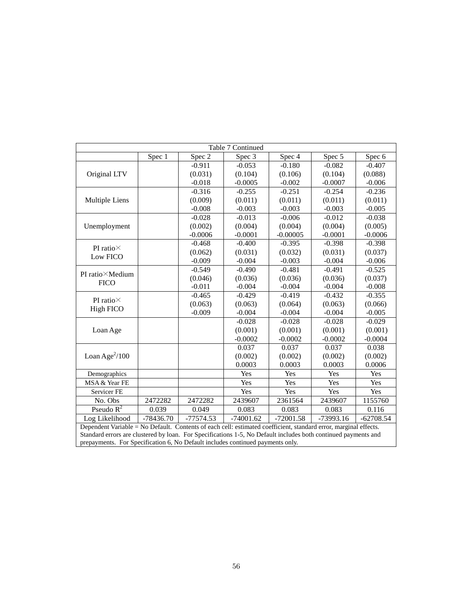| Table 7 Continued                                                                                                |             |             |             |             |             |             |  |
|------------------------------------------------------------------------------------------------------------------|-------------|-------------|-------------|-------------|-------------|-------------|--|
|                                                                                                                  | Spec 1      | Spec $2$    | Spec 3      | Spec 4      | Spec 5      | Spec 6      |  |
| Original LTV                                                                                                     |             | $-0.911$    | $-0.053$    | $-0.180$    | $-0.082$    | $-0.407$    |  |
|                                                                                                                  |             | (0.031)     | (0.104)     | (0.106)     | (0.104)     | (0.088)     |  |
|                                                                                                                  |             | $-0.018$    | $-0.0005$   | $-0.002$    | $-0.0007$   | $-0.006$    |  |
|                                                                                                                  |             | $-0.316$    | $-0.255$    | $-0.251$    | $-0.254$    | $-0.236$    |  |
| Multiple Liens                                                                                                   |             | (0.009)     | (0.011)     | (0.011)     | (0.011)     | (0.011)     |  |
|                                                                                                                  |             | $-0.008$    | $-0.003$    | $-0.003$    | $-0.003$    | $-0.005$    |  |
|                                                                                                                  |             | $-0.028$    | $-0.013$    | $-0.006$    | $-0.012$    | $-0.038$    |  |
| Unemployment                                                                                                     |             | (0.002)     | (0.004)     | (0.004)     | (0.004)     | (0.005)     |  |
|                                                                                                                  |             | $-0.0006$   | $-0.0001$   | $-0.00005$  | $-0.0001$   | $-0.0006$   |  |
| PI ratio $\times$                                                                                                |             | $-0.468$    | $-0.400$    | $-0.395$    | $-0.398$    | $-0.398$    |  |
| Low FICO                                                                                                         |             | (0.062)     | (0.031)     | (0.032)     | (0.031)     | (0.037)     |  |
|                                                                                                                  |             | $-0.009$    | $-0.004$    | $-0.003$    | $-0.004$    | $-0.006$    |  |
| PI ratio×Medium                                                                                                  |             | $-0.549$    | $-0.490$    | $-0.481$    | $-0.491$    | $-0.525$    |  |
|                                                                                                                  |             | (0.046)     | (0.036)     | (0.036)     | (0.036)     | (0.037)     |  |
| <b>FICO</b>                                                                                                      |             | $-0.011$    | $-0.004$    | $-0.004$    | $-0.004$    | $-0.008$    |  |
| PI ratio $\times$                                                                                                |             | $-0.465$    | $-0.429$    | $-0.419$    | $-0.432$    | $-0.355$    |  |
| High FICO                                                                                                        |             | (0.063)     | (0.063)     | (0.064)     | (0.063)     | (0.066)     |  |
|                                                                                                                  |             | $-0.009$    | $-0.004$    | $-0.004$    | $-0.004$    | $-0.005$    |  |
|                                                                                                                  |             |             | $-0.028$    | $-0.028$    | $-0.028$    | $-0.029$    |  |
| Loan Age                                                                                                         |             |             | (0.001)     | (0.001)     | (0.001)     | (0.001)     |  |
|                                                                                                                  |             |             | $-0.0002$   | $-0.0002$   | $-0.0002$   | $-0.0004$   |  |
|                                                                                                                  |             |             | 0.037       | 0.037       | 0.037       | 0.038       |  |
| Loan Age $^{2}/100$                                                                                              |             |             | (0.002)     | (0.002)     | (0.002)     | (0.002)     |  |
|                                                                                                                  |             |             | 0.0003      | 0.0003      | 0.0003      | 0.0006      |  |
| Demographics                                                                                                     |             |             | Yes         | Yes         | Yes         | Yes         |  |
| MSA & Year FE                                                                                                    |             |             | Yes         | Yes         | Yes         | Yes         |  |
| Servicer FE                                                                                                      |             |             | Yes         | Yes         | Yes         | Yes         |  |
| No. Obs                                                                                                          | 2472282     | 2472282     | 2439607     | 2361564     | 2439607     | 1155760     |  |
| Pseudo $R^2$                                                                                                     | 0.039       | 0.049       | 0.083       | 0.083       | 0.083       | 0.116       |  |
| Log Likelihood                                                                                                   | $-78436.70$ | $-77574.53$ | $-74001.62$ | $-72001.58$ | $-73993.16$ | $-62708.54$ |  |
| Dependent Variable = No Default. Contents of each cell: estimated coefficient, standard error, marginal effects. |             |             |             |             |             |             |  |
| Standard errors are clustered by loan. For Specifications 1-5, No Default includes both continued payments and   |             |             |             |             |             |             |  |
| prepayments. For Specification 6, No Default includes continued payments only.                                   |             |             |             |             |             |             |  |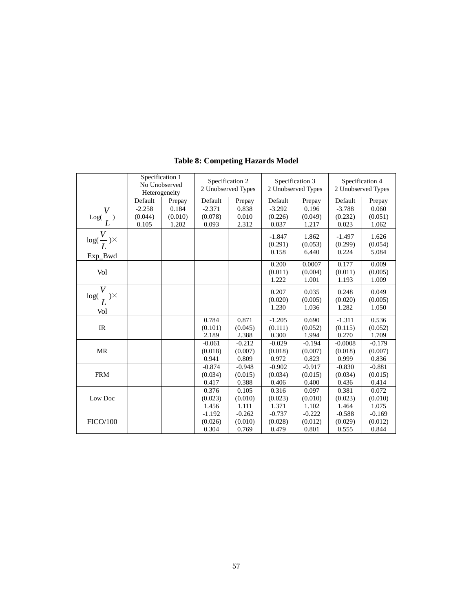|                                                 | Specification 1<br>No Unobserved<br>Heterogeneity |                           | Specification 2<br>2 Unobserved Types |                              | Specification 3<br>2 Unobserved Types |                              | Specification 4<br>2 Unobserved Types |                              |
|-------------------------------------------------|---------------------------------------------------|---------------------------|---------------------------------------|------------------------------|---------------------------------------|------------------------------|---------------------------------------|------------------------------|
|                                                 | Default                                           | Prepay                    | Default                               | Prepay                       | Default                               | Prepay                       | Default                               | Prepay                       |
| $\frac{\overline{V}}{\overline{L}}$             | $-2.258$<br>(0.044)<br>0.105                      | 0.184<br>(0.010)<br>1.202 | $-2.371$<br>(0.078)<br>0.093          | 0.838<br>0.010<br>2.312      | $-3.292$<br>(0.226)<br>0.037          | 0.196<br>(0.049)<br>1.217    | $-3.788$<br>(0.232)<br>0.023          | 0.060<br>(0.051)<br>1.062    |
| $\log(\frac{V}{L})\times$<br>Exp_Bwd            |                                                   |                           |                                       |                              | $-1.847$<br>(0.291)<br>0.158          | 1.862<br>(0.053)<br>6.440    | $-1.497$<br>(0.299)<br>0.224          | 1.626<br>(0.054)<br>5.084    |
| Vol                                             |                                                   |                           |                                       |                              | 0.200<br>(0.011)<br>1.222             | 0.0007<br>(0.004)<br>1.001   | 0.177<br>(0.011)<br>1.193             | 0.009<br>(0.005)<br>1.009    |
| $\overline{\log (\frac{V}{L})^{\times}}$<br>Vol |                                                   |                           |                                       |                              | 0.207<br>(0.020)<br>1.230             | 0.035<br>(0.005)<br>1.036    | 0.248<br>(0.020)<br>1.282             | 0.049<br>(0.005)<br>1.050    |
| $\ensuremath{\mathsf{IR}}\xspace$               |                                                   |                           | 0.784<br>(0.101)<br>2.189             | 0.871<br>(0.045)<br>2.388    | $-1.205$<br>(0.111)<br>0.300          | 0.690<br>(0.052)<br>1.994    | $-1.311$<br>(0.115)<br>0.270          | 0.536<br>(0.052)<br>1.709    |
| <b>MR</b>                                       |                                                   |                           | $-0.061$<br>(0.018)<br>0.941          | $-0.212$<br>(0.007)<br>0.809 | $-0.029$<br>(0.018)<br>0.972          | $-0.194$<br>(0.007)<br>0.823 | $-0.0008$<br>(0.018)<br>0.999         | $-0.179$<br>(0.007)<br>0.836 |
| <b>FRM</b>                                      |                                                   |                           | $-0.874$<br>(0.034)<br>0.417          | $-0.948$<br>(0.015)<br>0.388 | $-0.902$<br>(0.034)<br>0.406          | $-0.917$<br>(0.015)<br>0.400 | $-0.830$<br>(0.034)<br>0.436          | $-0.881$<br>(0.015)<br>0.414 |
| Low Doc                                         |                                                   |                           | 0.376<br>(0.023)<br>1.456             | 0.105<br>(0.010)<br>1.111    | 0.316<br>(0.023)<br>1.371             | 0.097<br>(0.010)<br>1.102    | 0.381<br>(0.023)<br>1.464             | 0.072<br>(0.010)<br>1.075    |
| <b>FICO/100</b>                                 |                                                   |                           | $-1.192$<br>(0.026)<br>0.304          | $-0.262$<br>(0.010)<br>0.769 | $-0.737$<br>(0.028)<br>0.479          | $-0.222$<br>(0.012)<br>0.801 | $-0.588$<br>(0.029)<br>0.555          | $-0.169$<br>(0.012)<br>0.844 |

## **Table 8: Competing Hazards Model**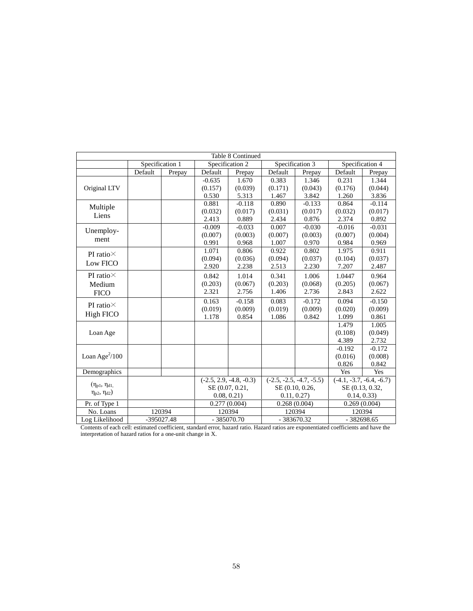| Table 8 Continued        |                 |        |                 |                           |                 |                            |                 |                            |  |
|--------------------------|-----------------|--------|-----------------|---------------------------|-----------------|----------------------------|-----------------|----------------------------|--|
|                          | Specification 1 |        | Specification 2 |                           | Specification 3 |                            | Specification 4 |                            |  |
|                          | Default         | Prepay | Default         | Prepay                    | Default         | Prepay                     | Default         | Prepay                     |  |
|                          |                 |        | $-0.635$        | 1.670                     | 0.383           | 1.346                      | 0.231           | 1.344                      |  |
| Original LTV             |                 |        | (0.157)         | (0.039)                   | (0.171)         | (0.043)                    | (0.176)         | (0.044)                    |  |
|                          |                 |        | 0.530           | 5.313                     | 1.467           | 3.842                      | 1.260           | 3.836                      |  |
| Multiple                 |                 |        | 0.881           | $-0.118$                  | 0.890           | $-0.133$                   | 0.864           | $-0.114$                   |  |
|                          |                 |        | (0.032)         | (0.017)                   | (0.031)         | (0.017)                    | (0.032)         | (0.017)                    |  |
| Liens                    |                 |        | 2.413           | 0.889                     | 2.434           | 0.876                      | 2.374           | 0.892                      |  |
| Unemploy-                |                 |        | $-0.009$        | $-0.033$                  | 0.007           | $-0.030$                   | $-0.016$        | $-0.031$                   |  |
|                          |                 |        | (0.007)         | (0.003)                   | (0.007)         | (0.003)                    | (0.007)         | (0.004)                    |  |
| ment                     |                 |        | 0.991           | 0.968                     | 1.007           | 0.970                      | 0.984           | 0.969                      |  |
| PI ratio $\times$        |                 |        | 1.071           | 0.806                     | 0.922           | 0.802                      | 1.975           | 0.911                      |  |
|                          |                 |        | (0.094)         | (0.036)                   | (0.094)         | (0.037)                    | (0.104)         | (0.037)                    |  |
| Low FICO                 |                 |        | 2.920           | 2.238                     | 2.513           | 2.230                      | 7.207           | 2.487                      |  |
| PI ratio $\times$        |                 |        | 0.842           | 1.014                     | 0.341           | 1.006                      | 1.0447          | 0.964                      |  |
| Medium                   |                 |        | (0.203)         | (0.067)                   | (0.203)         | (0.068)                    | (0.205)         | (0.067)                    |  |
| <b>FICO</b>              |                 |        | 2.321           | 2.756                     | 1.406           | 2.736                      | 2.843           | 2.622                      |  |
|                          |                 |        | 0.163           | $-0.158$                  | 0.083           | $-0.172$                   | 0.094           | $-0.150$                   |  |
| PI ratio $\times$        |                 |        | (0.019)         | (0.009)                   | (0.019)         | (0.009)                    | (0.020)         | (0.009)                    |  |
| High FICO                |                 |        | 1.178           | 0.854                     | 1.086           | 0.842                      | 1.099           | 0.861                      |  |
|                          |                 |        |                 |                           |                 |                            | 1.479           | 1.005                      |  |
| Loan Age                 |                 |        |                 |                           |                 |                            | (0.108)         | (0.049)                    |  |
|                          |                 |        |                 |                           |                 |                            | 4.389           | 2.732                      |  |
|                          |                 |        |                 |                           |                 |                            | $-0.192$        | $-0.172$                   |  |
| Loan Age $^{2}/100$      |                 |        |                 |                           |                 |                            | (0.016)         | (0.008)                    |  |
|                          |                 |        |                 |                           |                 |                            | 0.826           | 0.842                      |  |
| Demographics             |                 |        |                 |                           |                 |                            | Yes             | Yes                        |  |
|                          |                 |        |                 | $(-2.5, 2.9, -4.8, -0.3)$ |                 | $(-2.5, -2.5, -4.7, -5.5)$ |                 | $(-4.1, -3.7, -6.4, -6.7)$ |  |
| $(\eta_{p1}, \eta_{d1})$ |                 |        |                 | SE (0.07, 0.21,           | SE (0.10, 0.26, |                            | SE (0.13, 0.32, |                            |  |
| $\eta_{p2}, \eta_{d2})$  |                 |        | 0.08, 0.21)     |                           | 0.11, 0.27      |                            | 0.14, 0.33      |                            |  |
| Pr. of Type 1            |                 |        |                 | 0.277(0.004)              | 0.268(0.004)    |                            | 0.269(0.004)    |                            |  |
| No. Loans                |                 | 120394 |                 | 120394                    | 120394          |                            | 120394          |                            |  |
| Log Likelihood           | $-395027.48$    |        |                 | $-385070.70$              |                 | $-383670.32$               |                 | $-382698.65$               |  |

Contents of each cell: estimated coefficient, standard error, hazard ratio. Hazard ratios are exponentiated coefficients and have the interpretation of hazard ratios for a one-unit change in X.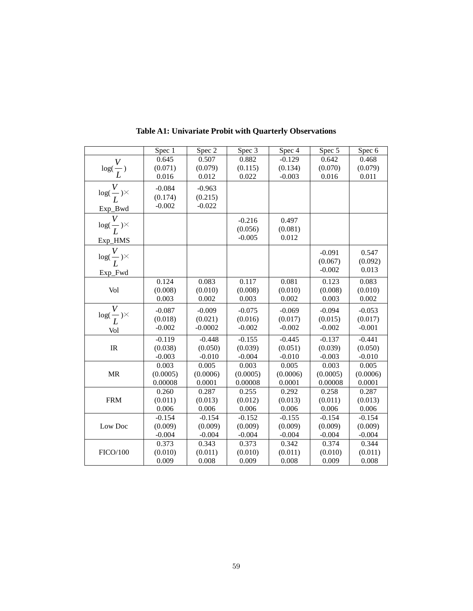|                                                   | Spec 1   | Spec 2    | Spec 3   | Spec 4   | Spec 5   | Spec 6   |
|---------------------------------------------------|----------|-----------|----------|----------|----------|----------|
|                                                   | 0.645    | 0.507     | 0.882    | $-0.129$ | 0.642    | 0.468    |
| $\log(\frac{V}{L})$                               | (0.071)  | (0.079)   | (0.115)  | (0.134)  | (0.070)  | (0.079)  |
|                                                   | 0.016    | 0.012     | 0.022    | $-0.003$ | 0.016    | 0.011    |
| $\frac{V}{\log(\frac{V}{L})^{\times}}$            | $-0.084$ | $-0.963$  |          |          |          |          |
|                                                   | (0.174)  | (0.215)   |          |          |          |          |
|                                                   | $-0.002$ | $-0.022$  |          |          |          |          |
|                                                   |          |           |          |          |          |          |
| Exp_Bwd<br>$\frac{V}{\log(\frac{V}{L})^{\times}}$ |          |           | $-0.216$ | 0.497    |          |          |
|                                                   |          |           | (0.056)  | (0.081)  |          |          |
|                                                   |          |           | $-0.005$ | 0.012    |          |          |
| $\frac{\text{Exp\_HMS}}{log(\frac{V}{L})}$        |          |           |          |          |          |          |
|                                                   |          |           |          |          | $-0.091$ | 0.547    |
|                                                   |          |           |          |          | (0.067)  | (0.092)  |
| Exp_Fwd                                           |          |           |          |          | $-0.002$ | 0.013    |
|                                                   | 0.124    | 0.083     | 0.117    | 0.081    | 0.123    | 0.083    |
| Vol                                               | (0.008)  | (0.010)   | (0.008)  | (0.010)  | (0.008)  | (0.010)  |
|                                                   | 0.003    | 0.002     | 0.003    | 0.002    | 0.003    | 0.002    |
| $\log(\frac{V}{L})^{\times}$                      | $-0.087$ | $-0.009$  | $-0.075$ | $-0.069$ | $-0.094$ | $-0.053$ |
|                                                   | (0.018)  | (0.021)   | (0.016)  | (0.017)  | (0.015)  | (0.017)  |
| Vol                                               | $-0.002$ | $-0.0002$ | $-0.002$ | $-0.002$ | $-0.002$ | $-0.001$ |
|                                                   | $-0.119$ | $-0.448$  | $-0.155$ | $-0.445$ | $-0.137$ | $-0.441$ |
| IR                                                | (0.038)  | (0.050)   | (0.039)  | (0.051)  | (0.039)  | (0.050)  |
|                                                   | $-0.003$ | $-0.010$  | $-0.004$ | $-0.010$ | $-0.003$ | $-0.010$ |
|                                                   | 0.003    | 0.005     | 0.003    | 0.005    | 0.003    | 0.005    |
| <b>MR</b>                                         | (0.0005) | (0.0006)  | (0.0005) | (0.0006) | (0.0005) | (0.0006) |
|                                                   | 0.00008  | 0.0001    | 0.00008  | 0.0001   | 0.00008  | 0.0001   |
|                                                   | 0.260    | 0.287     | 0.255    | 0.292    | 0.258    | 0.287    |
| <b>FRM</b>                                        | (0.011)  | (0.013)   | (0.012)  | (0.013)  | (0.011)  | (0.013)  |
|                                                   | 0.006    | 0.006     | 0.006    | 0.006    | 0.006    | 0.006    |
|                                                   | $-0.154$ | $-0.154$  | $-0.152$ | $-0.155$ | $-0.154$ | $-0.154$ |
| Low Doc                                           | (0.009)  | (0.009)   | (0.009)  | (0.009)  | (0.009)  | (0.009)  |
|                                                   | $-0.004$ | $-0.004$  | $-0.004$ | $-0.004$ | $-0.004$ | $-0.004$ |
|                                                   | 0.373    | 0.343     | 0.373    | 0.342    | 0.374    | 0.344    |
| <b>FICO/100</b>                                   | (0.010)  | (0.011)   | (0.010)  | (0.011)  | (0.010)  | (0.011)  |
|                                                   | 0.009    | 0.008     | 0.009    | 0.008    | 0.009    | 0.008    |

**Table A1: Univariate Probit with Quarterly Observations**